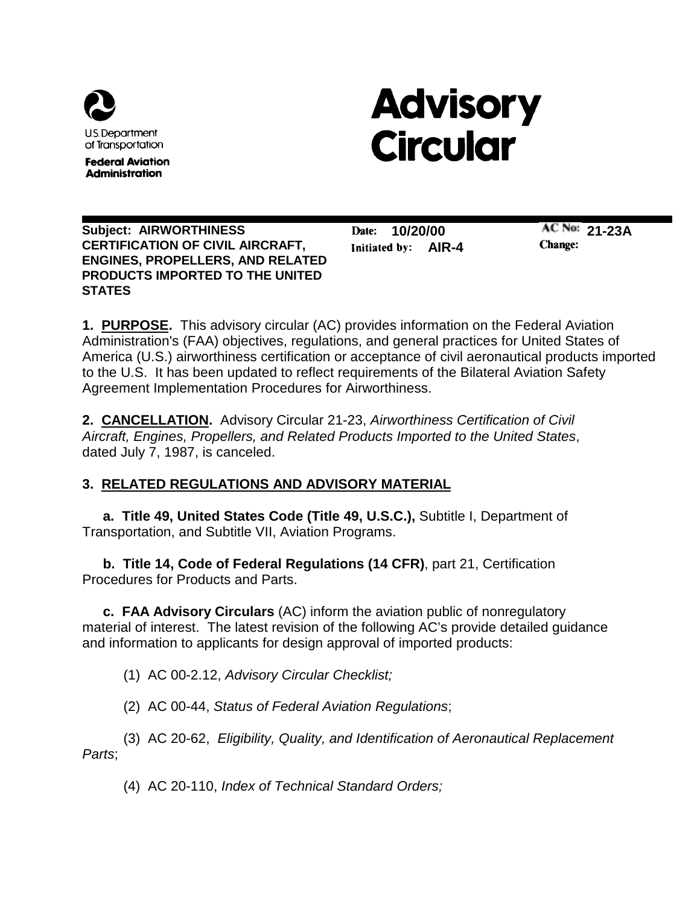

**Federal Aviation Administration** 

# **Advisory Circular**

**Subject: AIRWORTHINESS CERTIFICATION OF CIVIL AIRCRAFT, ENGINES, PROPELLERS, AND RELATED PRODUCTS IMPORTED TO THE UNITED STATES**

**10/20/00** Date: **AIR-4**

**21-23A** Change:

**1. PURPOSE.** This advisory circular (AC) provides information on the Federal Aviation Administration's (FAA) objectives, regulations, and general practices for United States of America (U.S.) airworthiness certification or acceptance of civil aeronautical products imported to the U.S. It has been updated to reflect requirements of the Bilateral Aviation Safety Agreement Implementation Procedures for Airworthiness.

**2. CANCELLATION.** Advisory Circular 21-23, *Airworthiness Certification of Civil Aircraft, Engines, Propellers, and Related Products Imported to the United States*, dated July 7, 1987, is canceled.

# **3. RELATED REGULATIONS AND ADVISORY MATERIAL**

**a. Title 49, United States Code (Title 49, U.S.C.),** Subtitle I, Department of Transportation, and Subtitle VII, Aviation Programs.

**b. Title 14, Code of Federal Regulations (14 CFR)**, part 21, Certification Procedures for Products and Parts.

**c. FAA Advisory Circulars** (AC) inform the aviation public of nonregulatory material of interest. The latest revision of the following AC's provide detailed guidance and information to applicants for design approval of imported products:

(1) AC 00-2.12, *Advisory Circular Checklist;*

(2) AC 00-44, *Status of Federal Aviation Regulations*;

(3) AC 20-62, *Eligibility, Quality, and Identification of Aeronautical Replacement Parts*;

(4) AC 20-110, *Index of Technical Standard Orders;*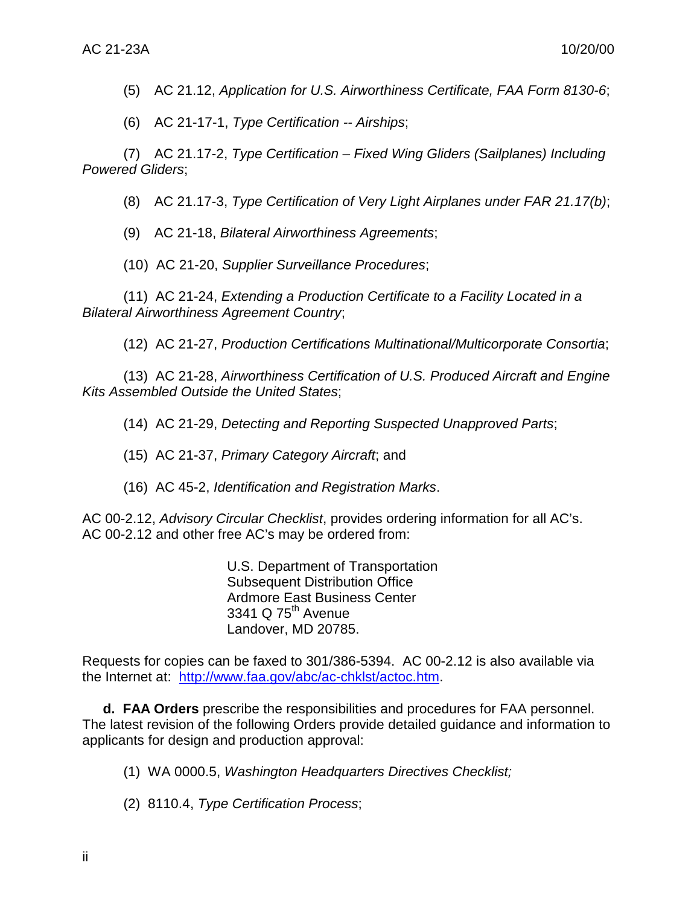(5) AC 21.12, *Application for U.S. Airworthiness Certificate, FAA Form 8130-6*;

(6) AC 21-17-1, *Type Certification -- Airships*;

(7) AC 21.17-2, *Type Certification – Fixed Wing Gliders (Sailplanes) Including Powered Gliders*;

(8) AC 21.17-3, *Type Certification of Very Light Airplanes under FAR 21.17(b)*;

(9) AC 21-18, *Bilateral Airworthiness Agreements*;

(10 ) AC 21-20, *Supplier Surveillance Procedures*;

(11) AC 21-24, *Extending a Production Certificate to a Facility Located in a Bilateral Airworthiness Agreement Country*;

(12) AC 21-27, *Production Certifications Multinational/Multicorporate Consortia*;

(13) AC 21-28, *Airworthiness Certification of U.S. Produced Aircraft and Engine Kits Assembled Outside the United States*;

(14) AC 21-29, *Detecting and Reporting Suspected Unapproved Parts*;

(15) AC 21-37, *Primary Category Aircraft*; and

(16) AC 45-2, *Identification and Registration Marks*.

AC 00-2.12, *Advisory Circular Checklist*, provides ordering information for all AC's. AC 00-2.12 and other free AC's may be ordered from:

> U.S. Department of Transportation Subsequent Distribution Office Ardmore East Business Center 3341 Q  $75<sup>th</sup>$  Avenue Landover, MD 20785.

Requests for copies can be faxed to 301/386-5394. AC 00-2.12 is also available via the Internet at: [http://www.faa.gov/abc/ac-chklst/actoc.htm.](http://www.faa.gov/abc/ac-chklst/actoc.htm)

**d. FAA Orders** prescribe the responsibilities and procedures for FAA personnel. The latest revision of the following Orders provide detailed guidance and information to applicants for design and production approval:

- (1) WA 0000.5, *Washington Headquarters Directives Checklist;*
- (2) 8110.4, *Type Certification Process*;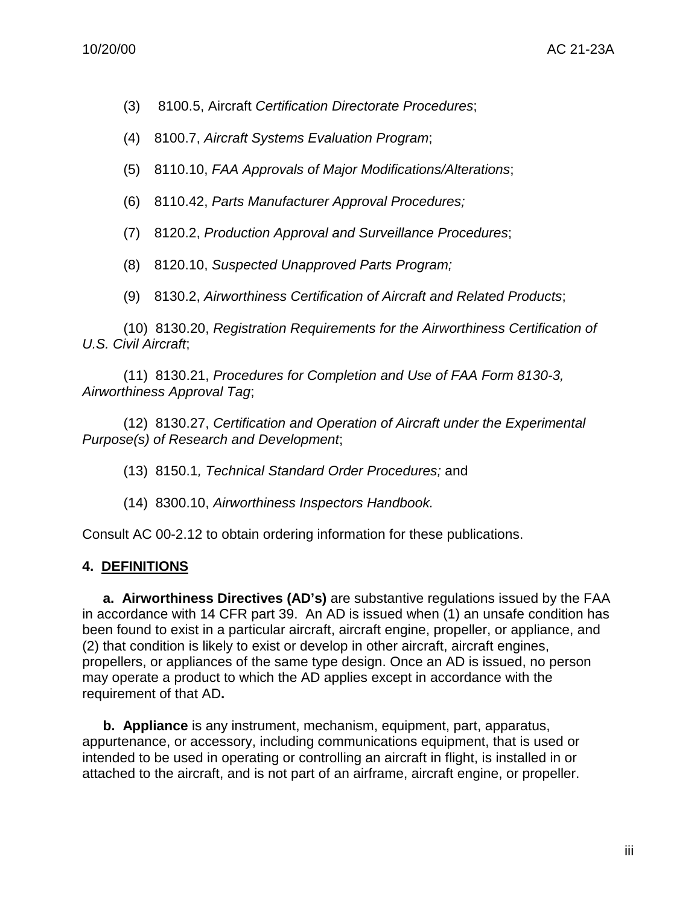- (3) 8100.5, Aircraft *Certification Directorate Procedures*;
- (4) 8100.7, *Aircraft Systems Evaluation Program*;
- (5) 8110.10, *FAA Approvals of Major Modifications/Alterations*;
- (6) 8110.42, *Parts Manufacturer Approval Procedures;*
- (7) 8120.2, *Production Approval and Surveillance Procedures*;
- (8) 8120.10, *Suspected Unapproved Parts Program;*
- (9) 8130.2, *Airworthiness Certification of Aircraft and Related Products*;

(10) 8130.20, *Registration Requirements for the Airworthiness Certification of U.S. Civil Aircraft*;

(11) 8130.21, *Procedures for Completion and Use of FAA Form 8130-3, Airworthiness Approval Tag*;

(12) 8130.27, *Certification and Operation of Aircraft under the Experimental Purpose(s) of Research and Development*;

- (13) 8150.1*, Technical Standard Order Procedures;* and
- (14) 8300.10, *Airworthiness Inspectors Handbook.*

Consult AC 00-2.12 to obtain ordering information for these publications.

#### **4. DEFINITIONS**

**a. Airworthiness Directives (AD's)** are substantive regulations issued by the FAA in accordance with 14 CFR part 39. An AD is issued when (1) an unsafe condition has been found to exist in a particular aircraft, aircraft engine, propeller, or appliance, and (2) that condition is likely to exist or develop in other aircraft, aircraft engines, propellers, or appliances of the same type design. Once an AD is issued, no person may operate a product to which the AD applies except in accordance with the requirement of that AD**.**

**b. Appliance** is any instrument, mechanism, equipment, part, apparatus, appurtenance, or accessory, including communications equipment, that is used or intended to be used in operating or controlling an aircraft in flight, is installed in or attached to the aircraft, and is not part of an airframe, aircraft engine, or propeller.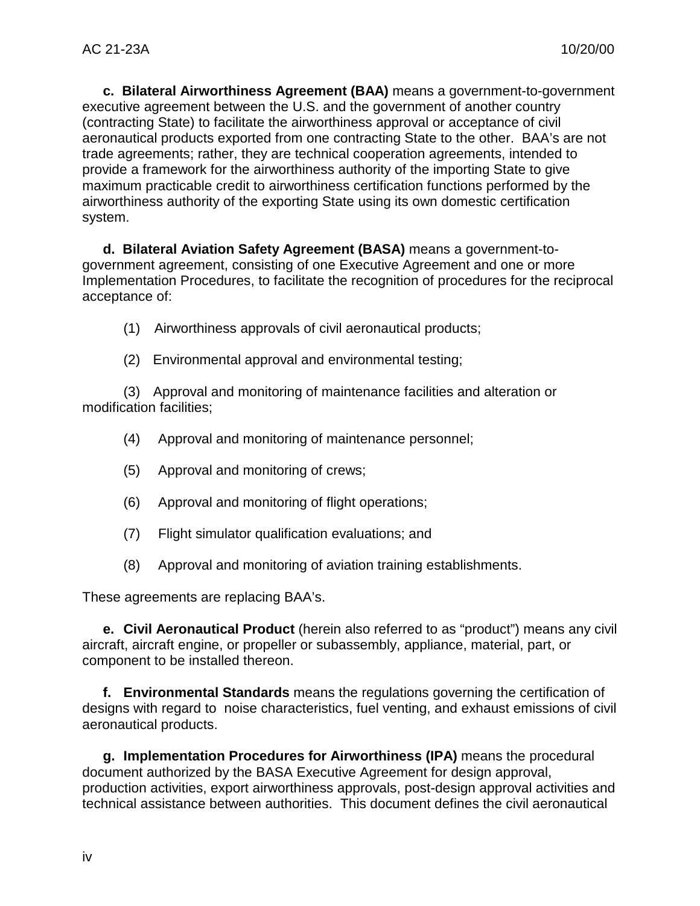**c. Bilateral Airworthiness Agreement (BAA)** means a government-to-government executive agreement between the U.S. and the government of another country (contracting State) to facilitate the airworthiness approval or acceptance of civil aeronautical products exported from one contracting State to the other. BAA's are not trade agreements; rather, they are technical cooperation agreements, intended to provide a framework for the airworthiness authority of the importing State to give maximum practicable credit to airworthiness certification functions performed by the airworthiness authority of the exporting State using its own domestic certification system.

**d. Bilateral Aviation Safety Agreement (BASA)** means a government-togovernment agreement, consisting of one Executive Agreement and one or more Implementation Procedures, to facilitate the recognition of procedures for the reciprocal acceptance of:

- (1) Airworthiness approvals of civil aeronautical products;
- (2) Environmental approval and environmental testing;

(3) Approval and monitoring of maintenance facilities and alteration or modification facilities;

- (4) Approval and monitoring of maintenance personnel;
- (5) Approval and monitoring of crews;
- (6) Approval and monitoring of flight operations;
- (7) Flight simulator qualification evaluations; and
- (8) Approval and monitoring of aviation training establishments.

These agreements are replacing BAA's.

**e. Civil Aeronautical Product** (herein also referred to as "product") means any civil aircraft, aircraft engine, or propeller or subassembly, appliance, material, part, or component to be installed thereon.

**f. Environmental Standards** means the regulations governing the certification of designs with regard to noise characteristics, fuel venting, and exhaust emissions of civil aeronautical products.

**g. Implementation Procedures for Airworthiness (IPA)** means the procedural document authorized by the BASA Executive Agreement for design approval, production activities, export airworthiness approvals, post-design approval activities and technical assistance between authorities. This document defines the civil aeronautical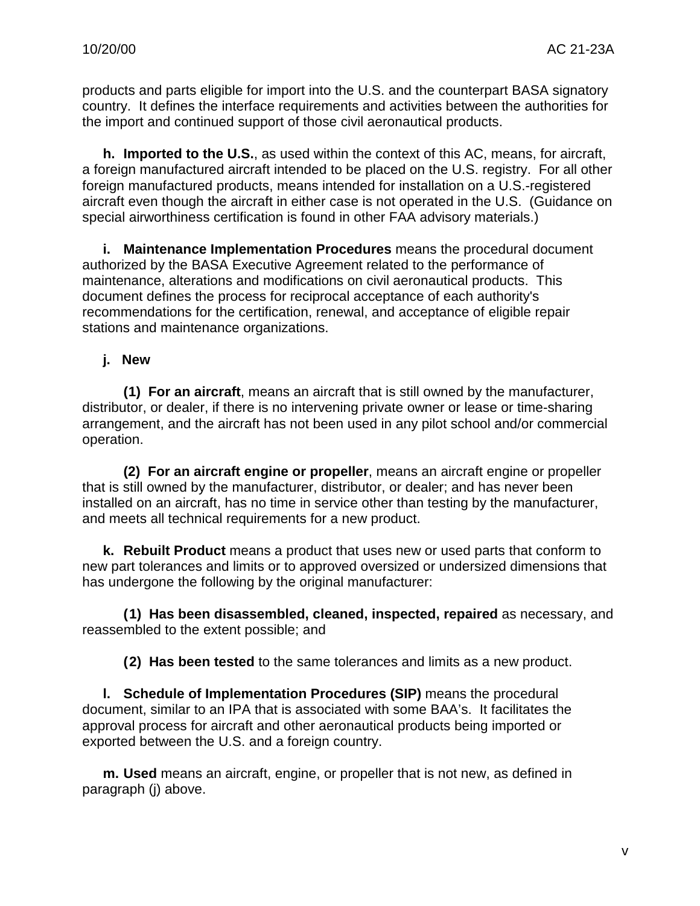products and parts eligible for import into the U.S. and the counterpart BASA signatory country. It defines the interface requirements and activities between the authorities for the import and continued support of those civil aeronautical products.

**h. Imported to the U.S.**, as used within the context of this AC, means, for aircraft, a foreign manufactured aircraft intended to be placed on the U.S. registry. For all other foreign manufactured products, means intended for installation on a U.S.-registered aircraft even though the aircraft in either case is not operated in the U.S. (Guidance on special airworthiness certification is found in other FAA advisory materials.)

**i. Maintenance Implementation Procedures** means the procedural document authorized by the BASA Executive Agreement related to the performance of maintenance, alterations and modifications on civil aeronautical products. This document defines the process for reciprocal acceptance of each authority's recommendations for the certification, renewal, and acceptance of eligible repair stations and maintenance organizations.

#### **j. New**

**(1) For an aircraft**, means an aircraft that is still owned by the manufacturer, distributor, or dealer, if there is no intervening private owner or lease or time-sharing arrangement, and the aircraft has not been used in any pilot school and/or commercial operation.

**(2) For an aircraft engine or propeller**, means an aircraft engine or propeller that is still owned by the manufacturer, distributor, or dealer; and has never been installed on an aircraft, has no time in service other than testing by the manufacturer, and meets all technical requirements for a new product.

**k. Rebuilt Product** means a product that uses new or used parts that conform to new part tolerances and limits or to approved oversized or undersized dimensions that has undergone the following by the original manufacturer:

**(1) Has been disassembled, cleaned, inspected, repaired** as necessary, and reassembled to the extent possible; and

**(2) Has been tested** to the same tolerances and limits as a new product.

**l. Schedule of Implementation Procedures (SIP)** means the procedural document, similar to an IPA that is associated with some BAA's. It facilitates the approval process for aircraft and other aeronautical products being imported or exported between the U.S. and a foreign country.

**m. Used** means an aircraft, engine, or propeller that is not new, as defined in paragraph (j) above.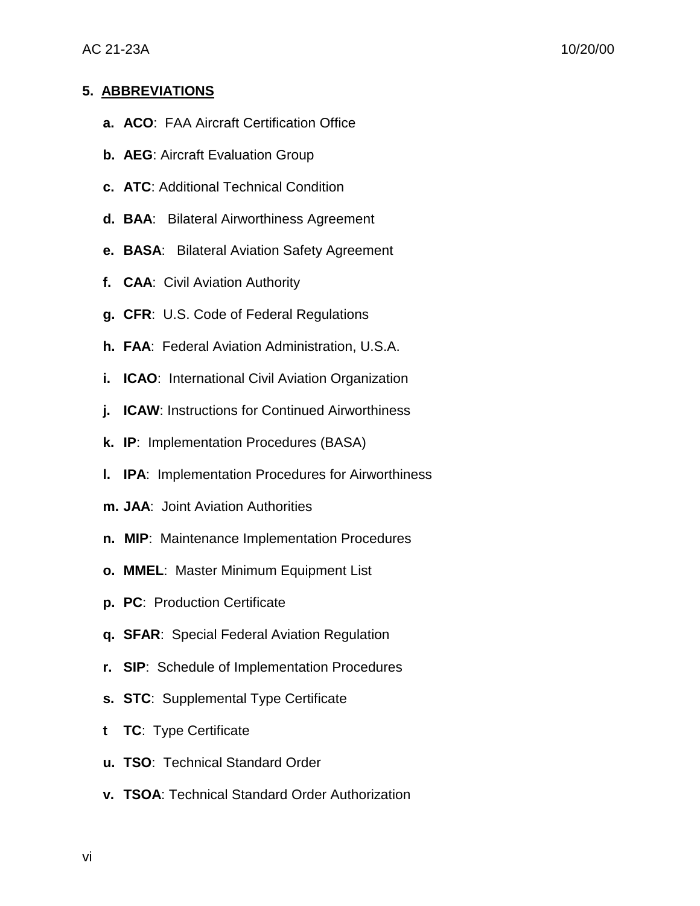#### **5. ABBREVIATIONS**

- **a. ACO**: FAA Aircraft Certification Office
- **b. AEG**: Aircraft Evaluation Group
- **c. ATC**: Additional Technical Condition
- **d. BAA**: Bilateral Airworthiness Agreement
- **e. BASA**: Bilateral Aviation Safety Agreement
- **f. CAA**: Civil Aviation Authority
- **g. CFR**: U.S. Code of Federal Regulations
- **h. FAA**: Federal Aviation Administration, U.S.A.
- **i. ICAO**: International Civil Aviation Organization
- **j. ICAW**: Instructions for Continued Airworthiness
- **k. IP**: Implementation Procedures (BASA)
- **l. IPA**: Implementation Procedures for Airworthiness
- **m. JAA**: Joint Aviation Authorities
- **n. MIP**: Maintenance Implementation Procedures
- **o. MMEL**: Master Minimum Equipment List
- **p. PC**: Production Certificate
- **q. SFAR**: Special Federal Aviation Regulation
- **r. SIP**: Schedule of Implementation Procedures
- **s. STC**: Supplemental Type Certificate
- **t TC**: Type Certificate
- **u. TSO**: Technical Standard Order
- **v. TSOA**: Technical Standard Order Authorization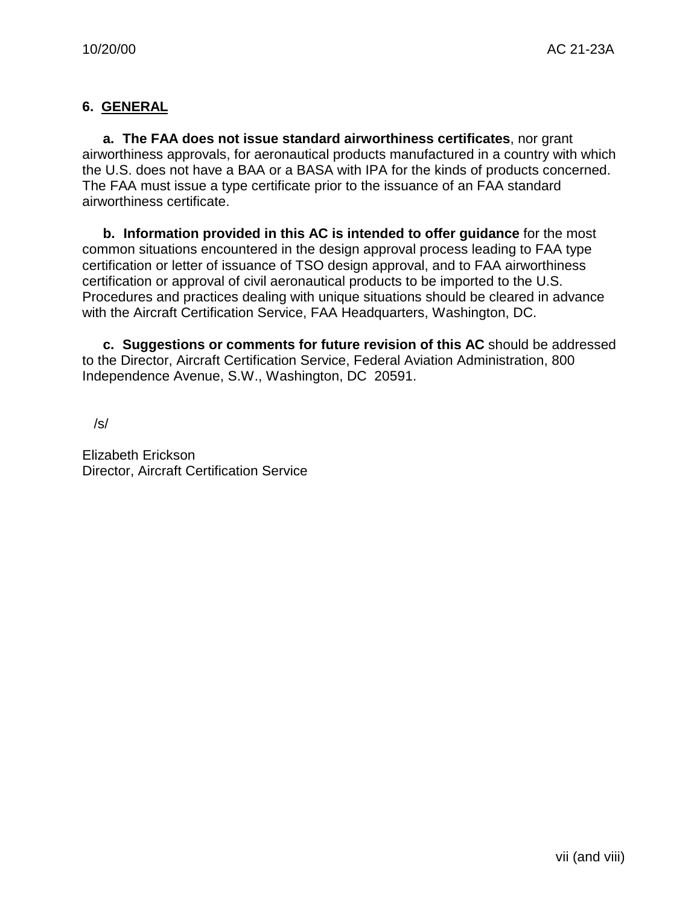# **6. GENERAL**

**a. The FAA does not issue standard airworthiness certificates**, nor grant airworthiness approvals, for aeronautical products manufactured in a country with which the U.S. does not have a BAA or a BASA with IPA for the kinds of products concerned. The FAA must issue a type certificate prior to the issuance of an FAA standard airworthiness certificate.

**b. Information provided in this AC is intended to offer guidance** for the most common situations encountered in the design approval process leading to FAA type certification or letter of issuance of TSO design approval, and to FAA airworthiness certification or approval of civil aeronautical products to be imported to the U.S. Procedures and practices dealing with unique situations should be cleared in advance with the Aircraft Certification Service, FAA Headquarters, Washington, DC.

**c. Suggestions or comments for future revision of this AC** should be addressed to the Director, Aircraft Certification Service, Federal Aviation Administration, 800 Independence Avenue, S.W., Washington, DC 20591.

/s/

Elizabeth Erickson Director, Aircraft Certification Service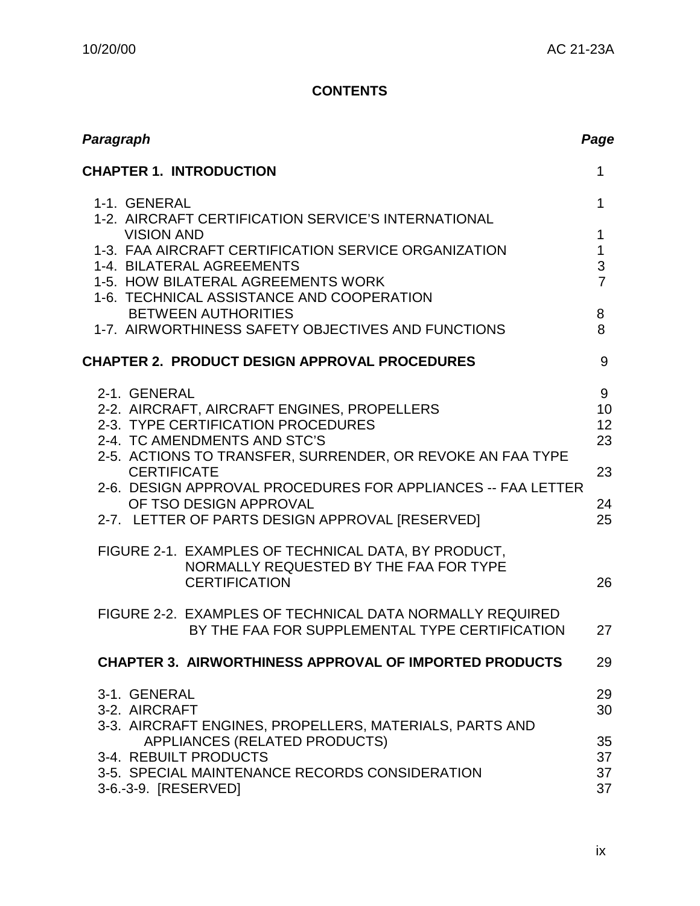# **CONTENTS**

| Paragraph                                                                                                                                                                                                                                                                                                                                                                                                                                                                                                                                                                                                 | Page                                                                      |
|-----------------------------------------------------------------------------------------------------------------------------------------------------------------------------------------------------------------------------------------------------------------------------------------------------------------------------------------------------------------------------------------------------------------------------------------------------------------------------------------------------------------------------------------------------------------------------------------------------------|---------------------------------------------------------------------------|
| <b>CHAPTER 1. INTRODUCTION</b>                                                                                                                                                                                                                                                                                                                                                                                                                                                                                                                                                                            | $\mathbf{1}$                                                              |
| 1-1. GENERAL<br>1-2. AIRCRAFT CERTIFICATION SERVICE'S INTERNATIONAL                                                                                                                                                                                                                                                                                                                                                                                                                                                                                                                                       | $\mathbf{1}$                                                              |
| <b>VISION AND</b><br>1-3. FAA AIRCRAFT CERTIFICATION SERVICE ORGANIZATION<br>1-4. BILATERAL AGREEMENTS<br>1-5. HOW BILATERAL AGREEMENTS WORK<br>1-6. TECHNICAL ASSISTANCE AND COOPERATION<br><b>BETWEEN AUTHORITIES</b><br>1-7. AIRWORTHINESS SAFETY OBJECTIVES AND FUNCTIONS                                                                                                                                                                                                                                                                                                                             | $\mathbf 1$<br>$\mathbf{1}$<br>$\mathfrak{S}$<br>$\overline{7}$<br>8<br>8 |
| <b>CHAPTER 2. PRODUCT DESIGN APPROVAL PROCEDURES</b>                                                                                                                                                                                                                                                                                                                                                                                                                                                                                                                                                      | 9                                                                         |
| 2-1. GENERAL<br>2-2. AIRCRAFT, AIRCRAFT ENGINES, PROPELLERS<br>2-3. TYPE CERTIFICATION PROCEDURES<br>2-4. TC AMENDMENTS AND STC'S<br>2-5. ACTIONS TO TRANSFER, SURRENDER, OR REVOKE AN FAA TYPE<br><b>CERTIFICATE</b><br>2-6. DESIGN APPROVAL PROCEDURES FOR APPLIANCES -- FAA LETTER<br>OF TSO DESIGN APPROVAL<br>2-7. LETTER OF PARTS DESIGN APPROVAL [RESERVED]<br>FIGURE 2-1. EXAMPLES OF TECHNICAL DATA, BY PRODUCT,<br>NORMALLY REQUESTED BY THE FAA FOR TYPE<br><b>CERTIFICATION</b><br>FIGURE 2-2. EXAMPLES OF TECHNICAL DATA NORMALLY REQUIRED<br>BY THE FAA FOR SUPPLEMENTAL TYPE CERTIFICATION | 9<br>10<br>12<br>23<br>23<br>24<br>25<br>26<br>27                         |
| <b>CHAPTER 3. AIRWORTHINESS APPROVAL OF IMPORTED PRODUCTS</b>                                                                                                                                                                                                                                                                                                                                                                                                                                                                                                                                             | 29                                                                        |
| 3-1. GENERAL<br>3-2. AIRCRAFT<br>3-3. AIRCRAFT ENGINES, PROPELLERS, MATERIALS, PARTS AND                                                                                                                                                                                                                                                                                                                                                                                                                                                                                                                  | 29<br>30                                                                  |
| APPLIANCES (RELATED PRODUCTS)<br>3-4. REBUILT PRODUCTS<br>3-5. SPECIAL MAINTENANCE RECORDS CONSIDERATION<br>3-6.-3-9. [RESERVED]                                                                                                                                                                                                                                                                                                                                                                                                                                                                          | 35<br>37<br>37<br>37                                                      |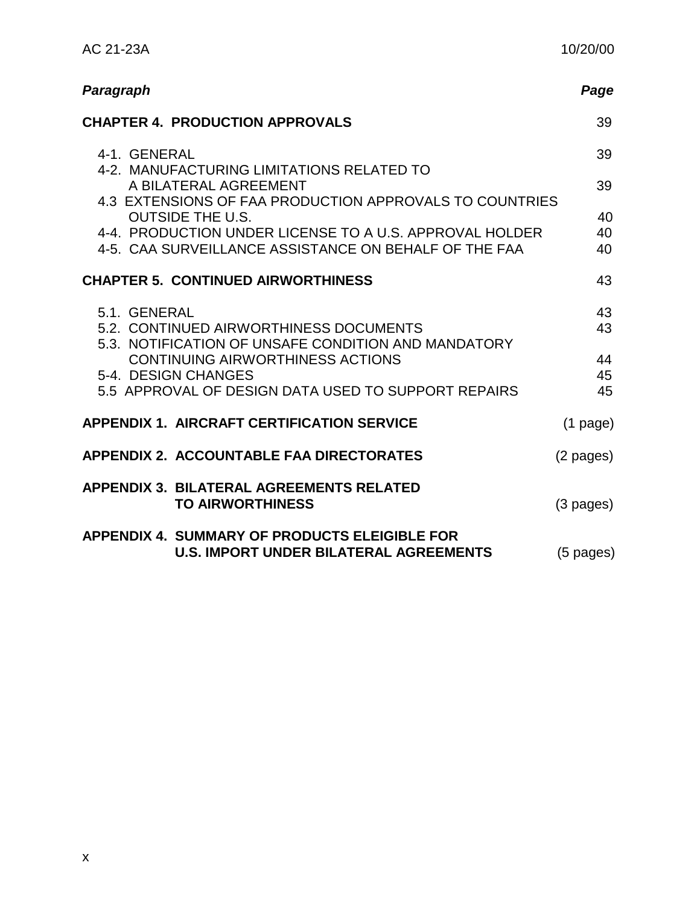| Paragraph                                                                                                        | Page                |
|------------------------------------------------------------------------------------------------------------------|---------------------|
| <b>CHAPTER 4. PRODUCTION APPROVALS</b>                                                                           | 39                  |
| 4-1. GENERAL                                                                                                     | 39                  |
| 4-2. MANUFACTURING LIMITATIONS RELATED TO<br>A BILATERAL AGREEMENT                                               | 39                  |
| 4.3 EXTENSIONS OF FAA PRODUCTION APPROVALS TO COUNTRIES<br><b>OUTSIDE THE U.S.</b>                               | 40                  |
| 4-4. PRODUCTION UNDER LICENSE TO A U.S. APPROVAL HOLDER<br>4-5. CAA SURVEILLANCE ASSISTANCE ON BEHALF OF THE FAA | 40<br>40            |
| <b>CHAPTER 5. CONTINUED AIRWORTHINESS</b>                                                                        | 43                  |
| 5.1. GENERAL<br>5.2. CONTINUED AIRWORTHINESS DOCUMENTS<br>5.3. NOTIFICATION OF UNSAFE CONDITION AND MANDATORY    | 43<br>43            |
| <b>CONTINUING AIRWORTHINESS ACTIONS</b>                                                                          | 44                  |
| 5-4. DESIGN CHANGES<br>5.5 APPROVAL OF DESIGN DATA USED TO SUPPORT REPAIRS                                       | 45<br>45            |
| <b>APPENDIX 1. AIRCRAFT CERTIFICATION SERVICE</b>                                                                | $(1$ page)          |
| <b>APPENDIX 2. ACCOUNTABLE FAA DIRECTORATES</b>                                                                  | (2 pages)           |
| <b>APPENDIX 3. BILATERAL AGREEMENTS RELATED</b><br><b>TO AIRWORTHINESS</b>                                       | (3 pages)           |
| <b>APPENDIX 4. SUMMARY OF PRODUCTS ELEIGIBLE FOR</b><br><b>U.S. IMPORT UNDER BILATERAL AGREEMENTS</b>            | $(5 \text{ pages})$ |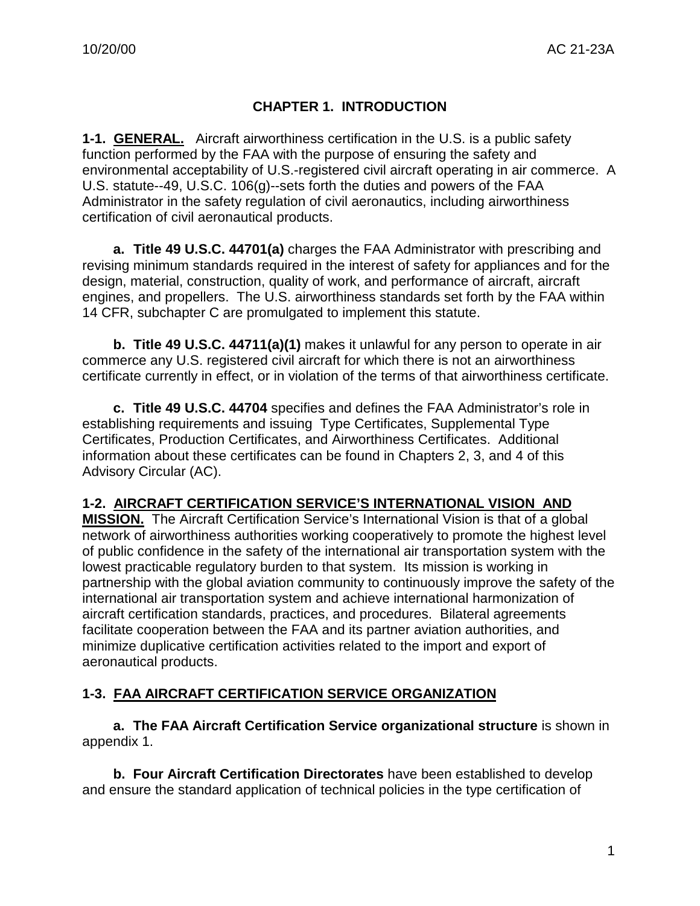# **CHAPTER 1. INTRODUCTION**

**1-1. GENERAL.** Aircraft airworthiness certification in the U.S. is a public safety function performed by the FAA with the purpose of ensuring the safety and environmental acceptability of U.S.-registered civil aircraft operating in air commerce. A U.S. statute--49, U.S.C. 106(g)--sets forth the duties and powers of the FAA Administrator in the safety regulation of civil aeronautics, including airworthiness certification of civil aeronautical products.

**a. Title 49 U.S.C. 44701(a)** charges the FAA Administrator with prescribing and revising minimum standards required in the interest of safety for appliances and for the design, material, construction, quality of work, and performance of aircraft, aircraft engines, and propellers. The U.S. airworthiness standards set forth by the FAA within 14 CFR, subchapter C are promulgated to implement this statute.

**b. Title 49 U.S.C. 44711(a)(1)** makes it unlawful for any person to operate in air commerce any U.S. registered civil aircraft for which there is not an airworthiness certificate currently in effect, or in violation of the terms of that airworthiness certificate.

**c. Title 49 U.S.C. 44704** specifies and defines the FAA Administrator's role in establishing requirements and issuing Type Certificates, Supplemental Type Certificates, Production Certificates, and Airworthiness Certificates. Additional information about these certificates can be found in Chapters 2, 3, and 4 of this Advisory Circular (AC).

# **1-2. AIRCRAFT CERTIFICATION SERVICE'S INTERNATIONAL VISION AND**

**MISSION.** The Aircraft Certification Service's International Vision is that of a global network of airworthiness authorities working cooperatively to promote the highest level of public confidence in the safety of the international air transportation system with the lowest practicable regulatory burden to that system. Its mission is working in partnership with the global aviation community to continuously improve the safety of the international air transportation system and achieve international harmonization of aircraft certification standards, practices, and procedures. Bilateral agreements facilitate cooperation between the FAA and its partner aviation authorities, and minimize duplicative certification activities related to the import and export of aeronautical products.

# **1-3. FAA AIRCRAFT CERTIFICATION SERVICE ORGANIZATION**

**a. The FAA Aircraft Certification Service organizational structure** is shown in appendix 1.

**b. Four Aircraft Certification Directorates** have been established to develop and ensure the standard application of technical policies in the type certification of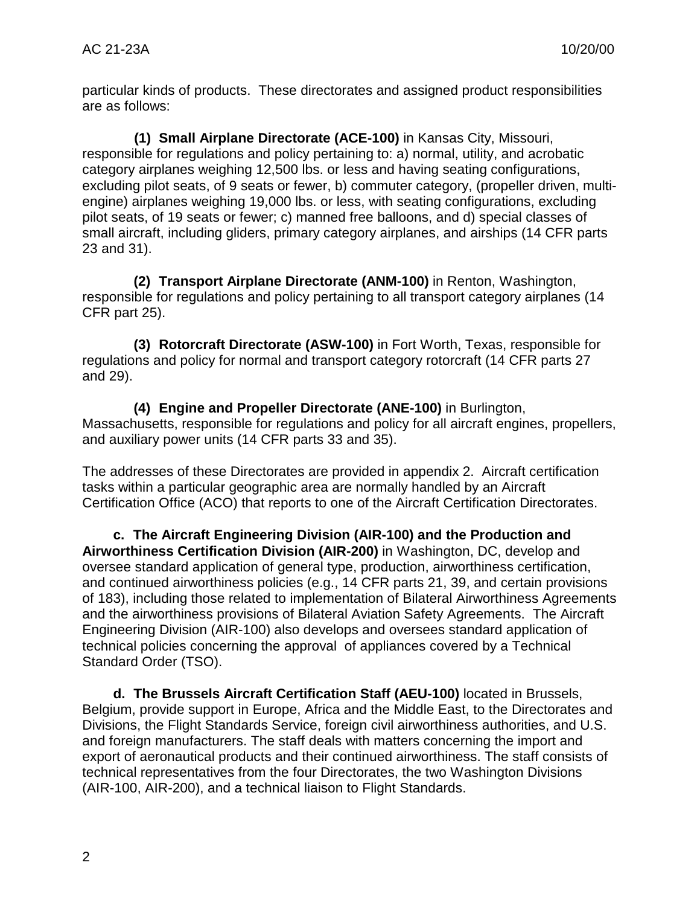particular kinds of products. These directorates and assigned product responsibilities are as follows:

**(1) Small Airplane Directorate (ACE-100)** in Kansas City, Missouri, responsible for regulations and policy pertaining to: a) normal, utility, and acrobatic category airplanes weighing 12,500 lbs. or less and having seating configurations, excluding pilot seats, of 9 seats or fewer, b) commuter category, (propeller driven, multiengine) airplanes weighing 19,000 lbs. or less, with seating configurations, excluding pilot seats, of 19 seats or fewer; c) manned free balloons, and d) special classes of small aircraft, including gliders, primary category airplanes, and airships (14 CFR parts 23 and 31).

**(2) Transport Airplane Directorate (ANM-100)** in Renton, Washington, responsible for regulations and policy pertaining to all transport category airplanes (14 CFR part 25).

**(3) Rotorcraft Directorate (ASW-100)** in Fort Worth, Texas, responsible for regulations and policy for normal and transport category rotorcraft (14 CFR parts 27 and 29).

**(4) Engine and Propeller Directorate (ANE-100)** in Burlington, Massachusetts, responsible for regulations and policy for all aircraft engines, propellers, and auxiliary power units (14 CFR parts 33 and 35).

The addresses of these Directorates are provided in appendix 2. Aircraft certification tasks within a particular geographic area are normally handled by an Aircraft Certification Office (ACO) that reports to one of the Aircraft Certification Directorates.

**c. The Aircraft Engineering Division (AIR-100) and the Production and Airworthiness Certification Division (AIR-200)** in Washington, DC, develop and oversee standard application of general type, production, airworthiness certification, and continued airworthiness policies (e.g., 14 CFR parts 21, 39, and certain provisions of 183), including those related to implementation of Bilateral Airworthiness Agreements and the airworthiness provisions of Bilateral Aviation Safety Agreements. The Aircraft Engineering Division (AIR-100) also develops and oversees standard application of technical policies concerning the approval of appliances covered by a Technical Standard Order (TSO).

**d. The Brussels Aircraft Certification Staff (AEU-100)** located in Brussels, Belgium, provide support in Europe, Africa and the Middle East, to the Directorates and Divisions, the Flight Standards Service, foreign civil airworthiness authorities, and U.S. and foreign manufacturers. The staff deals with matters concerning the import and export of aeronautical products and their continued airworthiness. The staff consists of technical representatives from the four Directorates, the two Washington Divisions (AIR-100, AIR-200), and a technical liaison to Flight Standards.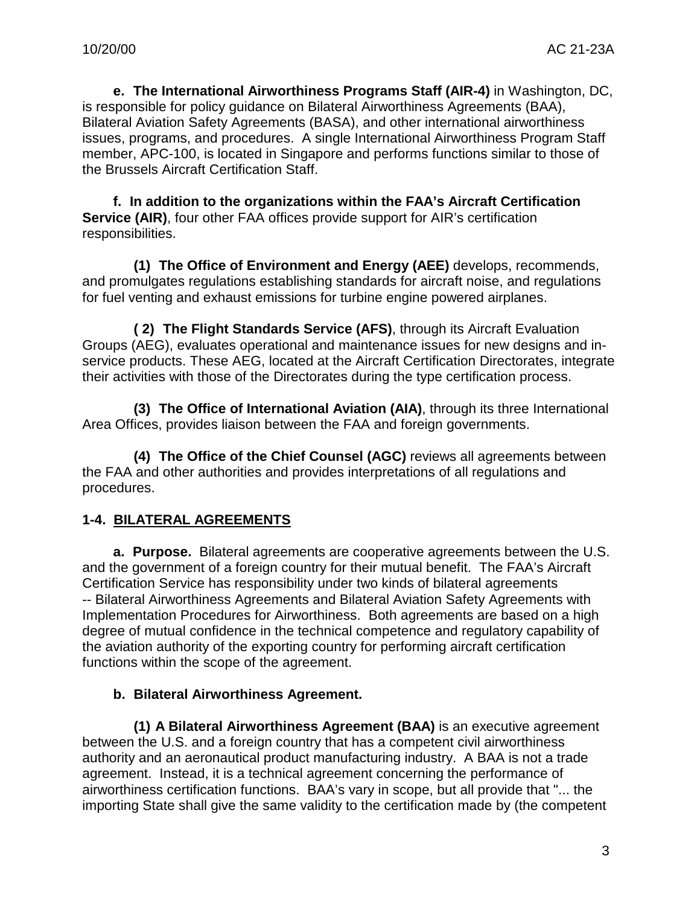**e. The International Airworthiness Programs Staff (AIR-4)** in Washington, DC, is responsible for policy guidance on Bilateral Airworthiness Agreements (BAA), Bilateral Aviation Safety Agreements (BASA), and other international airworthiness issues, programs, and procedures. A single International Airworthiness Program Staff member, APC-100, is located in Singapore and performs functions similar to those of the Brussels Aircraft Certification Staff.

**f. In addition to the organizations within the FAA's Aircraft Certification Service (AIR)**, four other FAA offices provide support for AIR's certification responsibilities.

**(1) The Office of Environment and Energy (AEE)** develops, recommends, and promulgates regulations establishing standards for aircraft noise, and regulations for fuel venting and exhaust emissions for turbine engine powered airplanes.

**( 2) The Flight Standards Service (AFS)**, through its Aircraft Evaluation Groups (AEG), evaluates operational and maintenance issues for new designs and inservice products. These AEG, located at the Aircraft Certification Directorates, integrate their activities with those of the Directorates during the type certification process.

**(3) The Office of International Aviation (AIA)**, through its three International Area Offices, provides liaison between the FAA and foreign governments.

**(4) The Office of the Chief Counsel (AGC)** reviews all agreements between the FAA and other authorities and provides interpretations of all regulations and procedures.

# **1-4. BILATERAL AGREEMENTS**

**a. Purpose.** Bilateral agreements are cooperative agreements between the U.S. and the government of a foreign country for their mutual benefit. The FAA's Aircraft Certification Service has responsibility under two kinds of bilateral agreements -- Bilateral Airworthiness Agreements and Bilateral Aviation Safety Agreements with Implementation Procedures for Airworthiness. Both agreements are based on a high degree of mutual confidence in the technical competence and regulatory capability of the aviation authority of the exporting country for performing aircraft certification functions within the scope of the agreement.

# **b. Bilateral Airworthiness Agreement.**

**(1) A Bilateral Airworthiness Agreement (BAA)** is an executive agreement between the U.S. and a foreign country that has a competent civil airworthiness authority and an aeronautical product manufacturing industry. A BAA is not a trade agreement. Instead, it is a technical agreement concerning the performance of airworthiness certification functions. BAA's vary in scope, but all provide that "... the importing State shall give the same validity to the certification made by (the competent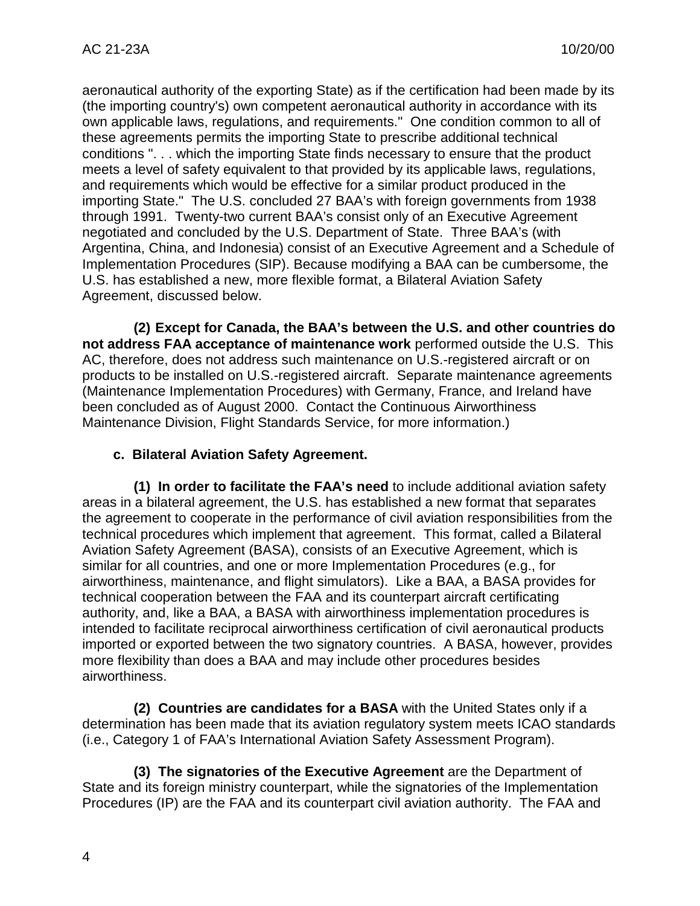aeronautical authority of the exporting State) as if the certification had been made by its (the importing country's) own competent aeronautical authority in accordance with its own applicable laws, regulations, and requirements." One condition common to all of these agreements permits the importing State to prescribe additional technical conditions ". . . which the importing State finds necessary to ensure that the product meets a level of safety equivalent to that provided by its applicable laws, regulations, and requirements which would be effective for a similar product produced in the importing State." The U.S. concluded 27 BAA's with foreign governments from 1938 through 1991. Twenty-two current BAA's consist only of an Executive Agreement negotiated and concluded by the U.S. Department of State. Three BAA's (with Argentina, China, and Indonesia) consist of an Executive Agreement and a Schedule of Implementation Procedures (SIP). Because modifying a BAA can be cumbersome, the U.S. has established a new, more flexible format, a Bilateral Aviation Safety Agreement, discussed below.

**(2) Except for Canada, the BAA's between the U.S. and other countries do not address FAA acceptance of maintenance work** performed outside the U.S. This AC, therefore, does not address such maintenance on U.S.-registered aircraft or on products to be installed on U.S.-registered aircraft. Separate maintenance agreements (Maintenance Implementation Procedures) with Germany, France, and Ireland have been concluded as of August 2000. Contact the Continuous Airworthiness Maintenance Division, Flight Standards Service, for more information.)

# **c. Bilateral Aviation Safety Agreement.**

**(1) In order to facilitate the FAA's need** to include additional aviation safety areas in a bilateral agreement, the U.S. has established a new format that separates the agreement to cooperate in the performance of civil aviation responsibilities from the technical procedures which implement that agreement. This format, called a Bilateral Aviation Safety Agreement (BASA), consists of an Executive Agreement, which is similar for all countries, and one or more Implementation Procedures (e.g., for airworthiness, maintenance, and flight simulators). Like a BAA, a BASA provides for technical cooperation between the FAA and its counterpart aircraft certificating authority, and, like a BAA, a BASA with airworthiness implementation procedures is intended to facilitate reciprocal airworthiness certification of civil aeronautical products imported or exported between the two signatory countries. A BASA, however, provides more flexibility than does a BAA and may include other procedures besides airworthiness.

**(2) Countries are candidates for a BASA** with the United States only if a determination has been made that its aviation regulatory system meets ICAO standards (i.e., Category 1 of FAA's International Aviation Safety Assessment Program).

**(3) The signatories of the Executive Agreement** are the Department of State and its foreign ministry counterpart, while the signatories of the Implementation Procedures (IP) are the FAA and its counterpart civil aviation authority. The FAA and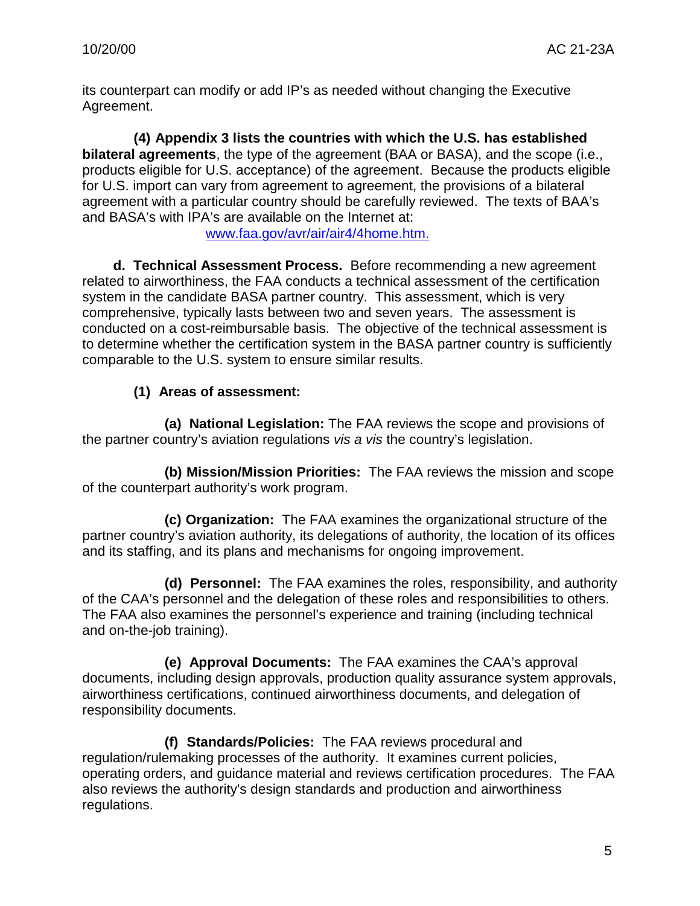its counterpart can modify or add IP's as needed without changing the Executive Agreement.

**(4) Appendix 3 lists the countries with which the U.S. has established bilateral agreements**, the type of the agreement (BAA or BASA), and the scope (i.e., products eligible for U.S. acceptance) of the agreement. Because the products eligible for U.S. import can vary from agreement to agreement, the provisions of a bilateral agreement with a particular country should be carefully reviewed. The texts of BAA's and BASA's with IPA's are available on the Internet at:

[www.faa.gov/avr/air/air4/4home.htm.](http://www.faa.gov/avr/air/air4/4home.htm.)

**d. Technical Assessment Process.** Before recommending a new agreement related to airworthiness, the FAA conducts a technical assessment of the certification system in the candidate BASA partner country. This assessment, which is very comprehensive, typically lasts between two and seven years. The assessment is conducted on a cost-reimbursable basis. The objective of the technical assessment is to determine whether the certification system in the BASA partner country is sufficiently comparable to the U.S. system to ensure similar results.

# **(1) Areas of assessment:**

**(a) National Legislation:** The FAA reviews the scope and provisions of the partner country's aviation regulations *vis a vis* the country's legislation.

**(b) Mission/Mission Priorities:** The FAA reviews the mission and scope of the counterpart authority's work program.

**(c) Organization:** The FAA examines the organizational structure of the partner country's aviation authority, its delegations of authority, the location of its offices and its staffing, and its plans and mechanisms for ongoing improvement.

**(d) Personnel:** The FAA examines the roles, responsibility, and authority of the CAA's personnel and the delegation of these roles and responsibilities to others. The FAA also examines the personnel's experience and training (including technical and on-the-job training).

**(e) Approval Documents:** The FAA examines the CAA's approval documents, including design approvals, production quality assurance system approvals, airworthiness certifications, continued airworthiness documents, and delegation of responsibility documents.

**(f) Standards/Policies:** The FAA reviews procedural and regulation/rulemaking processes of the authority. It examines current policies, operating orders, and guidance material and reviews certification procedures. The FAA also reviews the authority's design standards and production and airworthiness regulations.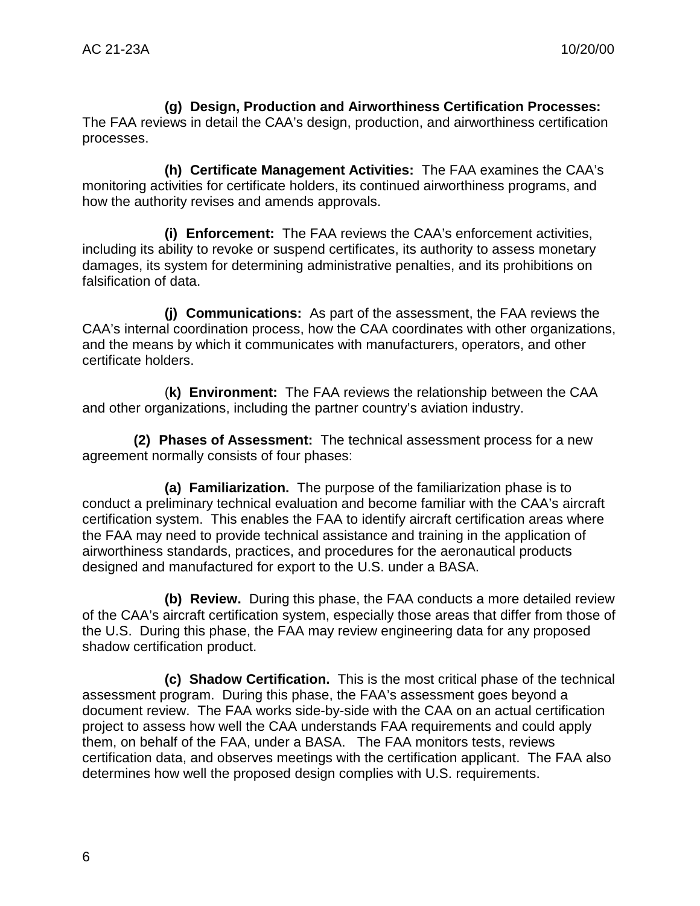**(g) Design, Production and Airworthiness Certification Processes:** The FAA reviews in detail the CAA's design, production, and airworthiness certification processes.

**(h) Certificate Management Activities:** The FAA examines the CAA's monitoring activities for certificate holders, its continued airworthiness programs, and how the authority revises and amends approvals.

**(i) Enforcement:** The FAA reviews the CAA's enforcement activities, including its ability to revoke or suspend certificates, its authority to assess monetary damages, its system for determining administrative penalties, and its prohibitions on falsification of data.

**(j) Communications:** As part of the assessment, the FAA reviews the CAA's internal coordination process, how the CAA coordinates with other organizations, and the means by which it communicates with manufacturers, operators, and other certificate holders.

(**k) Environment:** The FAA reviews the relationship between the CAA and other organizations, including the partner country's aviation industry.

**(2) Phases of Assessment:** The technical assessment process for a new agreement normally consists of four phases:

**(a) Familiarization.** The purpose of the familiarization phase is to conduct a preliminary technical evaluation and become familiar with the CAA's aircraft certification system. This enables the FAA to identify aircraft certification areas where the FAA may need to provide technical assistance and training in the application of airworthiness standards, practices, and procedures for the aeronautical products designed and manufactured for export to the U.S. under a BASA.

**(b) Review.** During this phase, the FAA conducts a more detailed review of the CAA's aircraft certification system, especially those areas that differ from those of the U.S. During this phase, the FAA may review engineering data for any proposed shadow certification product.

**(c) Shadow Certification.** This is the most critical phase of the technical assessment program. During this phase, the FAA's assessment goes beyond a document review. The FAA works side-by-side with the CAA on an actual certification project to assess how well the CAA understands FAA requirements and could apply them, on behalf of the FAA, under a BASA. The FAA monitors tests, reviews certification data, and observes meetings with the certification applicant. The FAA also determines how well the proposed design complies with U.S. requirements.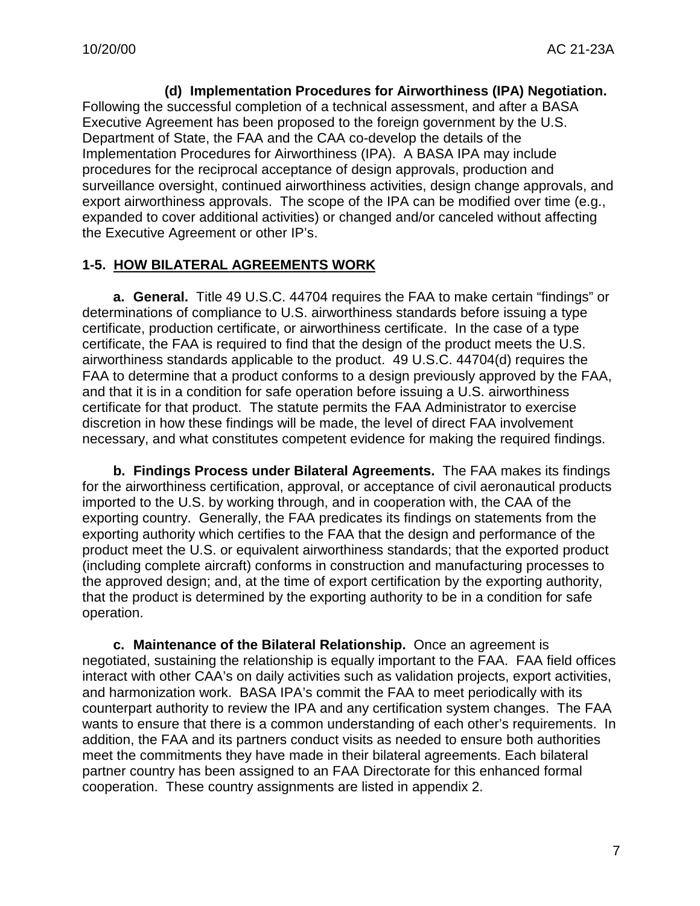**(d) Implementation Procedures for Airworthiness (IPA) Negotiation.** Following the successful completion of a technical assessment, and after a BASA Executive Agreement has been proposed to the foreign government by the U.S. Department of State, the FAA and the CAA co-develop the details of the Implementation Procedures for Airworthiness (IPA). A BASA IPA may include procedures for the reciprocal acceptance of design approvals, production and surveillance oversight, continued airworthiness activities, design change approvals, and export airworthiness approvals. The scope of the IPA can be modified over time (e.g., expanded to cover additional activities) or changed and/or canceled without affecting the Executive Agreement or other IP's.

# **1-5. HOW BILATERAL AGREEMENTS WORK**

**a. General.** Title 49 U.S.C. 44704 requires the FAA to make certain "findings" or determinations of compliance to U.S. airworthiness standards before issuing a type certificate, production certificate, or airworthiness certificate. In the case of a type certificate, the FAA is required to find that the design of the product meets the U.S. airworthiness standards applicable to the product. 49 U.S.C. 44704(d) requires the FAA to determine that a product conforms to a design previously approved by the FAA, and that it is in a condition for safe operation before issuing a U.S. airworthiness certificate for that product. The statute permits the FAA Administrator to exercise discretion in how these findings will be made, the level of direct FAA involvement necessary, and what constitutes competent evidence for making the required findings.

**b. Findings Process under Bilateral Agreements.** The FAA makes its findings for the airworthiness certification, approval, or acceptance of civil aeronautical products imported to the U.S. by working through, and in cooperation with, the CAA of the exporting country. Generally, the FAA predicates its findings on statements from the exporting authority which certifies to the FAA that the design and performance of the product meet the U.S. or equivalent airworthiness standards; that the exported product (including complete aircraft) conforms in construction and manufacturing processes to the approved design; and, at the time of export certification by the exporting authority, that the product is determined by the exporting authority to be in a condition for safe operation.

**c. Maintenance of the Bilateral Relationship.** Once an agreement is negotiated, sustaining the relationship is equally important to the FAA. FAA field offices interact with other CAA's on daily activities such as validation projects, export activities, and harmonization work. BASA IPA's commit the FAA to meet periodically with its counterpart authority to review the IPA and any certification system changes. The FAA wants to ensure that there is a common understanding of each other's requirements. In addition, the FAA and its partners conduct visits as needed to ensure both authorities meet the commitments they have made in their bilateral agreements. Each bilateral partner country has been assigned to an FAA Directorate for this enhanced formal cooperation. These country assignments are listed in appendix 2.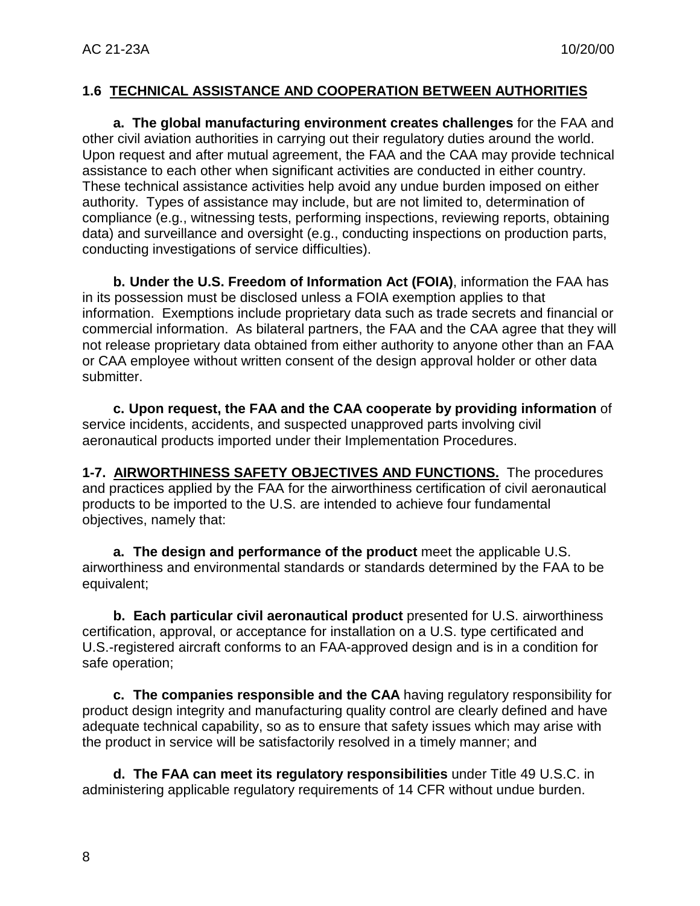#### **1.6 TECHNICAL ASSISTANCE AND COOPERATION BETWEEN AUTHORITIES**

**a. The global manufacturing environment creates challenges** for the FAA and other civil aviation authorities in carrying out their regulatory duties around the world. Upon request and after mutual agreement, the FAA and the CAA may provide technical assistance to each other when significant activities are conducted in either country. These technical assistance activities help avoid any undue burden imposed on either authority. Types of assistance may include, but are not limited to, determination of compliance (e.g., witnessing tests, performing inspections, reviewing reports, obtaining data) and surveillance and oversight (e.g., conducting inspections on production parts, conducting investigations of service difficulties).

**b. Under the U.S. Freedom of Information Act (FOIA)**, information the FAA has in its possession must be disclosed unless a FOIA exemption applies to that information. Exemptions include proprietary data such as trade secrets and financial or commercial information. As bilateral partners, the FAA and the CAA agree that they will not release proprietary data obtained from either authority to anyone other than an FAA or CAA employee without written consent of the design approval holder or other data submitter.

**c. Upon request, the FAA and the CAA cooperate by providing information** of service incidents, accidents, and suspected unapproved parts involving civil aeronautical products imported under their Implementation Procedures.

**1-7. AIRWORTHINESS SAFETY OBJECTIVES AND FUNCTIONS.** The procedures and practices applied by the FAA for the airworthiness certification of civil aeronautical products to be imported to the U.S. are intended to achieve four fundamental objectives, namely that:

**a. The design and performance of the product** meet the applicable U.S. airworthiness and environmental standards or standards determined by the FAA to be equivalent;

**b. Each particular civil aeronautical product** presented for U.S. airworthiness certification, approval, or acceptance for installation on a U.S. type certificated and U.S.-registered aircraft conforms to an FAA-approved design and is in a condition for safe operation;

**c. The companies responsible and the CAA** having regulatory responsibility for product design integrity and manufacturing quality control are clearly defined and have adequate technical capability, so as to ensure that safety issues which may arise with the product in service will be satisfactorily resolved in a timely manner; and

**d. The FAA can meet its regulatory responsibilities** under Title 49 U.S.C. in administering applicable regulatory requirements of 14 CFR without undue burden.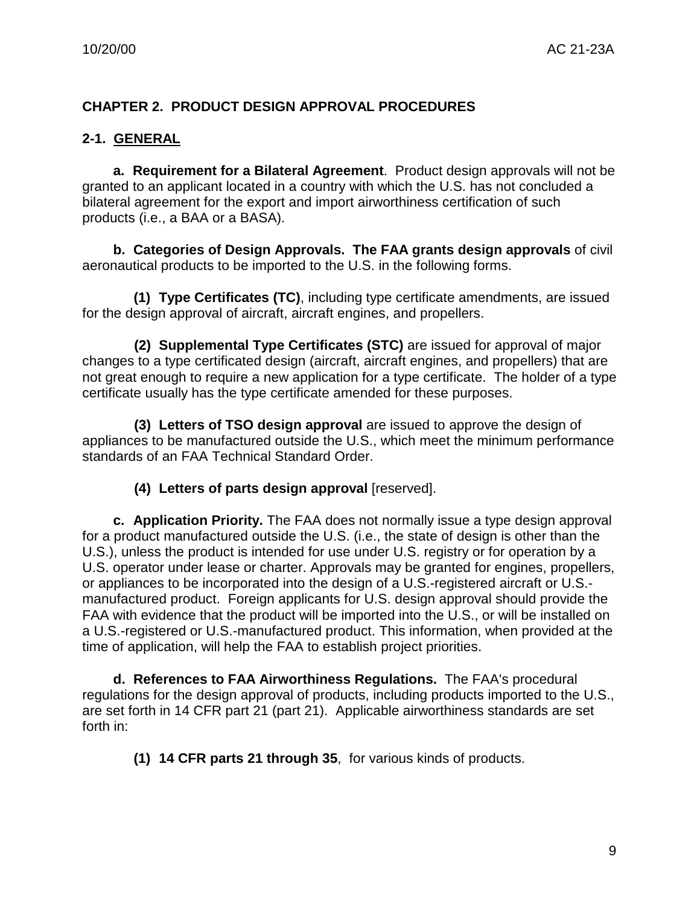# **CHAPTER 2. PRODUCT DESIGN APPROVAL PROCEDURES**

# **2-1. GENERAL**

**a. Requirement for a Bilateral Agreement**. Product design approvals will not be granted to an applicant located in a country with which the U.S. has not concluded a bilateral agreement for the export and import airworthiness certification of such products (i.e., a BAA or a BASA).

**b. Categories of Design Approvals. The FAA grants design approvals** of civil aeronautical products to be imported to the U.S. in the following forms.

**(1) Type Certificates (TC)**, including type certificate amendments, are issued for the design approval of aircraft, aircraft engines, and propellers.

**(2) Supplemental Type Certificates (STC)** are issued for approval of major changes to a type certificated design (aircraft, aircraft engines, and propellers) that are not great enough to require a new application for a type certificate. The holder of a type certificate usually has the type certificate amended for these purposes.

**(3) Letters of TSO design approval** are issued to approve the design of appliances to be manufactured outside the U.S., which meet the minimum performance standards of an FAA Technical Standard Order.

#### **(4) Letters of parts design approval** [reserved].

**c. Application Priority.** The FAA does not normally issue a type design approval for a product manufactured outside the U.S. (i.e., the state of design is other than the U.S.), unless the product is intended for use under U.S. registry or for operation by a U.S. operator under lease or charter. Approvals may be granted for engines, propellers, or appliances to be incorporated into the design of a U.S.-registered aircraft or U.S. manufactured product. Foreign applicants for U.S. design approval should provide the FAA with evidence that the product will be imported into the U.S., or will be installed on a U.S.-registered or U.S.-manufactured product. This information, when provided at the time of application, will help the FAA to establish project priorities.

**d. References to FAA Airworthiness Regulations.** The FAA's procedural regulations for the design approval of products, including products imported to the U.S., are set forth in 14 CFR part 21 (part 21). Applicable airworthiness standards are set forth in:

**(1) 14 CFR parts 21 through 35**, for various kinds of products.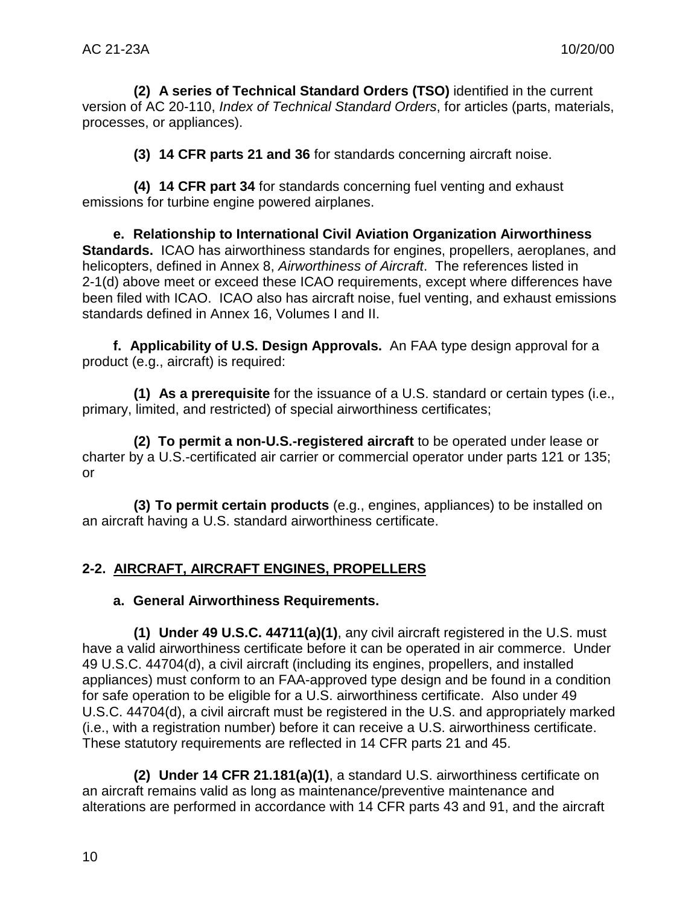**(2) A series of Technical Standard Orders (TSO)** identified in the current version of AC 20-110, *Index of Technical Standard Orders*, for articles (parts, materials, processes, or appliances).

**(3) 14 CFR parts 21 and 36** for standards concerning aircraft noise.

**(4) 14 CFR part 34** for standards concerning fuel venting and exhaust emissions for turbine engine powered airplanes.

**e. Relationship to International Civil Aviation Organization Airworthiness Standards.** ICAO has airworthiness standards for engines, propellers, aeroplanes, and helicopters, defined in Annex 8, *Airworthiness of Aircraft*. The references listed in 2-1(d) above meet or exceed these ICAO requirements, except where differences have been filed with ICAO. ICAO also has aircraft noise, fuel venting, and exhaust emissions standards defined in Annex 16, Volumes I and II.

**f. Applicability of U.S. Design Approvals.** An FAA type design approval for a product (e.g., aircraft) is required:

**(1) As a prerequisite** for the issuance of a U.S. standard or certain types (i.e., primary, limited, and restricted) of special airworthiness certificates;

**(2) To permit a non-U.S.-registered aircraft** to be operated under lease or charter by a U.S.-certificated air carrier or commercial operator under parts 121 or 135; or

**(3) To permit certain products** (e.g., engines, appliances) to be installed on an aircraft having a U.S. standard airworthiness certificate.

# **2-2. AIRCRAFT, AIRCRAFT ENGINES, PROPELLERS**

# **a. General Airworthiness Requirements.**

**(1) Under 49 U.S.C. 44711(a)(1)**, any civil aircraft registered in the U.S. must have a valid airworthiness certificate before it can be operated in air commerce. Under 49 U.S.C. 44704(d), a civil aircraft (including its engines, propellers, and installed appliances) must conform to an FAA-approved type design and be found in a condition for safe operation to be eligible for a U.S. airworthiness certificate. Also under 49 U.S.C. 44704(d), a civil aircraft must be registered in the U.S. and appropriately marked (i.e., with a registration number) before it can receive a U.S. airworthiness certificate. These statutory requirements are reflected in 14 CFR parts 21 and 45.

**(2) Under 14 CFR 21.181(a)(1)**, a standard U.S. airworthiness certificate on an aircraft remains valid as long as maintenance/preventive maintenance and alterations are performed in accordance with 14 CFR parts 43 and 91, and the aircraft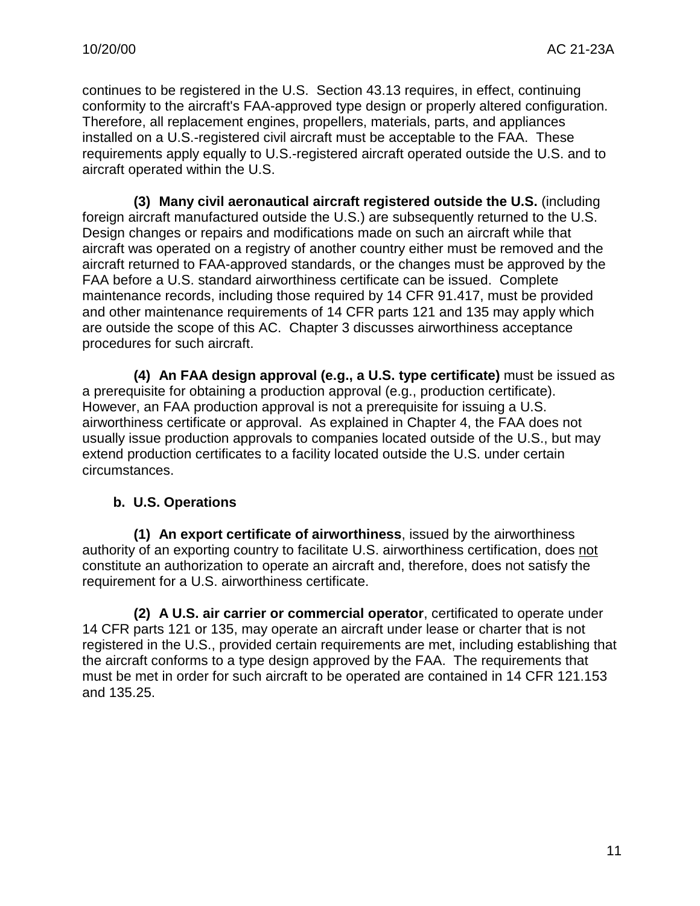continues to be registered in the U.S. Section 43.13 requires, in effect, continuing conformity to the aircraft's FAA-approved type design or properly altered configuration. Therefore, all replacement engines, propellers, materials, parts, and appliances installed on a U.S.-registered civil aircraft must be acceptable to the FAA. These requirements apply equally to U.S.-registered aircraft operated outside the U.S. and to aircraft operated within the U.S.

**(3) Many civil aeronautical aircraft registered outside the U.S.** (including foreign aircraft manufactured outside the U.S.) are subsequently returned to the U.S. Design changes or repairs and modifications made on such an aircraft while that aircraft was operated on a registry of another country either must be removed and the aircraft returned to FAA-approved standards, or the changes must be approved by the FAA before a U.S. standard airworthiness certificate can be issued. Complete maintenance records, including those required by 14 CFR 91.417, must be provided and other maintenance requirements of 14 CFR parts 121 and 135 may apply which are outside the scope of this AC. Chapter 3 discusses airworthiness acceptance procedures for such aircraft.

**(4) An FAA design approval (e.g., a U.S. type certificate)** must be issued as a prerequisite for obtaining a production approval (e.g., production certificate). However, an FAA production approval is not a prerequisite for issuing a U.S. airworthiness certificate or approval. As explained in Chapter 4, the FAA does not usually issue production approvals to companies located outside of the U.S., but may extend production certificates to a facility located outside the U.S. under certain circumstances.

#### **b. U.S. Operations**

**(1) An export certificate of airworthiness**, issued by the airworthiness authority of an exporting country to facilitate U.S. airworthiness certification, does not constitute an authorization to operate an aircraft and, therefore, does not satisfy the requirement for a U.S. airworthiness certificate.

**(2) A U.S. air carrier or commercial operator**, certificated to operate under 14 CFR parts 121 or 135, may operate an aircraft under lease or charter that is not registered in the U.S., provided certain requirements are met, including establishing that the aircraft conforms to a type design approved by the FAA. The requirements that must be met in order for such aircraft to be operated are contained in 14 CFR 121.153 and 135.25.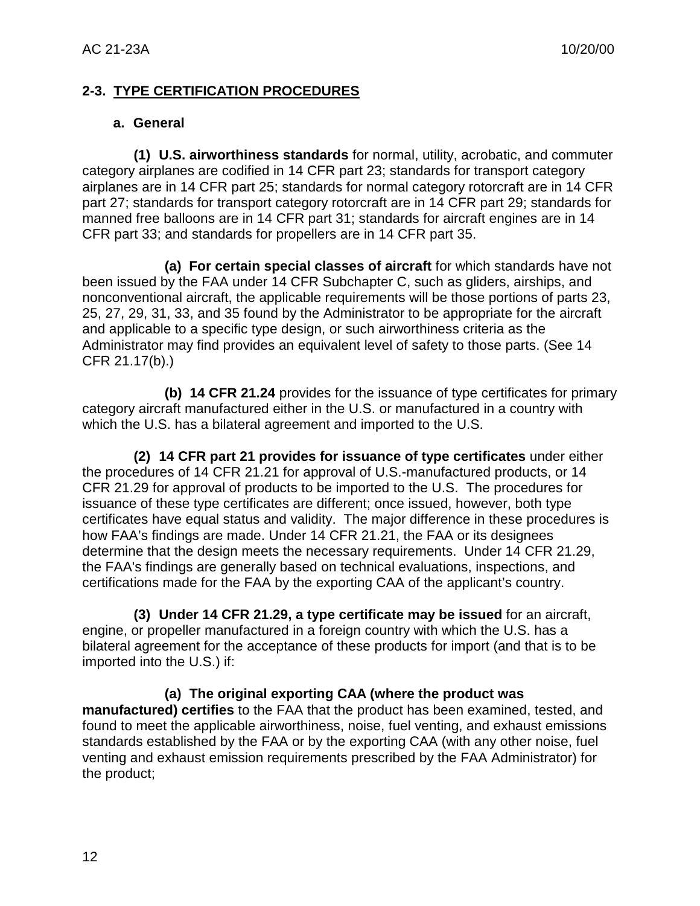#### **2-3. TYPE CERTIFICATION PROCEDURES**

#### **a. General**

**(1) U.S. airworthiness standards** for normal, utility, acrobatic, and commuter category airplanes are codified in 14 CFR part 23; standards for transport category airplanes are in 14 CFR part 25; standards for normal category rotorcraft are in 14 CFR part 27; standards for transport category rotorcraft are in 14 CFR part 29; standards for manned free balloons are in 14 CFR part 31; standards for aircraft engines are in 14 CFR part 33; and standards for propellers are in 14 CFR part 35.

**(a) For certain special classes of aircraft** for which standards have not been issued by the FAA under 14 CFR Subchapter C, such as gliders, airships, and nonconventional aircraft, the applicable requirements will be those portions of parts 23, 25, 27, 29, 31, 33, and 35 found by the Administrator to be appropriate for the aircraft and applicable to a specific type design, or such airworthiness criteria as the Administrator may find provides an equivalent level of safety to those parts. (See 14 CFR 21.17(b).)

**(b) 14 CFR 21.24** provides for the issuance of type certificates for primary category aircraft manufactured either in the U.S. or manufactured in a country with which the U.S. has a bilateral agreement and imported to the U.S.

**(2) 14 CFR part 21 provides for issuance of type certificates** under either the procedures of 14 CFR 21.21 for approval of U.S.-manufactured products, or 14 CFR 21.29 for approval of products to be imported to the U.S. The procedures for issuance of these type certificates are different; once issued, however, both type certificates have equal status and validity. The major difference in these procedures is how FAA's findings are made. Under 14 CFR 21.21, the FAA or its designees determine that the design meets the necessary requirements. Under 14 CFR 21.29, the FAA's findings are generally based on technical evaluations, inspections, and certifications made for the FAA by the exporting CAA of the applicant's country.

**(3) Under 14 CFR 21.29, a type certificate may be issued** for an aircraft, engine, or propeller manufactured in a foreign country with which the U.S. has a bilateral agreement for the acceptance of these products for import (and that is to be imported into the U.S.) if:

**(a) The original exporting CAA (where the product was manufactured) certifies** to the FAA that the product has been examined, tested, and found to meet the applicable airworthiness, noise, fuel venting, and exhaust emissions standards established by the FAA or by the exporting CAA (with any other noise, fuel venting and exhaust emission requirements prescribed by the FAA Administrator) for the product;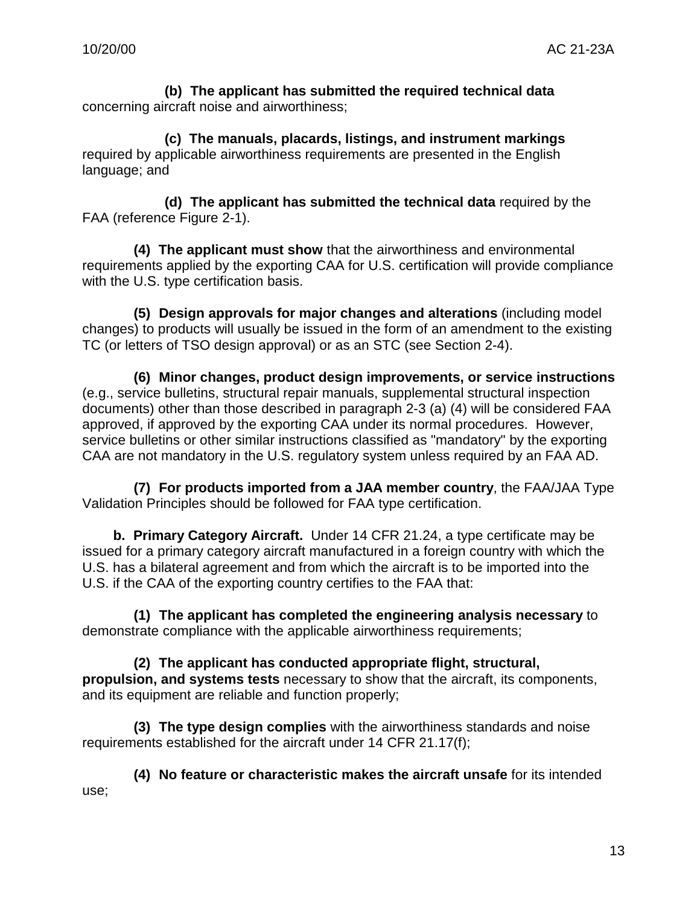**(b) The applicant has submitted the required technical data** concerning aircraft noise and airworthiness;

**(c) The manuals, placards, listings, and instrument markings** required by applicable airworthiness requirements are presented in the English language; and

**(d) The applicant has submitted the technical data** required by the FAA (reference Figure 2-1).

**(4) The applicant must show** that the airworthiness and environmental requirements applied by the exporting CAA for U.S. certification will provide compliance with the U.S. type certification basis.

**(5) Design approvals for major changes and alterations** (including model changes) to products will usually be issued in the form of an amendment to the existing TC (or letters of TSO design approval) or as an STC (see Section 2-4).

**(6) Minor changes, product design improvements, or service instructions** (e.g., service bulletins, structural repair manuals, supplemental structural inspection documents) other than those described in paragraph 2-3 (a) (4) will be considered FAA approved, if approved by the exporting CAA under its normal procedures. However, service bulletins or other similar instructions classified as "mandatory" by the exporting CAA are not mandatory in the U.S. regulatory system unless required by an FAA AD.

**(7) For products imported from a JAA member country**, the FAA/JAA Type Validation Principles should be followed for FAA type certification.

**b. Primary Category Aircraft.** Under 14 CFR 21.24, a type certificate may be issued for a primary category aircraft manufactured in a foreign country with which the U.S. has a bilateral agreement and from which the aircraft is to be imported into the U.S. if the CAA of the exporting country certifies to the FAA that:

**(1) The applicant has completed the engineering analysis necessary** to demonstrate compliance with the applicable airworthiness requirements;

**(2) The applicant has conducted appropriate flight, structural, propulsion, and systems tests** necessary to show that the aircraft, its components, and its equipment are reliable and function properly;

**(3) The type design complies** with the airworthiness standards and noise requirements established for the aircraft under 14 CFR 21.17(f);

**(4) No feature or characteristic makes the aircraft unsafe** for its intended use;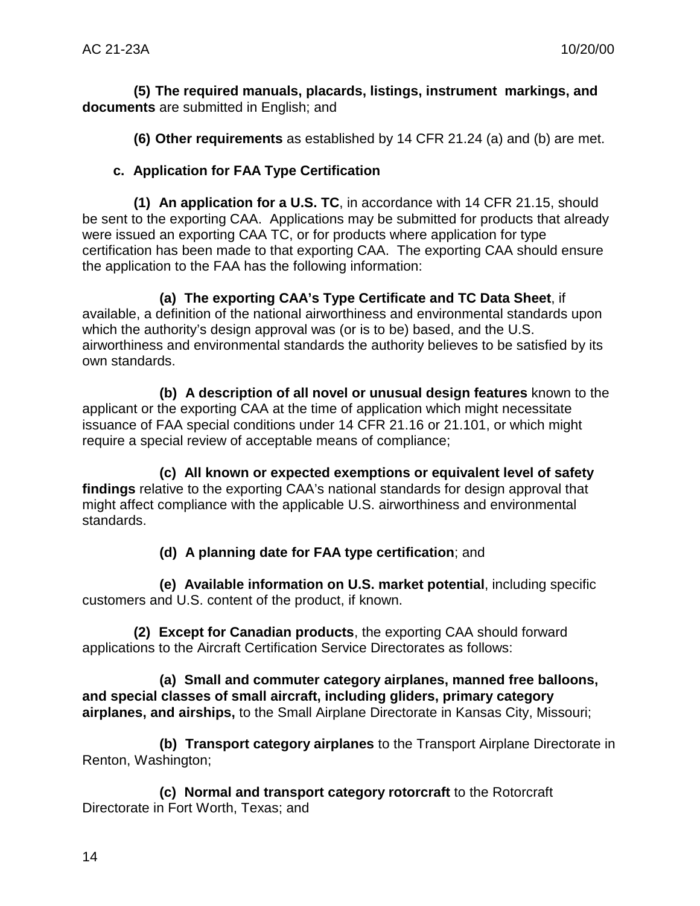**(5) The required manuals, placards, listings, instrument markings, and documents** are submitted in English; and

**(6) Other requirements** as established by 14 CFR 21.24 (a) and (b) are met.

# **c. Application for FAA Type Certification**

**(1) An application for a U.S. TC**, in accordance with 14 CFR 21.15, should be sent to the exporting CAA. Applications may be submitted for products that already were issued an exporting CAA TC, or for products where application for type certification has been made to that exporting CAA. The exporting CAA should ensure the application to the FAA has the following information:

**(a) The exporting CAA's Type Certificate and TC Data Sheet**, if available, a definition of the national airworthiness and environmental standards upon which the authority's design approval was (or is to be) based, and the U.S. airworthiness and environmental standards the authority believes to be satisfied by its own standards.

**(b) A description of all novel or unusual design features** known to the applicant or the exporting CAA at the time of application which might necessitate issuance of FAA special conditions under 14 CFR 21.16 or 21.101, or which might require a special review of acceptable means of compliance;

**(c) All known or expected exemptions or equivalent level of safety findings** relative to the exporting CAA's national standards for design approval that might affect compliance with the applicable U.S. airworthiness and environmental standards.

# **(d) A planning date for FAA type certification**; and

**(e) Available information on U.S. market potential**, including specific customers and U.S. content of the product, if known.

**(2) Except for Canadian products**, the exporting CAA should forward applications to the Aircraft Certification Service Directorates as follows:

**(a) Small and commuter category airplanes, manned free balloons, and special classes of small aircraft, including gliders, primary category airplanes, and airships,** to the Small Airplane Directorate in Kansas City, Missouri;

**(b) Transport category airplanes** to the Transport Airplane Directorate in Renton, Washington;

**(c) Normal and transport category rotorcraft** to the Rotorcraft Directorate in Fort Worth, Texas; and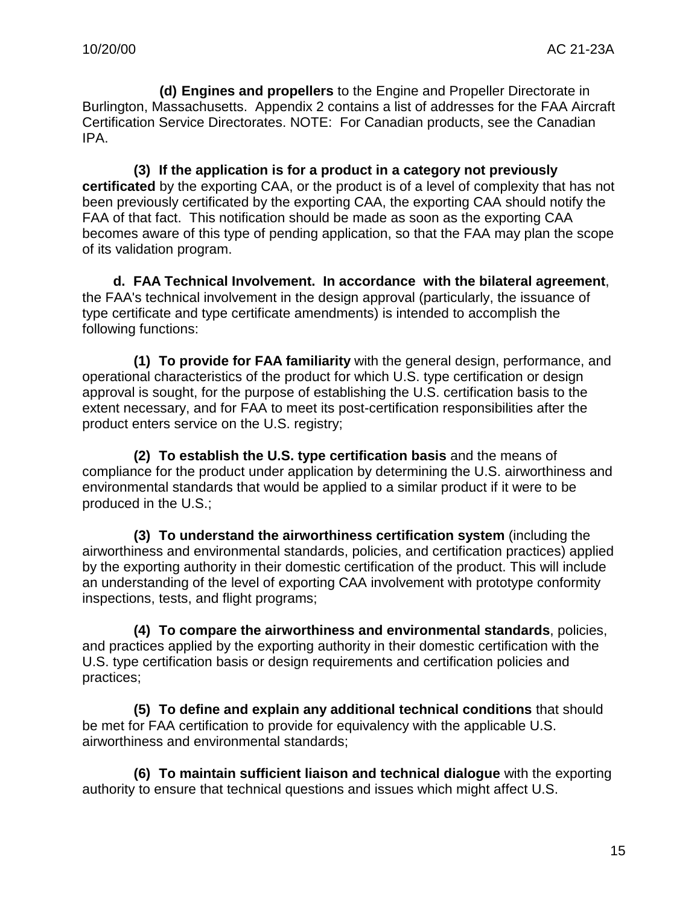**(d) Engines and propellers** to the Engine and Propeller Directorate in Burlington, Massachusetts. Appendix 2 contains a list of addresses for the FAA Aircraft Certification Service Directorates. NOTE: For Canadian products, see the Canadian IPA.

**(3) If the application is for a product in a category not previously certificated** by the exporting CAA, or the product is of a level of complexity that has not been previously certificated by the exporting CAA, the exporting CAA should notify the FAA of that fact. This notification should be made as soon as the exporting CAA becomes aware of this type of pending application, so that the FAA may plan the scope of its validation program.

**d. FAA Technical Involvement. In accordance with the bilateral agreement**, the FAA's technical involvement in the design approval (particularly, the issuance of type certificate and type certificate amendments) is intended to accomplish the following functions:

**(1) To provide for FAA familiarity** with the general design, performance, and operational characteristics of the product for which U.S. type certification or design approval is sought, for the purpose of establishing the U.S. certification basis to the extent necessary, and for FAA to meet its post-certification responsibilities after the product enters service on the U.S. registry;

**(2) To establish the U.S. type certification basis** and the means of compliance for the product under application by determining the U.S. airworthiness and environmental standards that would be applied to a similar product if it were to be produced in the U.S.;

**(3) To understand the airworthiness certification system** (including the airworthiness and environmental standards, policies, and certification practices) applied by the exporting authority in their domestic certification of the product. This will include an understanding of the level of exporting CAA involvement with prototype conformity inspections, tests, and flight programs;

**(4) To compare the airworthiness and environmental standards**, policies, and practices applied by the exporting authority in their domestic certification with the U.S. type certification basis or design requirements and certification policies and practices;

**(5) To define and explain any additional technical conditions** that should be met for FAA certification to provide for equivalency with the applicable U.S. airworthiness and environmental standards;

**(6) To maintain sufficient liaison and technical dialogue** with the exporting authority to ensure that technical questions and issues which might affect U.S.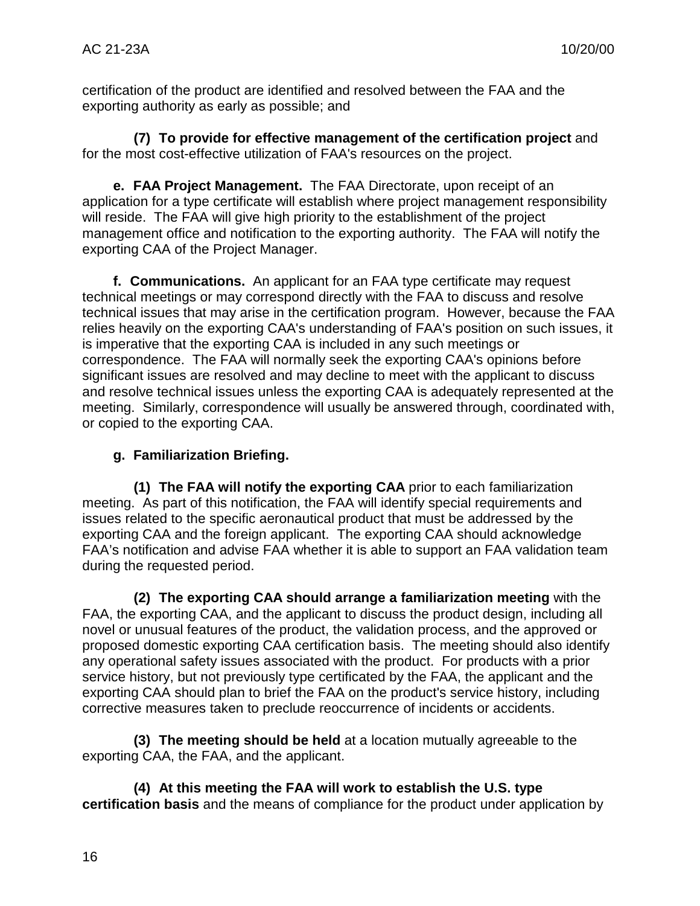certification of the product are identified and resolved between the FAA and the exporting authority as early as possible; and

**(7) To provide for effective management of the certification project** and for the most cost-effective utilization of FAA's resources on the project.

**e. FAA Project Management.** The FAA Directorate, upon receipt of an application for a type certificate will establish where project management responsibility will reside. The FAA will give high priority to the establishment of the project management office and notification to the exporting authority. The FAA will notify the exporting CAA of the Project Manager.

**f. Communications.** An applicant for an FAA type certificate may request technical meetings or may correspond directly with the FAA to discuss and resolve technical issues that may arise in the certification program. However, because the FAA relies heavily on the exporting CAA's understanding of FAA's position on such issues, it is imperative that the exporting CAA is included in any such meetings or correspondence. The FAA will normally seek the exporting CAA's opinions before significant issues are resolved and may decline to meet with the applicant to discuss and resolve technical issues unless the exporting CAA is adequately represented at the meeting. Similarly, correspondence will usually be answered through, coordinated with, or copied to the exporting CAA.

# **g. Familiarization Briefing.**

**(1) The FAA will notify the exporting CAA** prior to each familiarization meeting. As part of this notification, the FAA will identify special requirements and issues related to the specific aeronautical product that must be addressed by the exporting CAA and the foreign applicant. The exporting CAA should acknowledge FAA's notification and advise FAA whether it is able to support an FAA validation team during the requested period.

**(2) The exporting CAA should arrange a familiarization meeting** with the FAA, the exporting CAA, and the applicant to discuss the product design, including all novel or unusual features of the product, the validation process, and the approved or proposed domestic exporting CAA certification basis. The meeting should also identify any operational safety issues associated with the product. For products with a prior service history, but not previously type certificated by the FAA, the applicant and the exporting CAA should plan to brief the FAA on the product's service history, including corrective measures taken to preclude reoccurrence of incidents or accidents.

**(3) The meeting should be held** at a location mutually agreeable to the exporting CAA, the FAA, and the applicant.

**(4) At this meeting the FAA will work to establish the U.S. type certification basis** and the means of compliance for the product under application by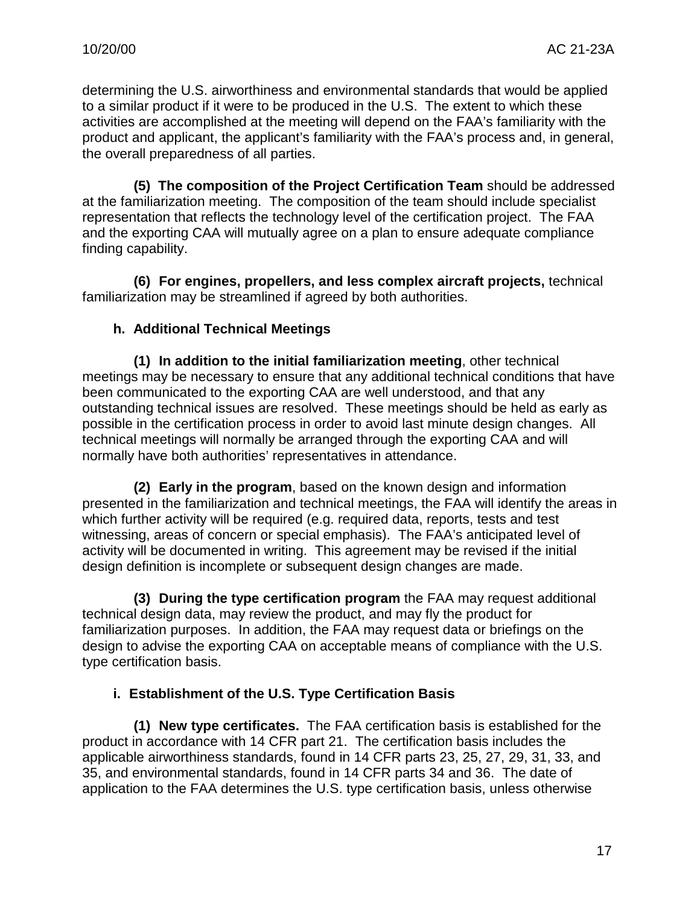determining the U.S. airworthiness and environmental standards that would be applied to a similar product if it were to be produced in the U.S. The extent to which these activities are accomplished at the meeting will depend on the FAA's familiarity with the product and applicant, the applicant's familiarity with the FAA's process and, in general, the overall preparedness of all parties.

**(5) The composition of the Project Certification Team** should be addressed at the familiarization meeting. The composition of the team should include specialist representation that reflects the technology level of the certification project. The FAA and the exporting CAA will mutually agree on a plan to ensure adequate compliance finding capability.

**(6) For engines, propellers, and less complex aircraft projects,** technical familiarization may be streamlined if agreed by both authorities.

#### **h. Additional Technical Meetings**

**(1) In addition to the initial familiarization meeting**, other technical meetings may be necessary to ensure that any additional technical conditions that have been communicated to the exporting CAA are well understood, and that any outstanding technical issues are resolved. These meetings should be held as early as possible in the certification process in order to avoid last minute design changes. All technical meetings will normally be arranged through the exporting CAA and will normally have both authorities' representatives in attendance.

**(2) Early in the program**, based on the known design and information presented in the familiarization and technical meetings, the FAA will identify the areas in which further activity will be required (e.g. required data, reports, tests and test witnessing, areas of concern or special emphasis). The FAA's anticipated level of activity will be documented in writing. This agreement may be revised if the initial design definition is incomplete or subsequent design changes are made.

**(3) During the type certification program** the FAA may request additional technical design data, may review the product, and may fly the product for familiarization purposes. In addition, the FAA may request data or briefings on the design to advise the exporting CAA on acceptable means of compliance with the U.S. type certification basis.

# **i. Establishment of the U.S. Type Certification Basis**

**(1) New type certificates.** The FAA certification basis is established for the product in accordance with 14 CFR part 21. The certification basis includes the applicable airworthiness standards, found in 14 CFR parts 23, 25, 27, 29, 31, 33, and 35, and environmental standards, found in 14 CFR parts 34 and 36. The date of application to the FAA determines the U.S. type certification basis, unless otherwise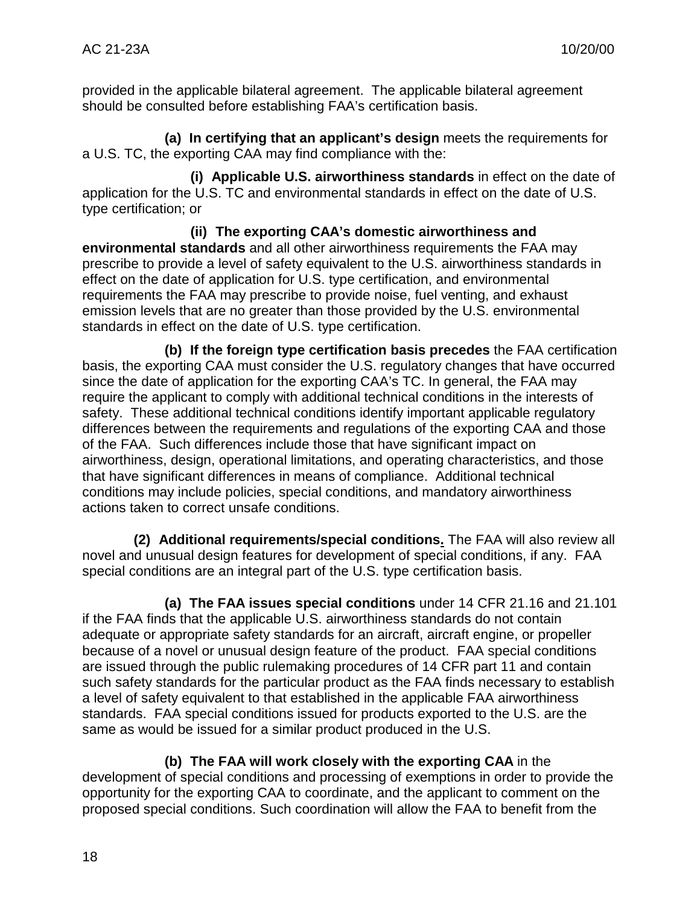provided in the applicable bilateral agreement. The applicable bilateral agreement should be consulted before establishing FAA's certification basis.

**(a) In certifying that an applicant's design** meets the requirements for a U.S. TC, the exporting CAA may find compliance with the:

**(i) Applicable U.S. airworthiness standards** in effect on the date of application for the U.S. TC and environmental standards in effect on the date of U.S. type certification; or

**(ii) The exporting CAA's domestic airworthiness and environmental standards** and all other airworthiness requirements the FAA may prescribe to provide a level of safety equivalent to the U.S. airworthiness standards in effect on the date of application for U.S. type certification, and environmental requirements the FAA may prescribe to provide noise, fuel venting, and exhaust emission levels that are no greater than those provided by the U.S. environmental standards in effect on the date of U.S. type certification.

**(b) If the foreign type certification basis precedes** the FAA certification basis, the exporting CAA must consider the U.S. regulatory changes that have occurred since the date of application for the exporting CAA's TC. In general, the FAA may require the applicant to comply with additional technical conditions in the interests of safety. These additional technical conditions identify important applicable regulatory differences between the requirements and regulations of the exporting CAA and those of the FAA. Such differences include those that have significant impact on airworthiness, design, operational limitations, and operating characteristics, and those that have significant differences in means of compliance. Additional technical conditions may include policies, special conditions, and mandatory airworthiness actions taken to correct unsafe conditions.

**(2) Additional requirements/special conditions.** The FAA will also review all novel and unusual design features for development of special conditions, if any. FAA special conditions are an integral part of the U.S. type certification basis.

**(a) The FAA issues special conditions** under 14 CFR 21.16 and 21.101 if the FAA finds that the applicable U.S. airworthiness standards do not contain adequate or appropriate safety standards for an aircraft, aircraft engine, or propeller because of a novel or unusual design feature of the product. FAA special conditions are issued through the public rulemaking procedures of 14 CFR part 11 and contain such safety standards for the particular product as the FAA finds necessary to establish a level of safety equivalent to that established in the applicable FAA airworthiness standards. FAA special conditions issued for products exported to the U.S. are the same as would be issued for a similar product produced in the U.S.

**(b) The FAA will work closely with the exporting CAA** in the

development of special conditions and processing of exemptions in order to provide the opportunity for the exporting CAA to coordinate, and the applicant to comment on the proposed special conditions. Such coordination will allow the FAA to benefit from the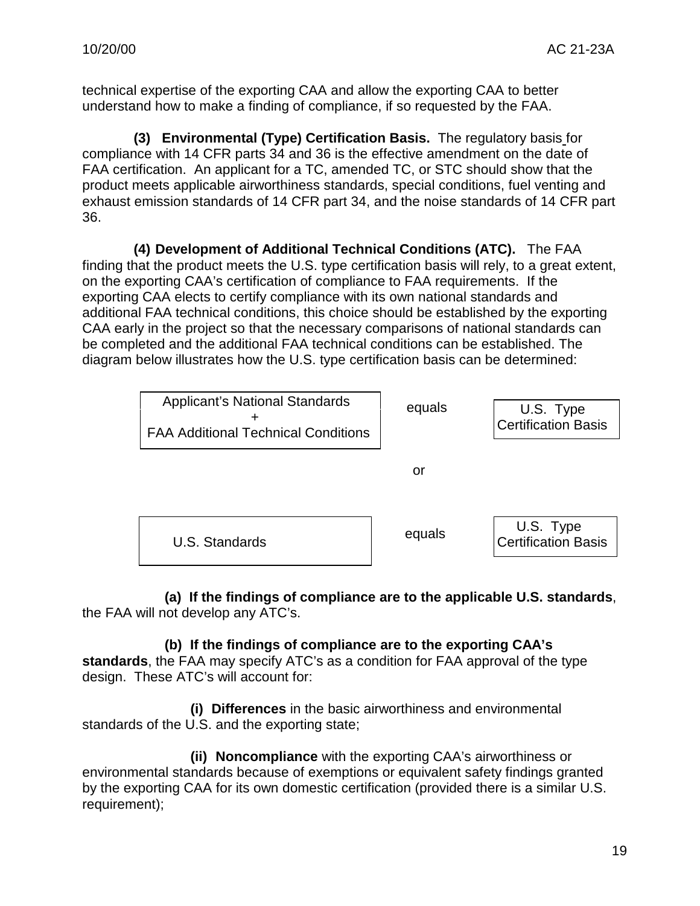technical expertise of the exporting CAA and allow the exporting CAA to better understand how to make a finding of compliance, if so requested by the FAA.

**(3) Environmental (Type) Certification Basis.** The regulatory basis for compliance with 14 CFR parts 34 and 36 is the effective amendment on the date of FAA certification. An applicant for a TC, amended TC, or STC should show that the product meets applicable airworthiness standards, special conditions, fuel venting and exhaust emission standards of 14 CFR part 34, and the noise standards of 14 CFR part 36.

**(4) Development of Additional Technical Conditions (ATC).** The FAA finding that the product meets the U.S. type certification basis will rely, to a great extent, on the exporting CAA's certification of compliance to FAA requirements. If the exporting CAA elects to certify compliance with its own national standards and additional FAA technical conditions, this choice should be established by the exporting CAA early in the project so that the necessary comparisons of national standards can be completed and the additional FAA technical conditions can be established. The diagram below illustrates how the U.S. type certification basis can be determined:

| <b>Applicant's National Standards</b><br><b>FAA Additional Technical Conditions</b> | equals | U.S. Type<br><b>Certification Basis</b> |
|-------------------------------------------------------------------------------------|--------|-----------------------------------------|
|                                                                                     | or     |                                         |
| U.S. Standards                                                                      | equals | U.S. Type<br><b>Certification Basis</b> |

**(a) If the findings of compliance are to the applicable U.S. standards**, the FAA will not develop any ATC's.

#### **(b) If the findings of compliance are to the exporting CAA's**

**standards**, the FAA may specify ATC's as a condition for FAA approval of the type design. These ATC's will account for:

**(i) Differences** in the basic airworthiness and environmental standards of the U.S. and the exporting state;

**(ii) Noncompliance** with the exporting CAA's airworthiness or environmental standards because of exemptions or equivalent safety findings granted by the exporting CAA for its own domestic certification (provided there is a similar U.S. requirement);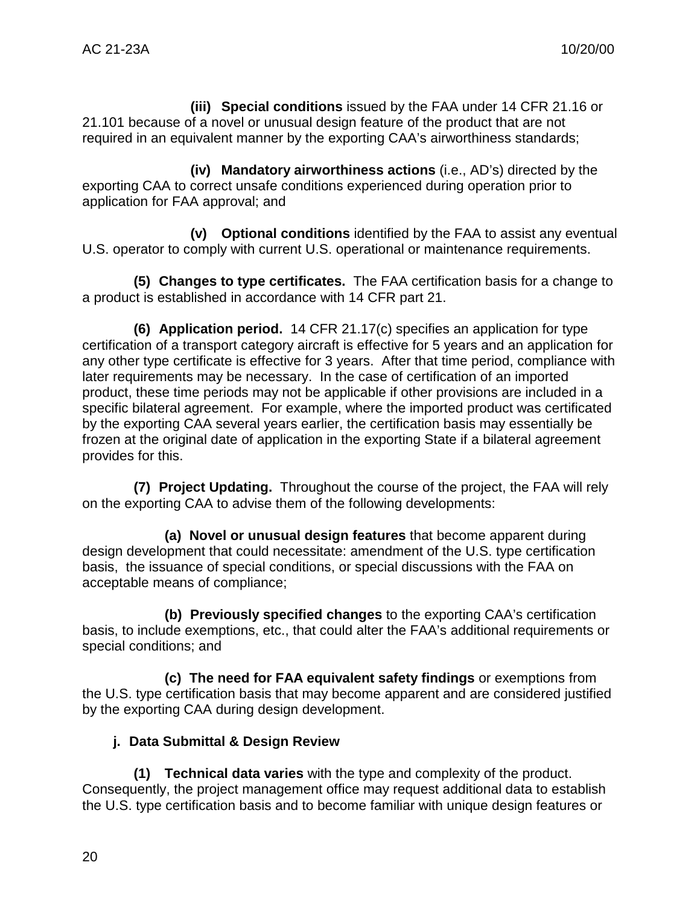**(iii) Special conditions** issued by the FAA under 14 CFR 21.16 or 21.101 because of a novel or unusual design feature of the product that are not required in an equivalent manner by the exporting CAA's airworthiness standards;

**(iv) Mandatory airworthiness actions** (i.e., AD's) directed by the exporting CAA to correct unsafe conditions experienced during operation prior to application for FAA approval; and

**(v) Optional conditions** identified by the FAA to assist any eventual U.S. operator to comply with current U.S. operational or maintenance requirements.

**(5) Changes to type certificates.** The FAA certification basis for a change to a product is established in accordance with 14 CFR part 21.

**(6) Application period.** 14 CFR 21.17(c) specifies an application for type certification of a transport category aircraft is effective for 5 years and an application for any other type certificate is effective for 3 years. After that time period, compliance with later requirements may be necessary. In the case of certification of an imported product, these time periods may not be applicable if other provisions are included in a specific bilateral agreement. For example, where the imported product was certificated by the exporting CAA several years earlier, the certification basis may essentially be frozen at the original date of application in the exporting State if a bilateral agreement provides for this.

**(7) Project Updating.** Throughout the course of the project, the FAA will rely on the exporting CAA to advise them of the following developments:

**(a) Novel or unusual design features** that become apparent during design development that could necessitate: amendment of the U.S. type certification basis, the issuance of special conditions, or special discussions with the FAA on acceptable means of compliance;

**(b) Previously specified changes** to the exporting CAA's certification basis, to include exemptions, etc., that could alter the FAA's additional requirements or special conditions; and

**(c) The need for FAA equivalent safety findings** or exemptions from the U.S. type certification basis that may become apparent and are considered justified by the exporting CAA during design development.

# **j. Data Submittal & Design Review**

**(1) Technical data varies** with the type and complexity of the product. Consequently, the project management office may request additional data to establish the U.S. type certification basis and to become familiar with unique design features or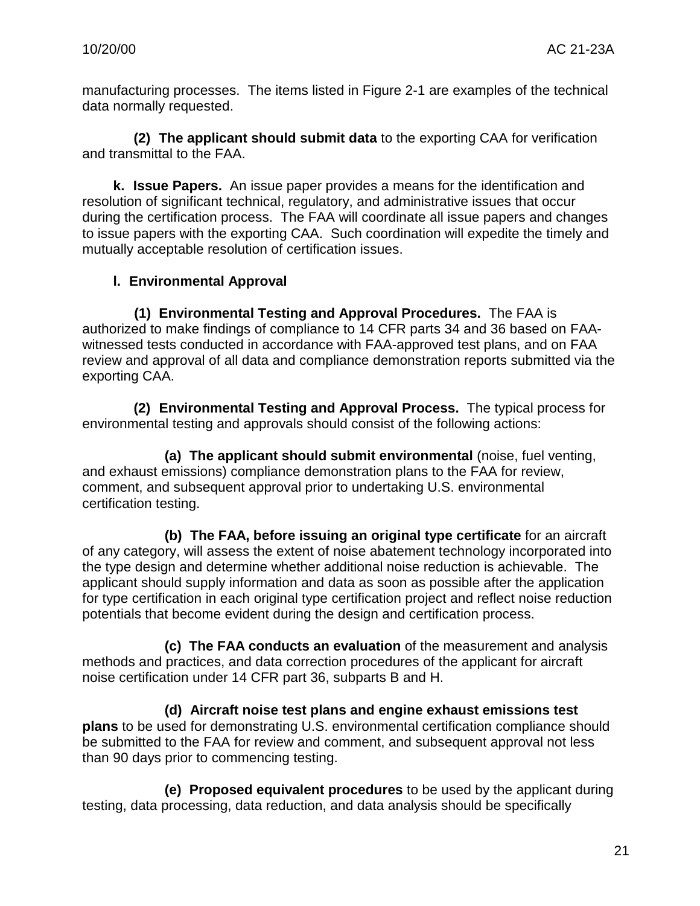manufacturing processes. The items listed in Figure 2-1 are examples of the technical data normally requested.

**(2) The applicant should submit data** to the exporting CAA for verification and transmittal to the FAA.

**k. Issue Papers.** An issue paper provides a means for the identification and resolution of significant technical, regulatory, and administrative issues that occur during the certification process. The FAA will coordinate all issue papers and changes to issue papers with the exporting CAA. Such coordination will expedite the timely and mutually acceptable resolution of certification issues.

# **l. Environmental Approval**

**(1) Environmental Testing and Approval Procedures.** The FAA is authorized to make findings of compliance to 14 CFR parts 34 and 36 based on FAAwitnessed tests conducted in accordance with FAA-approved test plans, and on FAA review and approval of all data and compliance demonstration reports submitted via the exporting CAA.

**(2) Environmental Testing and Approval Process.** The typical process for environmental testing and approvals should consist of the following actions:

**(a) The applicant should submit environmental** (noise, fuel venting, and exhaust emissions) compliance demonstration plans to the FAA for review, comment, and subsequent approval prior to undertaking U.S. environmental certification testing.

**(b) The FAA, before issuing an original type certificate** for an aircraft of any category, will assess the extent of noise abatement technology incorporated into the type design and determine whether additional noise reduction is achievable. The applicant should supply information and data as soon as possible after the application for type certification in each original type certification project and reflect noise reduction potentials that become evident during the design and certification process.

**(c) The FAA conducts an evaluation** of the measurement and analysis methods and practices, and data correction procedures of the applicant for aircraft noise certification under 14 CFR part 36, subparts B and H.

**(d) Aircraft noise test plans and engine exhaust emissions test plans** to be used for demonstrating U.S. environmental certification compliance should be submitted to the FAA for review and comment, and subsequent approval not less than 90 days prior to commencing testing.

**(e) Proposed equivalent procedures** to be used by the applicant during testing, data processing, data reduction, and data analysis should be specifically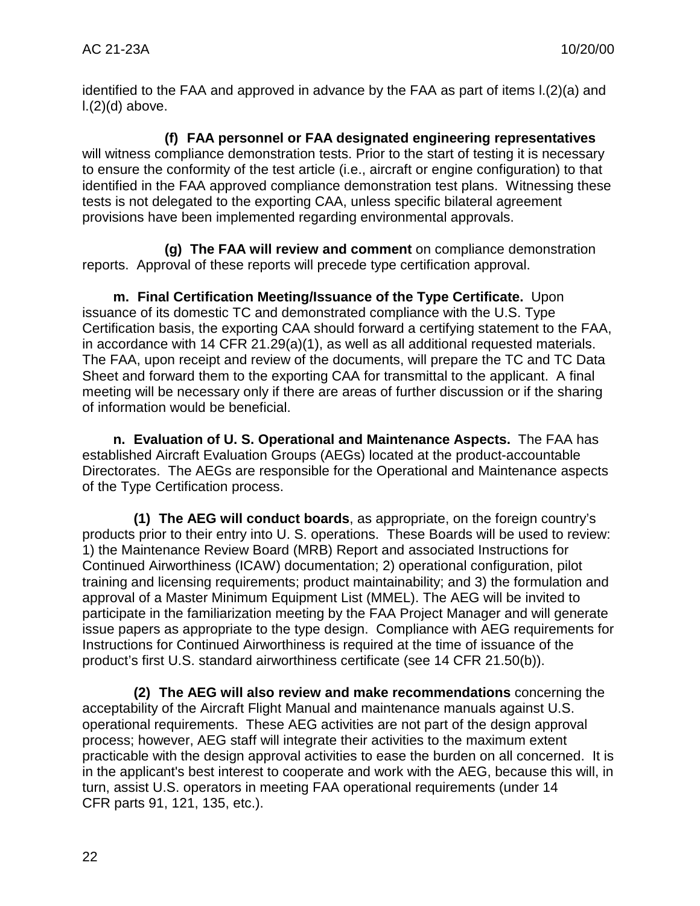identified to the FAA and approved in advance by the FAA as part of items l.(2)(a) and  $L(2)(d)$  above.

**(f) FAA personnel or FAA designated engineering representatives** will witness compliance demonstration tests. Prior to the start of testing it is necessary to ensure the conformity of the test article (i.e., aircraft or engine configuration) to that identified in the FAA approved compliance demonstration test plans. Witnessing these tests is not delegated to the exporting CAA, unless specific bilateral agreement provisions have been implemented regarding environmental approvals.

**(g) The FAA will review and comment** on compliance demonstration reports. Approval of these reports will precede type certification approval.

**m. Final Certification Meeting/Issuance of the Type Certificate.** Upon issuance of its domestic TC and demonstrated compliance with the U.S. Type Certification basis, the exporting CAA should forward a certifying statement to the FAA, in accordance with 14 CFR 21.29(a)(1), as well as all additional requested materials. The FAA, upon receipt and review of the documents, will prepare the TC and TC Data Sheet and forward them to the exporting CAA for transmittal to the applicant. A final meeting will be necessary only if there are areas of further discussion or if the sharing of information would be beneficial.

**n. Evaluation of U. S. Operational and Maintenance Aspects.** The FAA has established Aircraft Evaluation Groups (AEGs) located at the product-accountable Directorates. The AEGs are responsible for the Operational and Maintenance aspects of the Type Certification process.

**(1) The AEG will conduct boards**, as appropriate, on the foreign country's products prior to their entry into U. S. operations. These Boards will be used to review: 1) the Maintenance Review Board (MRB) Report and associated Instructions for Continued Airworthiness (ICAW) documentation; 2) operational configuration, pilot training and licensing requirements; product maintainability; and 3) the formulation and approval of a Master Minimum Equipment List (MMEL). The AEG will be invited to participate in the familiarization meeting by the FAA Project Manager and will generate issue papers as appropriate to the type design. Compliance with AEG requirements for Instructions for Continued Airworthiness is required at the time of issuance of the product's first U.S. standard airworthiness certificate (see 14 CFR 21.50(b)).

**(2) The AEG will also review and make recommendations** concerning the acceptability of the Aircraft Flight Manual and maintenance manuals against U.S. operational requirements. These AEG activities are not part of the design approval process; however, AEG staff will integrate their activities to the maximum extent practicable with the design approval activities to ease the burden on all concerned. It is in the applicant's best interest to cooperate and work with the AEG, because this will, in turn, assist U.S. operators in meeting FAA operational requirements (under 14 CFR parts 91, 121, 135, etc.).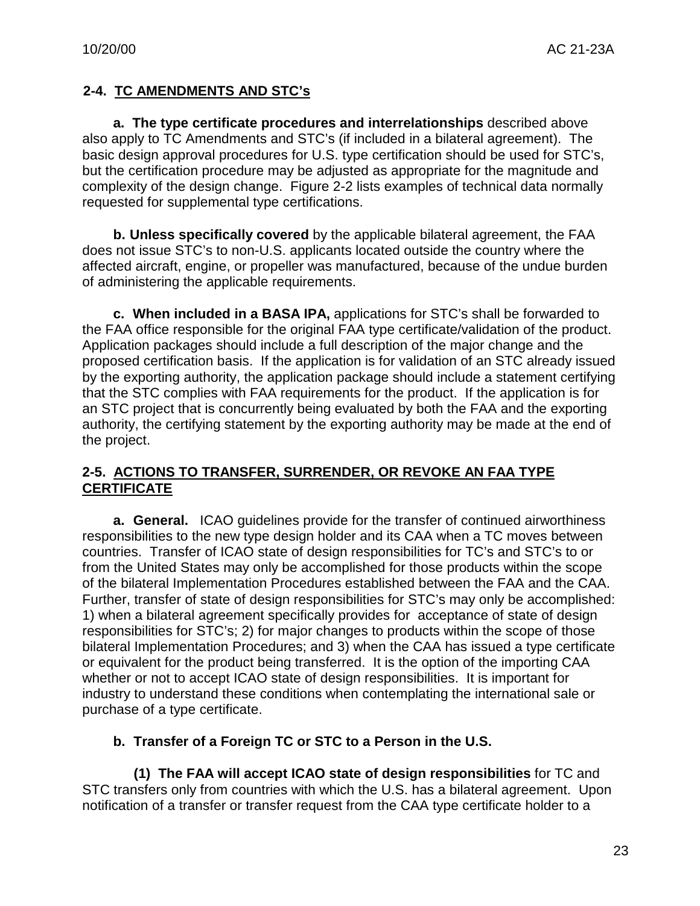# **2-4. TC AMENDMENTS AND STC's**

**a. The type certificate procedures and interrelationships** described above also apply to TC Amendments and STC's (if included in a bilateral agreement). The basic design approval procedures for U.S. type certification should be used for STC's, but the certification procedure may be adjusted as appropriate for the magnitude and complexity of the design change. Figure 2-2 lists examples of technical data normally requested for supplemental type certifications.

**b. Unless specifically covered** by the applicable bilateral agreement, the FAA does not issue STC's to non-U.S. applicants located outside the country where the affected aircraft, engine, or propeller was manufactured, because of the undue burden of administering the applicable requirements.

**c. When included in a BASA IPA,** applications for STC's shall be forwarded to the FAA office responsible for the original FAA type certificate/validation of the product. Application packages should include a full description of the major change and the proposed certification basis. If the application is for validation of an STC already issued by the exporting authority, the application package should include a statement certifying that the STC complies with FAA requirements for the product. If the application is for an STC project that is concurrently being evaluated by both the FAA and the exporting authority, the certifying statement by the exporting authority may be made at the end of the project.

#### **2-5. ACTIONS TO TRANSFER, SURRENDER, OR REVOKE AN FAA TYPE CERTIFICATE**

**a. General.** ICAO guidelines provide for the transfer of continued airworthiness responsibilities to the new type design holder and its CAA when a TC moves between countries. Transfer of ICAO state of design responsibilities for TC's and STC's to or from the United States may only be accomplished for those products within the scope of the bilateral Implementation Procedures established between the FAA and the CAA. Further, transfer of state of design responsibilities for STC's may only be accomplished: 1) when a bilateral agreement specifically provides for acceptance of state of design responsibilities for STC's; 2) for major changes to products within the scope of those bilateral Implementation Procedures; and 3) when the CAA has issued a type certificate or equivalent for the product being transferred. It is the option of the importing CAA whether or not to accept ICAO state of design responsibilities. It is important for industry to understand these conditions when contemplating the international sale or purchase of a type certificate.

# **b. Transfer of a Foreign TC or STC to a Person in the U.S.**

**(1) The FAA will accept ICAO state of design responsibilities** for TC and STC transfers only from countries with which the U.S. has a bilateral agreement. Upon notification of a transfer or transfer request from the CAA type certificate holder to a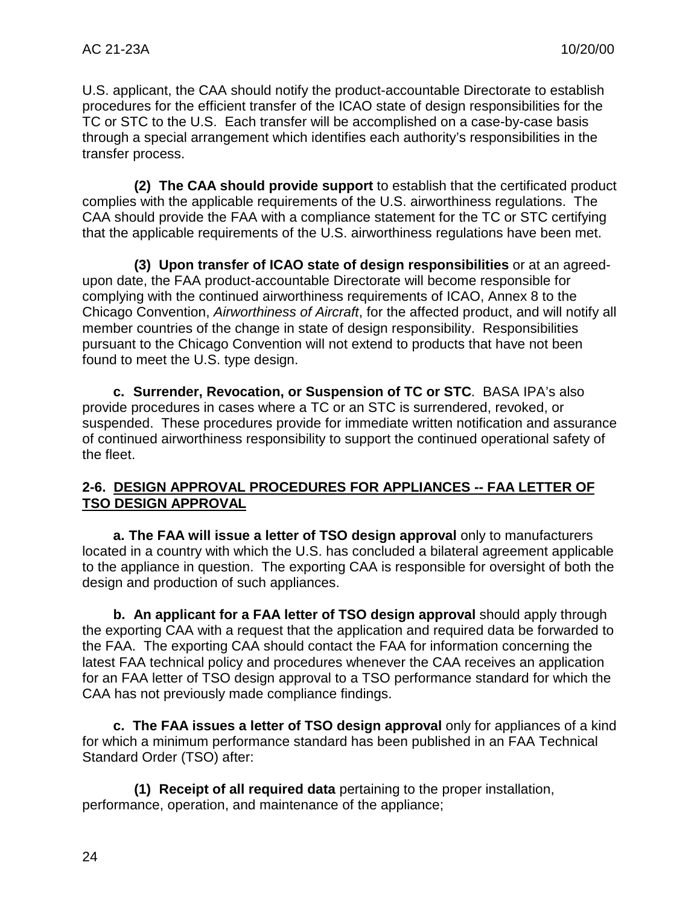U.S. applicant, the CAA should notify the product-accountable Directorate to establish procedures for the efficient transfer of the ICAO state of design responsibilities for the TC or STC to the U.S. Each transfer will be accomplished on a case-by-case basis through a special arrangement which identifies each authority's responsibilities in the transfer process.

**(2) The CAA should provide support** to establish that the certificated product complies with the applicable requirements of the U.S. airworthiness regulations. The CAA should provide the FAA with a compliance statement for the TC or STC certifying that the applicable requirements of the U.S. airworthiness regulations have been met.

**(3) Upon transfer of ICAO state of design responsibilities** or at an agreedupon date, the FAA product-accountable Directorate will become responsible for complying with the continued airworthiness requirements of ICAO, Annex 8 to the Chicago Convention, *Airworthiness of Aircraft*, for the affected product, and will notify all member countries of the change in state of design responsibility. Responsibilities pursuant to the Chicago Convention will not extend to products that have not been found to meet the U.S. type design.

**c. Surrender, Revocation, or Suspension of TC or STC**. BASA IPA's also provide procedures in cases where a TC or an STC is surrendered, revoked, or suspended. These procedures provide for immediate written notification and assurance of continued airworthiness responsibility to support the continued operational safety of the fleet.

# **2-6. DESIGN APPROVAL PROCEDURES FOR APPLIANCES -- FAA LETTER OF TSO DESIGN APPROVAL**

**a. The FAA will issue a letter of TSO design approval** only to manufacturers located in a country with which the U.S. has concluded a bilateral agreement applicable to the appliance in question. The exporting CAA is responsible for oversight of both the design and production of such appliances.

**b. An applicant for a FAA letter of TSO design approval** should apply through the exporting CAA with a request that the application and required data be forwarded to the FAA. The exporting CAA should contact the FAA for information concerning the latest FAA technical policy and procedures whenever the CAA receives an application for an FAA letter of TSO design approval to a TSO performance standard for which the CAA has not previously made compliance findings.

**c. The FAA issues a letter of TSO design approval** only for appliances of a kind for which a minimum performance standard has been published in an FAA Technical Standard Order (TSO) after:

**(1) Receipt of all required data** pertaining to the proper installation, performance, operation, and maintenance of the appliance;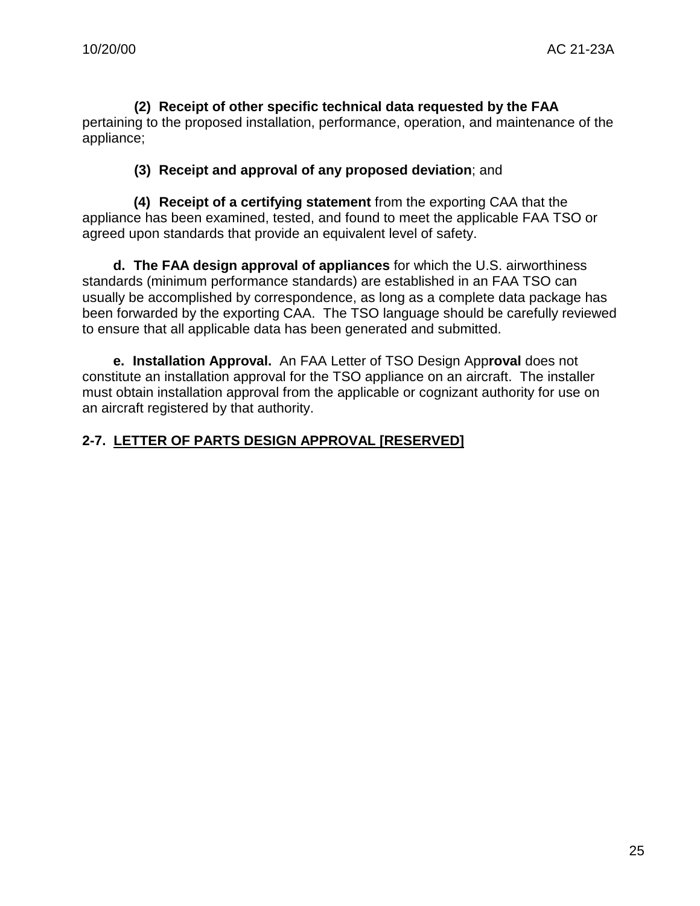**(2) Receipt of other specific technical data requested by the FAA** pertaining to the proposed installation, performance, operation, and maintenance of the appliance;

#### **(3) Receipt and approval of any proposed deviation**; and

**(4) Receipt of a certifying statement** from the exporting CAA that the appliance has been examined, tested, and found to meet the applicable FAA TSO or agreed upon standards that provide an equivalent level of safety.

**d. The FAA design approval of appliances** for which the U.S. airworthiness standards (minimum performance standards) are established in an FAA TSO can usually be accomplished by correspondence, as long as a complete data package has been forwarded by the exporting CAA. The TSO language should be carefully reviewed to ensure that all applicable data has been generated and submitted.

**e. Installation Approval.** An FAA Letter of TSO Design App**roval** does not constitute an installation approval for the TSO appliance on an aircraft. The installer must obtain installation approval from the applicable or cognizant authority for use on an aircraft registered by that authority.

# **2-7. LETTER OF PARTS DESIGN APPROVAL [RESERVED]**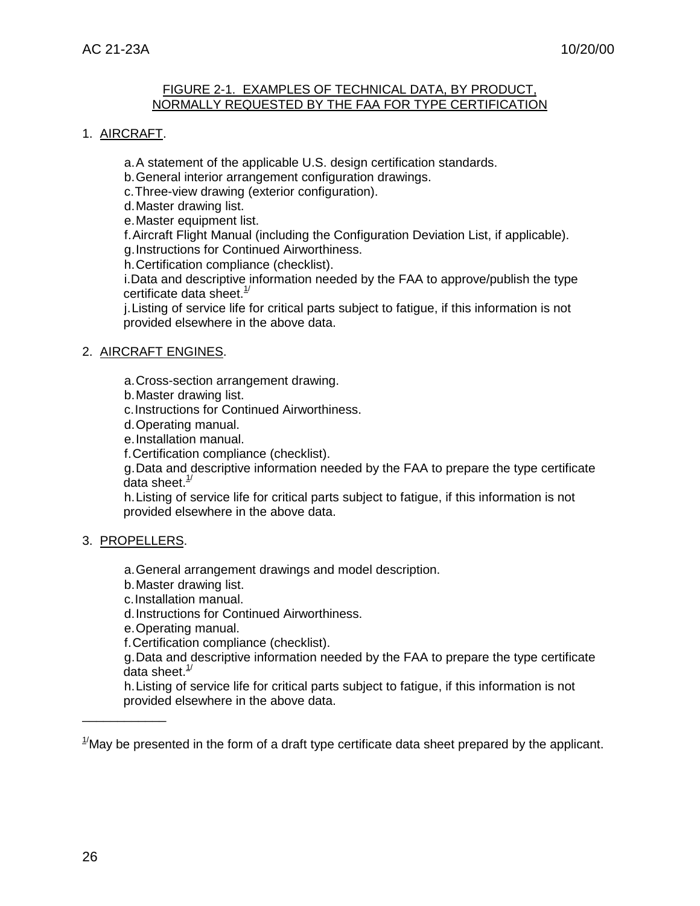#### FIGURE 2-1. EXAMPLES OF TECHNICAL DATA, BY PRODUCT, NORMALLY REQUESTED BY THE FAA FOR TYPE CERTIFICATION

#### 1. AIRCRAFT.

a.A statement of the applicable U.S. design certification standards.

b.General interior arrangement configuration drawings.

c.Three-view drawing (exterior configuration).

d.Master drawing list.

e.Master equipment list.

f.Aircraft Flight Manual (including the Configuration Deviation List, if applicable). g.Instructions for Continued Airworthiness.

h.Certification compliance (checklist).

i.Data and descriptive information needed by the FAA to approve/publish the type certificate data sheet. $1/2$ 

j.Listing of service life for critical parts subject to fatigue, if this information is not provided elsewhere in the above data.

#### 2. AIRCRAFT ENGINES.

a.Cross-section arrangement drawing.

b.Master drawing list.

c.Instructions for Continued Airworthiness.

d.Operating manual.

e.Installation manual.

f.Certification compliance (checklist).

g.Data and descriptive information needed by the FAA to prepare the type certificate data sheet. $1/2$ 

h.Listing of service life for critical parts subject to fatigue, if this information is not provided elsewhere in the above data.

#### 3. PROPELLERS.

\_\_\_\_\_\_\_\_\_\_\_\_

a.General arrangement drawings and model description.

b.Master drawing list.

c.Installation manual.

d.Instructions for Continued Airworthiness.

e.Operating manual.

f.Certification compliance (checklist).

g.Data and descriptive information needed by the FAA to prepare the type certificate data sheet. $1/2$ 

h.Listing of service life for critical parts subject to fatigue, if this information is not provided elsewhere in the above data.

 $1/2$ May be presented in the form of a draft type certificate data sheet prepared by the applicant.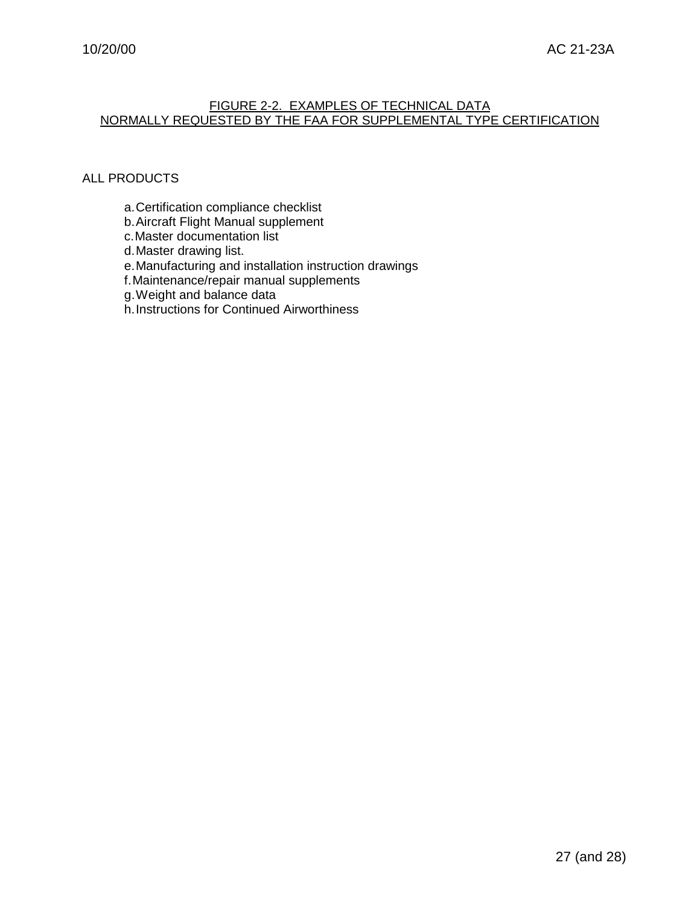#### FIGURE 2-2. EXAMPLES OF TECHNICAL DATA NORMALLY REQUESTED BY THE FAA FOR SUPPLEMENTAL TYPE CERTIFICATION

#### ALL PRODUCTS

- a.Certification compliance checklist
- b.Aircraft Flight Manual supplement
- c.Master documentation list

d.Master drawing list.

e.Manufacturing and installation instruction drawings

f.Maintenance/repair manual supplements

g.Weight and balance data

h.Instructions for Continued Airworthiness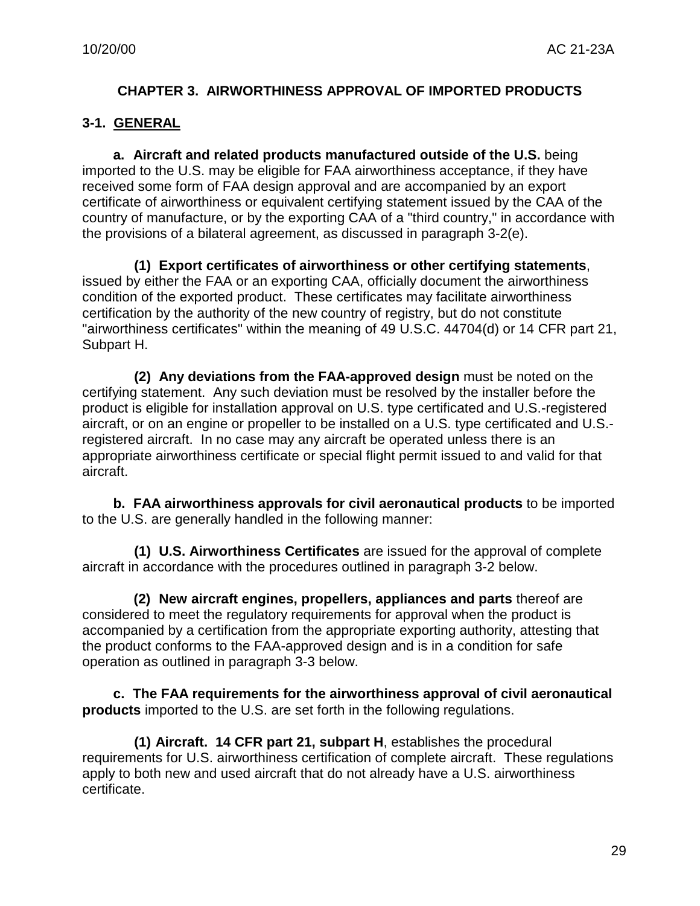#### **CHAPTER 3. AIRWORTHINESS APPROVAL OF IMPORTED PRODUCTS**

#### **3-1. GENERAL**

**a. Aircraft and related products manufactured outside of the U.S.** being imported to the U.S. may be eligible for FAA airworthiness acceptance, if they have received some form of FAA design approval and are accompanied by an export certificate of airworthiness or equivalent certifying statement issued by the CAA of the country of manufacture, or by the exporting CAA of a "third country," in accordance with the provisions of a bilateral agreement, as discussed in paragraph 3-2(e).

**(1) Export certificates of airworthiness or other certifying statements**, issued by either the FAA or an exporting CAA, officially document the airworthiness condition of the exported product. These certificates may facilitate airworthiness certification by the authority of the new country of registry, but do not constitute "airworthiness certificates" within the meaning of 49 U.S.C. 44704(d) or 14 CFR part 21, Subpart H.

**(2) Any deviations from the FAA-approved design** must be noted on the certifying statement. Any such deviation must be resolved by the installer before the product is eligible for installation approval on U.S. type certificated and U.S.-registered aircraft, or on an engine or propeller to be installed on a U.S. type certificated and U.S. registered aircraft. In no case may any aircraft be operated unless there is an appropriate airworthiness certificate or special flight permit issued to and valid for that aircraft.

**b. FAA airworthiness approvals for civil aeronautical products** to be imported to the U.S. are generally handled in the following manner:

**(1) U.S. Airworthiness Certificates** are issued for the approval of complete aircraft in accordance with the procedures outlined in paragraph 3-2 below.

**(2) New aircraft engines, propellers, appliances and parts** thereof are considered to meet the regulatory requirements for approval when the product is accompanied by a certification from the appropriate exporting authority, attesting that the product conforms to the FAA-approved design and is in a condition for safe operation as outlined in paragraph 3-3 below.

**c. The FAA requirements for the airworthiness approval of civil aeronautical products** imported to the U.S. are set forth in the following regulations.

**(1) Aircraft. 14 CFR part 21, subpart H**, establishes the procedural requirements for U.S. airworthiness certification of complete aircraft. These regulations apply to both new and used aircraft that do not already have a U.S. airworthiness certificate.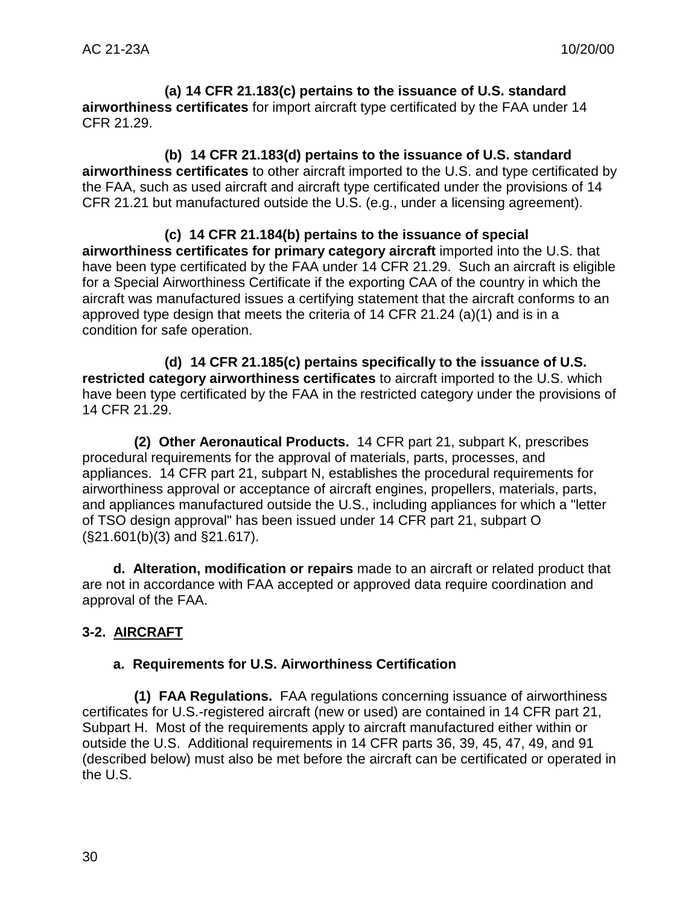**(a) 14 CFR 21.183(c) pertains to the issuance of U.S. standard airworthiness certificates** for import aircraft type certificated by the FAA under 14 CFR 21.29.

**(b) 14 CFR 21.183(d) pertains to the issuance of U.S. standard airworthiness certificates** to other aircraft imported to the U.S. and type certificated by the FAA, such as used aircraft and aircraft type certificated under the provisions of 14 CFR 21.21 but manufactured outside the U.S. (e.g., under a licensing agreement).

**(c) 14 CFR 21.184(b) pertains to the issuance of special airworthiness certificates for primary category aircraft** imported into the U.S. that have been type certificated by the FAA under 14 CFR 21.29. Such an aircraft is eligible for a Special Airworthiness Certificate if the exporting CAA of the country in which the aircraft was manufactured issues a certifying statement that the aircraft conforms to an approved type design that meets the criteria of 14 CFR 21.24 (a)(1) and is in a condition for safe operation.

**(d) 14 CFR 21.185(c) pertains specifically to the issuance of U.S. restricted category airworthiness certificates** to aircraft imported to the U.S. which have been type certificated by the FAA in the restricted category under the provisions of 14 CFR 21.29.

**(2) Other Aeronautical Products.** 14 CFR part 21, subpart K, prescribes procedural requirements for the approval of materials, parts, processes, and appliances. 14 CFR part 21, subpart N, establishes the procedural requirements for airworthiness approval or acceptance of aircraft engines, propellers, materials, parts, and appliances manufactured outside the U.S., including appliances for which a "letter of TSO design approval" has been issued under 14 CFR part 21, subpart O (§21.601(b)(3) and §21.617).

**d. Alteration, modification or repairs** made to an aircraft or related product that are not in accordance with FAA accepted or approved data require coordination and approval of the FAA.

# **3-2. AIRCRAFT**

# **a. Requirements for U.S. Airworthiness Certification**

**(1) FAA Regulations.** FAA regulations concerning issuance of airworthiness certificates for U.S.-registered aircraft (new or used) are contained in 14 CFR part 21, Subpart H. Most of the requirements apply to aircraft manufactured either within or outside the U.S. Additional requirements in 14 CFR parts 36, 39, 45, 47, 49, and 91 (described below) must also be met before the aircraft can be certificated or operated in the U.S.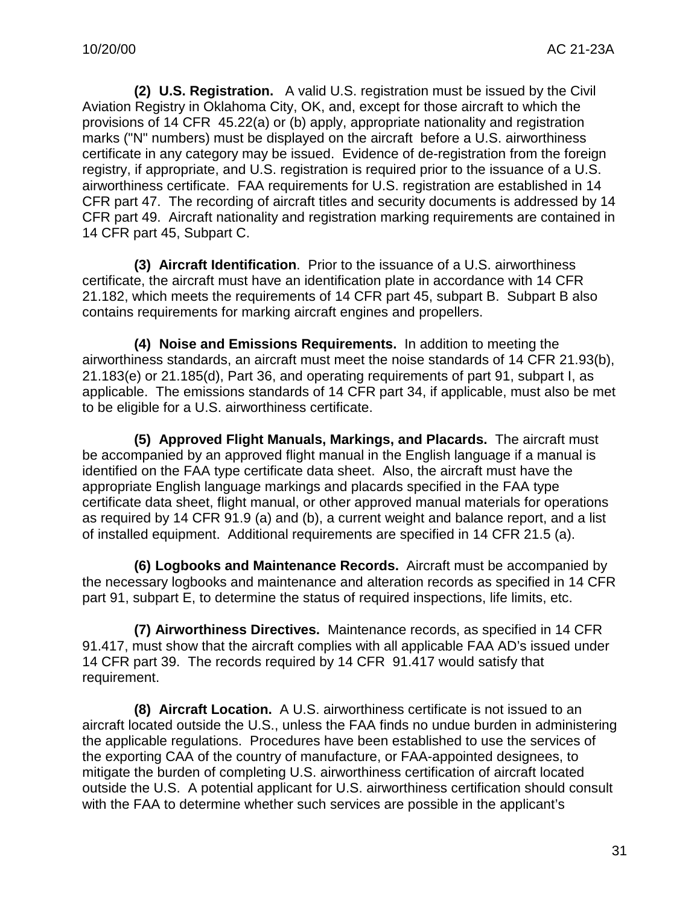**(2) U.S. Registration.** A valid U.S. registration must be issued by the Civil Aviation Registry in Oklahoma City, OK, and, except for those aircraft to which the provisions of 14 CFR 45.22(a) or (b) apply, appropriate nationality and registration marks ("N" numbers) must be displayed on the aircraft before a U.S. airworthiness certificate in any category may be issued. Evidence of de-registration from the foreign registry, if appropriate, and U.S. registration is required prior to the issuance of a U.S. airworthiness certificate. FAA requirements for U.S. registration are established in 14 CFR part 47. The recording of aircraft titles and security documents is addressed by 14 CFR part 49. Aircraft nationality and registration marking requirements are contained in 14 CFR part 45, Subpart C.

**(3) Aircraft Identification**. Prior to the issuance of a U.S. airworthiness certificate, the aircraft must have an identification plate in accordance with 14 CFR 21.182, which meets the requirements of 14 CFR part 45, subpart B. Subpart B also contains requirements for marking aircraft engines and propellers.

**(4) Noise and Emissions Requirements.** In addition to meeting the airworthiness standards, an aircraft must meet the noise standards of 14 CFR 21.93(b), 21.183(e) or 21.185(d), Part 36, and operating requirements of part 91, subpart I, as applicable. The emissions standards of 14 CFR part 34, if applicable, must also be met to be eligible for a U.S. airworthiness certificate.

**(5) Approved Flight Manuals, Markings, and Placards.** The aircraft must be accompanied by an approved flight manual in the English language if a manual is identified on the FAA type certificate data sheet. Also, the aircraft must have the appropriate English language markings and placards specified in the FAA type certificate data sheet, flight manual, or other approved manual materials for operations as required by 14 CFR 91.9 (a) and (b), a current weight and balance report, and a list of installed equipment. Additional requirements are specified in 14 CFR 21.5 (a).

**(6) Logbooks and Maintenance Records.** Aircraft must be accompanied by the necessary logbooks and maintenance and alteration records as specified in 14 CFR part 91, subpart E, to determine the status of required inspections, life limits, etc.

**(7) Airworthiness Directives.** Maintenance records, as specified in 14 CFR 91.417, must show that the aircraft complies with all applicable FAA AD's issued under 14 CFR part 39. The records required by 14 CFR 91.417 would satisfy that requirement.

**(8) Aircraft Location.** A U.S. airworthiness certificate is not issued to an aircraft located outside the U.S., unless the FAA finds no undue burden in administering the applicable regulations. Procedures have been established to use the services of the exporting CAA of the country of manufacture, or FAA-appointed designees, to mitigate the burden of completing U.S. airworthiness certification of aircraft located outside the U.S. A potential applicant for U.S. airworthiness certification should consult with the FAA to determine whether such services are possible in the applicant's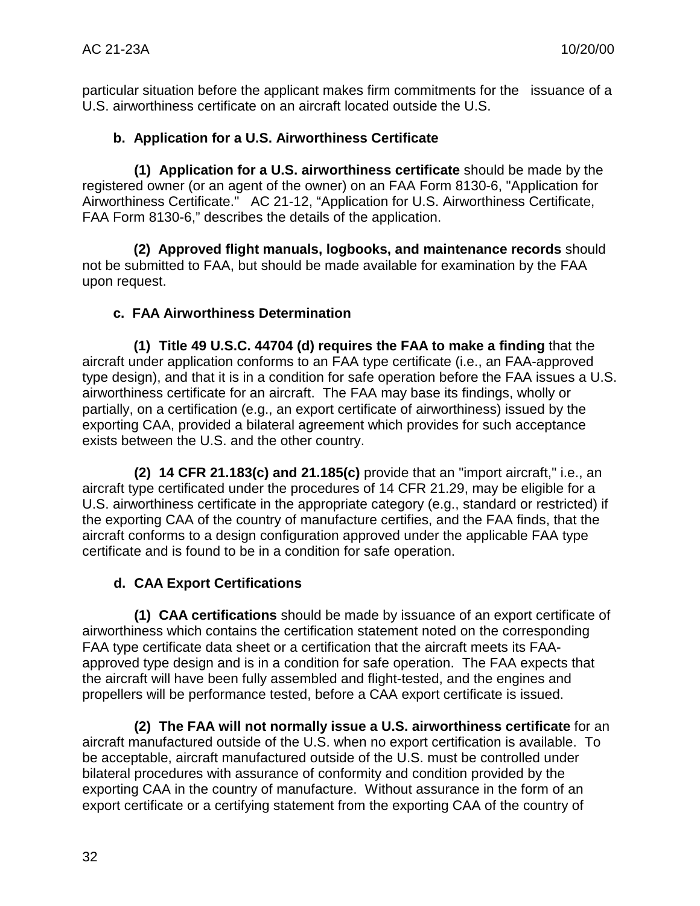particular situation before the applicant makes firm commitments for the issuance of a U.S. airworthiness certificate on an aircraft located outside the U.S.

# **b. Application for a U.S. Airworthiness Certificate**

**(1) Application for a U.S. airworthiness certificate** should be made by the registered owner (or an agent of the owner) on an FAA Form 8130-6, "Application for Airworthiness Certificate." AC 21-12, "Application for U.S. Airworthiness Certificate, FAA Form 8130-6," describes the details of the application.

**(2) Approved flight manuals, logbooks, and maintenance records** should not be submitted to FAA, but should be made available for examination by the FAA upon request.

# **c. FAA Airworthiness Determination**

**(1) Title 49 U.S.C. 44704 (d) requires the FAA to make a finding** that the aircraft under application conforms to an FAA type certificate (i.e., an FAA-approved type design), and that it is in a condition for safe operation before the FAA issues a U.S. airworthiness certificate for an aircraft. The FAA may base its findings, wholly or partially, on a certification (e.g., an export certificate of airworthiness) issued by the exporting CAA, provided a bilateral agreement which provides for such acceptance exists between the U.S. and the other country.

**(2) 14 CFR 21.183(c) and 21.185(c)** provide that an "import aircraft," i.e., an aircraft type certificated under the procedures of 14 CFR 21.29, may be eligible for a U.S. airworthiness certificate in the appropriate category (e.g., standard or restricted) if the exporting CAA of the country of manufacture certifies, and the FAA finds, that the aircraft conforms to a design configuration approved under the applicable FAA type certificate and is found to be in a condition for safe operation.

# **d. CAA Export Certifications**

**(1) CAA certifications** should be made by issuance of an export certificate of airworthiness which contains the certification statement noted on the corresponding FAA type certificate data sheet or a certification that the aircraft meets its FAAapproved type design and is in a condition for safe operation. The FAA expects that the aircraft will have been fully assembled and flight-tested, and the engines and propellers will be performance tested, before a CAA export certificate is issued.

**(2) The FAA will not normally issue a U.S. airworthiness certificate** for an aircraft manufactured outside of the U.S. when no export certification is available. To be acceptable, aircraft manufactured outside of the U.S. must be controlled under bilateral procedures with assurance of conformity and condition provided by the exporting CAA in the country of manufacture. Without assurance in the form of an export certificate or a certifying statement from the exporting CAA of the country of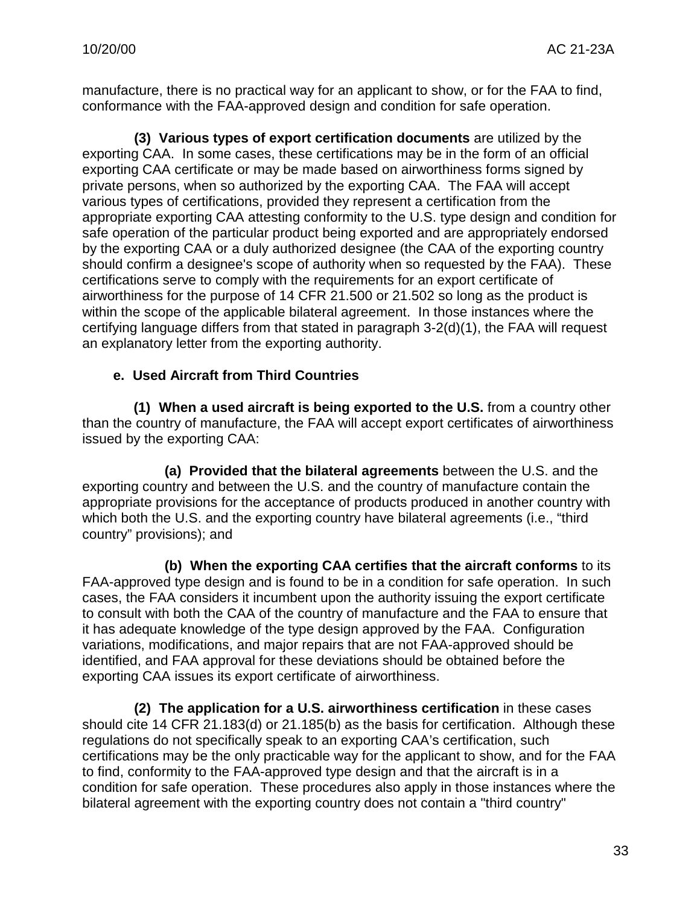manufacture, there is no practical way for an applicant to show, or for the FAA to find, conformance with the FAA-approved design and condition for safe operation.

**(3) Various types of export certification documents** are utilized by the exporting CAA. In some cases, these certifications may be in the form of an official exporting CAA certificate or may be made based on airworthiness forms signed by private persons, when so authorized by the exporting CAA. The FAA will accept various types of certifications, provided they represent a certification from the appropriate exporting CAA attesting conformity to the U.S. type design and condition for safe operation of the particular product being exported and are appropriately endorsed by the exporting CAA or a duly authorized designee (the CAA of the exporting country should confirm a designee's scope of authority when so requested by the FAA). These certifications serve to comply with the requirements for an export certificate of airworthiness for the purpose of 14 CFR 21.500 or 21.502 so long as the product is within the scope of the applicable bilateral agreement. In those instances where the certifying language differs from that stated in paragraph 3-2(d)(1), the FAA will request an explanatory letter from the exporting authority.

#### **e. Used Aircraft from Third Countries**

**(1) When a used aircraft is being exported to the U.S.** from a country other than the country of manufacture, the FAA will accept export certificates of airworthiness issued by the exporting CAA:

**(a) Provided that the bilateral agreements** between the U.S. and the exporting country and between the U.S. and the country of manufacture contain the appropriate provisions for the acceptance of products produced in another country with which both the U.S. and the exporting country have bilateral agreements (i.e., "third country" provisions); and

**(b) When the exporting CAA certifies that the aircraft conforms** to its FAA-approved type design and is found to be in a condition for safe operation. In such cases, the FAA considers it incumbent upon the authority issuing the export certificate to consult with both the CAA of the country of manufacture and the FAA to ensure that it has adequate knowledge of the type design approved by the FAA. Configuration variations, modifications, and major repairs that are not FAA-approved should be identified, and FAA approval for these deviations should be obtained before the exporting CAA issues its export certificate of airworthiness.

**(2) The application for a U.S. airworthiness certification** in these cases should cite 14 CFR 21.183(d) or 21.185(b) as the basis for certification. Although these regulations do not specifically speak to an exporting CAA's certification, such certifications may be the only practicable way for the applicant to show, and for the FAA to find, conformity to the FAA-approved type design and that the aircraft is in a condition for safe operation. These procedures also apply in those instances where the bilateral agreement with the exporting country does not contain a "third country"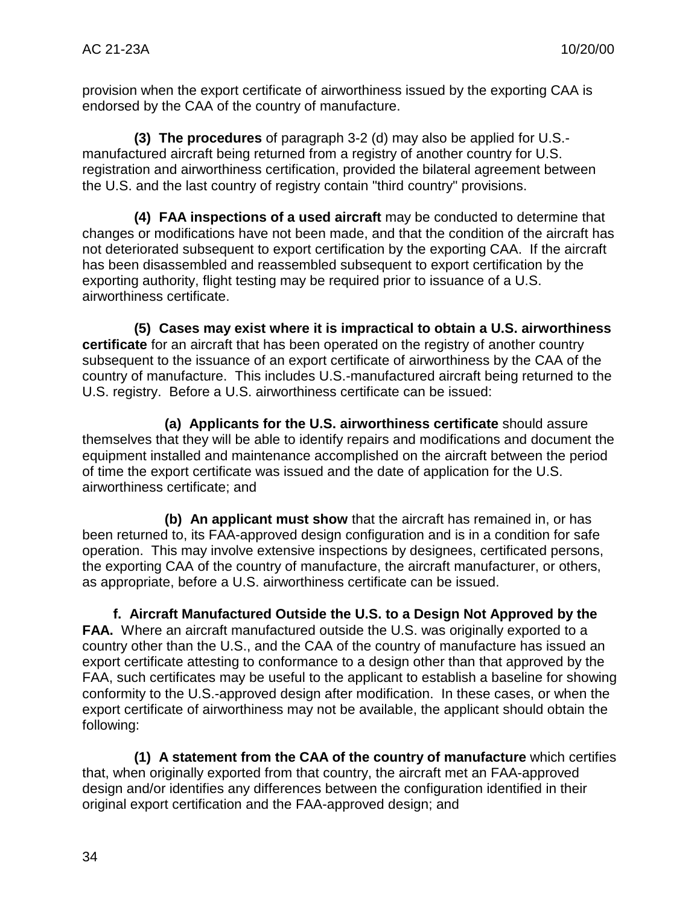provision when the export certificate of airworthiness issued by the exporting CAA is endorsed by the CAA of the country of manufacture.

**(3) The procedures** of paragraph 3-2 (d) may also be applied for U.S. manufactured aircraft being returned from a registry of another country for U.S. registration and airworthiness certification, provided the bilateral agreement between the U.S. and the last country of registry contain "third country" provisions.

**(4) FAA inspections of a used aircraft** may be conducted to determine that changes or modifications have not been made, and that the condition of the aircraft has not deteriorated subsequent to export certification by the exporting CAA. If the aircraft has been disassembled and reassembled subsequent to export certification by the exporting authority, flight testing may be required prior to issuance of a U.S. airworthiness certificate.

**(5) Cases may exist where it is impractical to obtain a U.S. airworthiness certificate** for an aircraft that has been operated on the registry of another country subsequent to the issuance of an export certificate of airworthiness by the CAA of the country of manufacture. This includes U.S.-manufactured aircraft being returned to the U.S. registry. Before a U.S. airworthiness certificate can be issued:

**(a) Applicants for the U.S. airworthiness certificate** should assure themselves that they will be able to identify repairs and modifications and document the equipment installed and maintenance accomplished on the aircraft between the period of time the export certificate was issued and the date of application for the U.S. airworthiness certificate; and

**(b) An applicant must show** that the aircraft has remained in, or has been returned to, its FAA-approved design configuration and is in a condition for safe operation. This may involve extensive inspections by designees, certificated persons, the exporting CAA of the country of manufacture, the aircraft manufacturer, or others, as appropriate, before a U.S. airworthiness certificate can be issued.

**f. Aircraft Manufactured Outside the U.S. to a Design Not Approved by the FAA.** Where an aircraft manufactured outside the U.S. was originally exported to a country other than the U.S., and the CAA of the country of manufacture has issued an export certificate attesting to conformance to a design other than that approved by the FAA, such certificates may be useful to the applicant to establish a baseline for showing conformity to the U.S.-approved design after modification. In these cases, or when the export certificate of airworthiness may not be available, the applicant should obtain the following:

**(1) A statement from the CAA of the country of manufacture** which certifies that, when originally exported from that country, the aircraft met an FAA-approved design and/or identifies any differences between the configuration identified in their original export certification and the FAA-approved design; and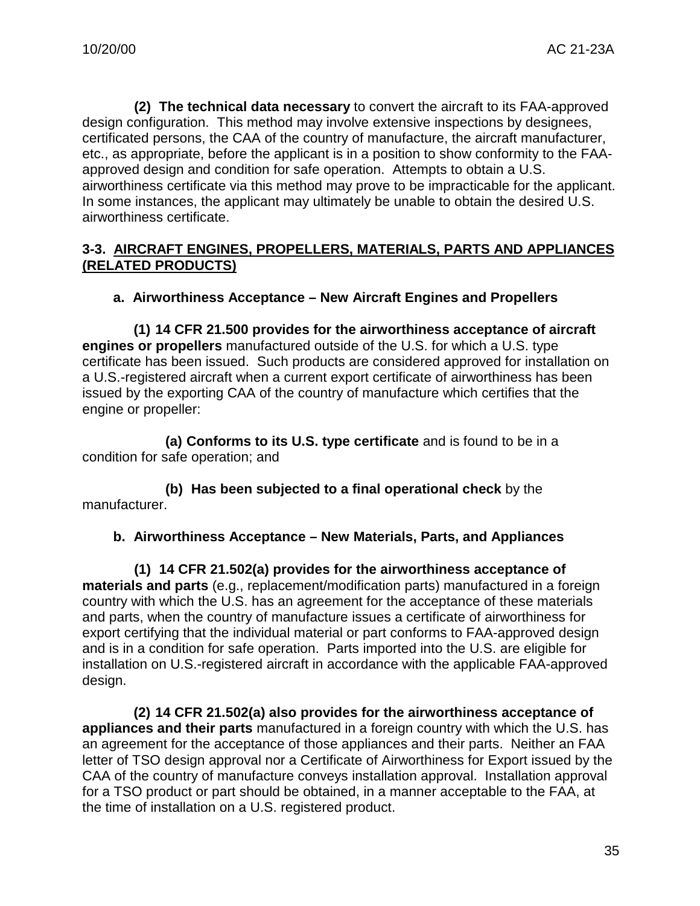**(2) The technical data necessary** to convert the aircraft to its FAA-approved design configuration. This method may involve extensive inspections by designees, certificated persons, the CAA of the country of manufacture, the aircraft manufacturer, etc., as appropriate, before the applicant is in a position to show conformity to the FAAapproved design and condition for safe operation. Attempts to obtain a U.S. airworthiness certificate via this method may prove to be impracticable for the applicant. In some instances, the applicant may ultimately be unable to obtain the desired U.S. airworthiness certificate.

#### **3-3. AIRCRAFT ENGINES, PROPELLERS, MATERIALS, PARTS AND APPLIANCES (RELATED PRODUCTS)**

#### **a. Airworthiness Acceptance – New Aircraft Engines and Propellers**

**(1) 14 CFR 21.500 provides for the airworthiness acceptance of aircraft engines or propellers** manufactured outside of the U.S. for which a U.S. type certificate has been issued. Such products are considered approved for installation on a U.S.-registered aircraft when a current export certificate of airworthiness has been issued by the exporting CAA of the country of manufacture which certifies that the engine or propeller:

**(a) Conforms to its U.S. type certificate** and is found to be in a condition for safe operation; and

**(b) Has been subjected to a final operational check** by the manufacturer.

#### **b. Airworthiness Acceptance – New Materials, Parts, and Appliances**

**(1) 14 CFR 21.502(a) provides for the airworthiness acceptance of materials and parts** (e.g., replacement/modification parts) manufactured in a foreign country with which the U.S. has an agreement for the acceptance of these materials and parts, when the country of manufacture issues a certificate of airworthiness for export certifying that the individual material or part conforms to FAA-approved design and is in a condition for safe operation. Parts imported into the U.S. are eligible for installation on U.S.-registered aircraft in accordance with the applicable FAA-approved design.

**(2) 14 CFR 21.502(a) also provides for the airworthiness acceptance of appliances and their parts** manufactured in a foreign country with which the U.S. has an agreement for the acceptance of those appliances and their parts. Neither an FAA letter of TSO design approval nor a Certificate of Airworthiness for Export issued by the CAA of the country of manufacture conveys installation approval. Installation approval for a TSO product or part should be obtained, in a manner acceptable to the FAA, at the time of installation on a U.S. registered product.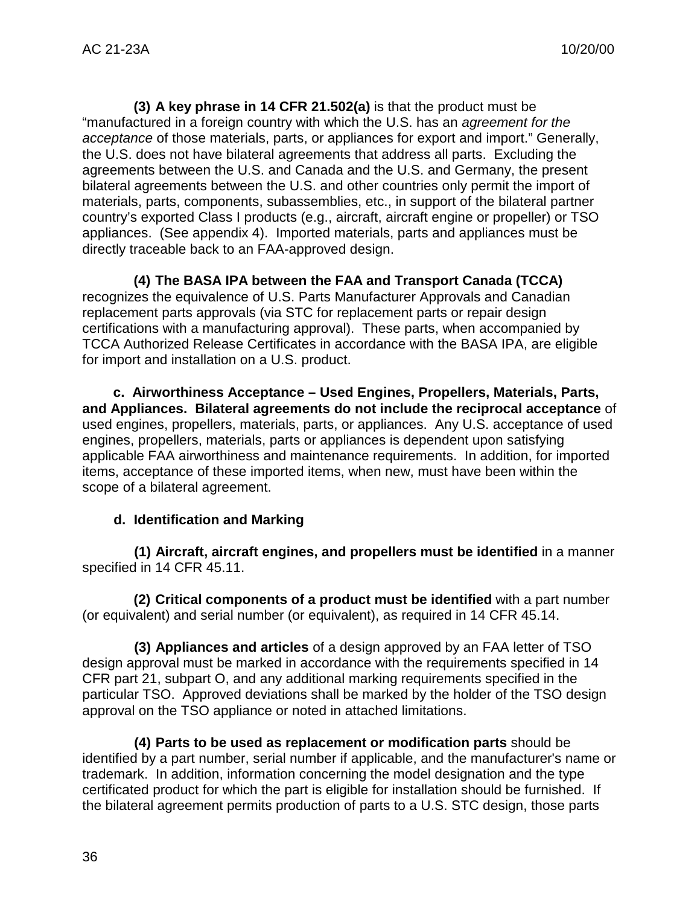**(3) A key phrase in 14 CFR 21.502(a)** is that the product must be "manufactured in a foreign country with which the U.S. has an *agreement for the acceptance* of those materials, parts, or appliances for export and import." Generally, the U.S. does not have bilateral agreements that address all parts. Excluding the agreements between the U.S. and Canada and the U.S. and Germany, the present bilateral agreements between the U.S. and other countries only permit the import of materials, parts, components, subassemblies, etc., in support of the bilateral partner country's exported Class I products (e.g., aircraft, aircraft engine or propeller) or TSO appliances. (See appendix 4). Imported materials, parts and appliances must be directly traceable back to an FAA-approved design.

**(4) The BASA IPA between the FAA and Transport Canada (TCCA)** recognizes the equivalence of U.S. Parts Manufacturer Approvals and Canadian replacement parts approvals (via STC for replacement parts or repair design certifications with a manufacturing approval). These parts, when accompanied by TCCA Authorized Release Certificates in accordance with the BASA IPA, are eligible for import and installation on a U.S. product.

**c. Airworthiness Acceptance – Used Engines, Propellers, Materials, Parts, and Appliances. Bilateral agreements do not include the reciprocal acceptance** of used engines, propellers, materials, parts, or appliances. Any U.S. acceptance of used engines, propellers, materials, parts or appliances is dependent upon satisfying applicable FAA airworthiness and maintenance requirements. In addition, for imported items, acceptance of these imported items, when new, must have been within the scope of a bilateral agreement.

#### **d. Identification and Marking**

**(1) Aircraft, aircraft engines, and propellers must be identified** in a manner specified in 14 CFR 45.11.

**(2) Critical components of a product must be identified** with a part number (or equivalent) and serial number (or equivalent), as required in 14 CFR 45.14.

**(3) Appliances and articles** of a design approved by an FAA letter of TSO design approval must be marked in accordance with the requirements specified in 14 CFR part 21, subpart O, and any additional marking requirements specified in the particular TSO. Approved deviations shall be marked by the holder of the TSO design approval on the TSO appliance or noted in attached limitations.

**(4) Parts to be used as replacement or modification parts** should be identified by a part number, serial number if applicable, and the manufacturer's name or trademark. In addition, information concerning the model designation and the type certificated product for which the part is eligible for installation should be furnished. If the bilateral agreement permits production of parts to a U.S. STC design, those parts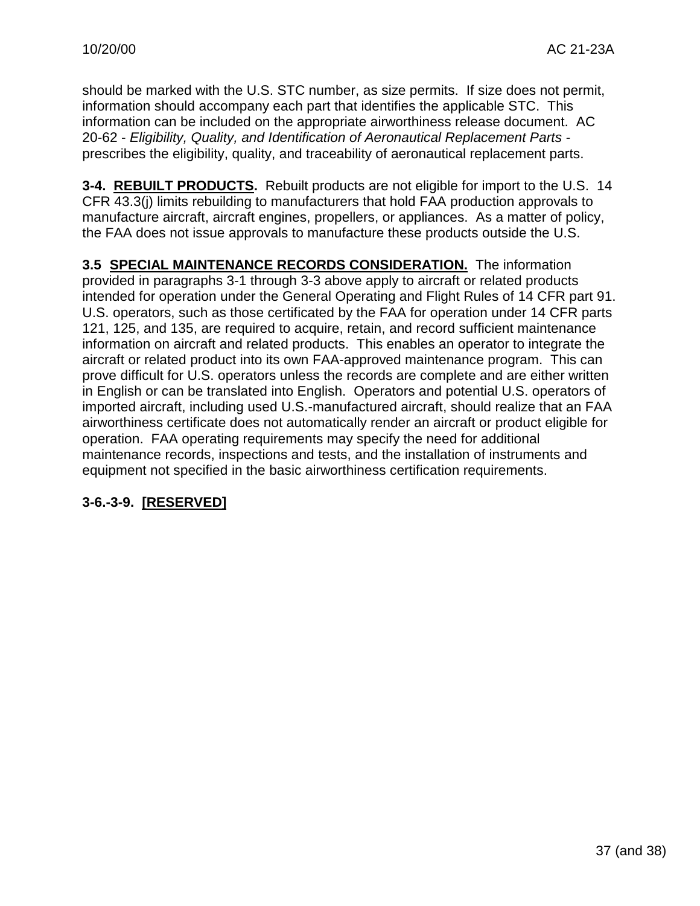should be marked with the U.S. STC number, as size permits. If size does not permit, information should accompany each part that identifies the applicable STC. This information can be included on the appropriate airworthiness release document. AC 20-62 - *Eligibility, Quality, and Identification of Aeronautical Replacement Parts*  prescribes the eligibility, quality, and traceability of aeronautical replacement parts.

**3-4. REBUILT PRODUCTS.** Rebuilt products are not eligible for import to the U.S. 14 CFR 43.3(j) limits rebuilding to manufacturers that hold FAA production approvals to manufacture aircraft, aircraft engines, propellers, or appliances. As a matter of policy, the FAA does not issue approvals to manufacture these products outside the U.S.

**3.5 SPECIAL MAINTENANCE RECORDS CONSIDERATION.** The information provided in paragraphs 3-1 through 3-3 above apply to aircraft or related products intended for operation under the General Operating and Flight Rules of 14 CFR part 91. U.S. operators, such as those certificated by the FAA for operation under 14 CFR parts 121, 125, and 135, are required to acquire, retain, and record sufficient maintenance information on aircraft and related products. This enables an operator to integrate the aircraft or related product into its own FAA-approved maintenance program. This can prove difficult for U.S. operators unless the records are complete and are either written in English or can be translated into English. Operators and potential U.S. operators of imported aircraft, including used U.S.-manufactured aircraft, should realize that an FAA airworthiness certificate does not automatically render an aircraft or product eligible for operation. FAA operating requirements may specify the need for additional maintenance records, inspections and tests, and the installation of instruments and equipment not specified in the basic airworthiness certification requirements.

# **3-6.-3-9. [RESERVED]**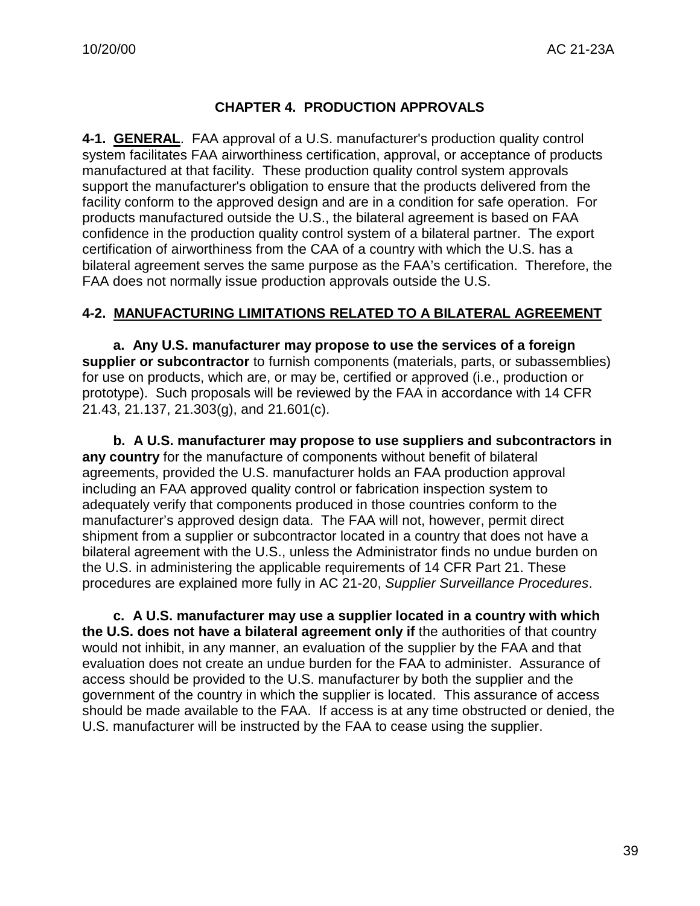# **CHAPTER 4. PRODUCTION APPROVALS**

**4-1. GENERAL**. FAA approval of a U.S. manufacturer's production quality control system facilitates FAA airworthiness certification, approval, or acceptance of products manufactured at that facility. These production quality control system approvals support the manufacturer's obligation to ensure that the products delivered from the facility conform to the approved design and are in a condition for safe operation. For products manufactured outside the U.S., the bilateral agreement is based on FAA confidence in the production quality control system of a bilateral partner. The export certification of airworthiness from the CAA of a country with which the U.S. has a bilateral agreement serves the same purpose as the FAA's certification. Therefore, the FAA does not normally issue production approvals outside the U.S.

#### **4-2. MANUFACTURING LIMITATIONS RELATED TO A BILATERAL AGREEMENT**

**a. Any U.S. manufacturer may propose to use the services of a foreign supplier or subcontractor** to furnish components (materials, parts, or subassemblies) for use on products, which are, or may be, certified or approved (i.e., production or prototype). Such proposals will be reviewed by the FAA in accordance with 14 CFR 21.43, 21.137, 21.303(g), and 21.601(c).

**b. A U.S. manufacturer may propose to use suppliers and subcontractors in any country** for the manufacture of components without benefit of bilateral agreements, provided the U.S. manufacturer holds an FAA production approval including an FAA approved quality control or fabrication inspection system to adequately verify that components produced in those countries conform to the manufacturer's approved design data. The FAA will not, however, permit direct shipment from a supplier or subcontractor located in a country that does not have a bilateral agreement with the U.S., unless the Administrator finds no undue burden on the U.S. in administering the applicable requirements of 14 CFR Part 21. These procedures are explained more fully in AC 21-20, *Supplier Surveillance Procedures*.

**c. A U.S. manufacturer may use a supplier located in a country with which the U.S. does not have a bilateral agreement only if** the authorities of that country would not inhibit, in any manner, an evaluation of the supplier by the FAA and that evaluation does not create an undue burden for the FAA to administer. Assurance of access should be provided to the U.S. manufacturer by both the supplier and the government of the country in which the supplier is located. This assurance of access should be made available to the FAA. If access is at any time obstructed or denied, the U.S. manufacturer will be instructed by the FAA to cease using the supplier.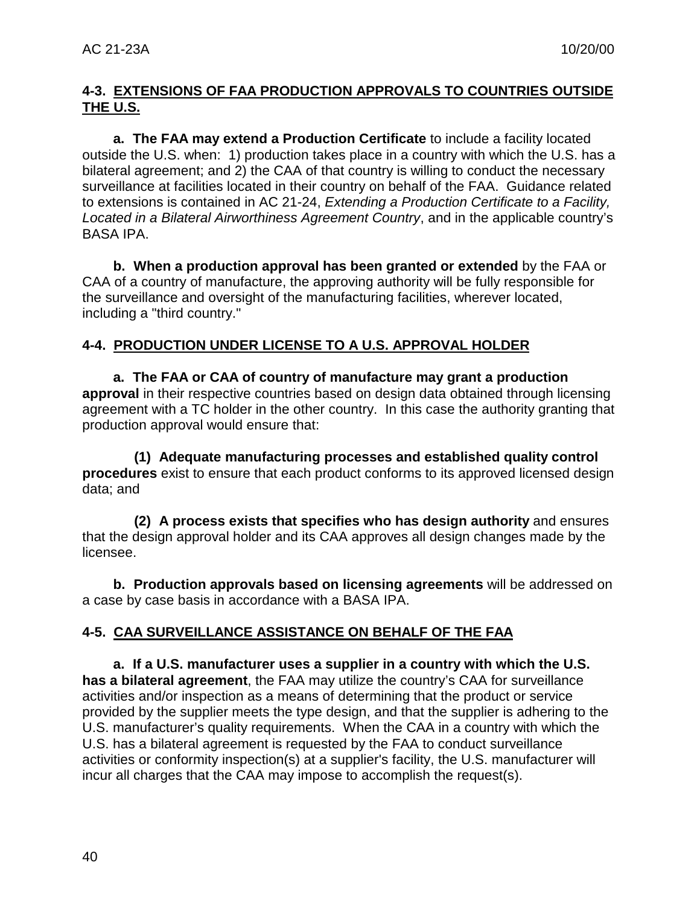# **4-3. EXTENSIONS OF FAA PRODUCTION APPROVALS TO COUNTRIES OUTSIDE THE U.S.**

**a. The FAA may extend a Production Certificate** to include a facility located outside the U.S. when: 1) production takes place in a country with which the U.S. has a bilateral agreement; and 2) the CAA of that country is willing to conduct the necessary surveillance at facilities located in their country on behalf of the FAA. Guidance related to extensions is contained in AC 21-24, *Extending a Production Certificate to a Facility, Located in a Bilateral Airworthiness Agreement Country*, and in the applicable country's BASA IPA.

**b. When a production approval has been granted or extended** by the FAA or CAA of a country of manufacture, the approving authority will be fully responsible for the surveillance and oversight of the manufacturing facilities, wherever located, including a "third country."

# **4-4. PRODUCTION UNDER LICENSE TO A U.S. APPROVAL HOLDER**

**a. The FAA or CAA of country of manufacture may grant a production approval** in their respective countries based on design data obtained through licensing agreement with a TC holder in the other country. In this case the authority granting that production approval would ensure that:

**(1) Adequate manufacturing processes and established quality control procedures** exist to ensure that each product conforms to its approved licensed design data; and

**(2) A process exists that specifies who has design authority** and ensures that the design approval holder and its CAA approves all design changes made by the licensee.

**b. Production approvals based on licensing agreements** will be addressed on a case by case basis in accordance with a BASA IPA.

# **4-5. CAA SURVEILLANCE ASSISTANCE ON BEHALF OF THE FAA**

**a. If a U.S. manufacturer uses a supplier in a country with which the U.S. has a bilateral agreement**, the FAA may utilize the country's CAA for surveillance activities and/or inspection as a means of determining that the product or service provided by the supplier meets the type design, and that the supplier is adhering to the U.S. manufacturer's quality requirements. When the CAA in a country with which the U.S. has a bilateral agreement is requested by the FAA to conduct surveillance activities or conformity inspection(s) at a supplier's facility, the U.S. manufacturer will incur all charges that the CAA may impose to accomplish the request(s).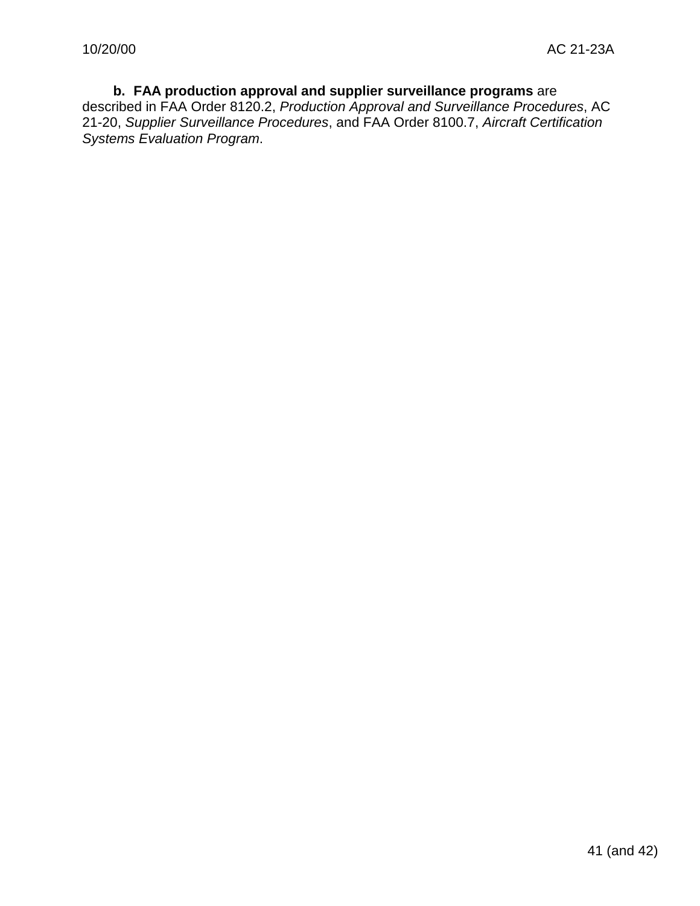#### **b. FAA production approval and supplier surveillance programs** are described in FAA Order 8120.2, *Production Approval and Surveillance Procedures*, AC 21-20, *Supplier Surveillance Procedures*, and FAA Order 8100.7, *Aircraft Certification*

*Systems Evaluation Program*.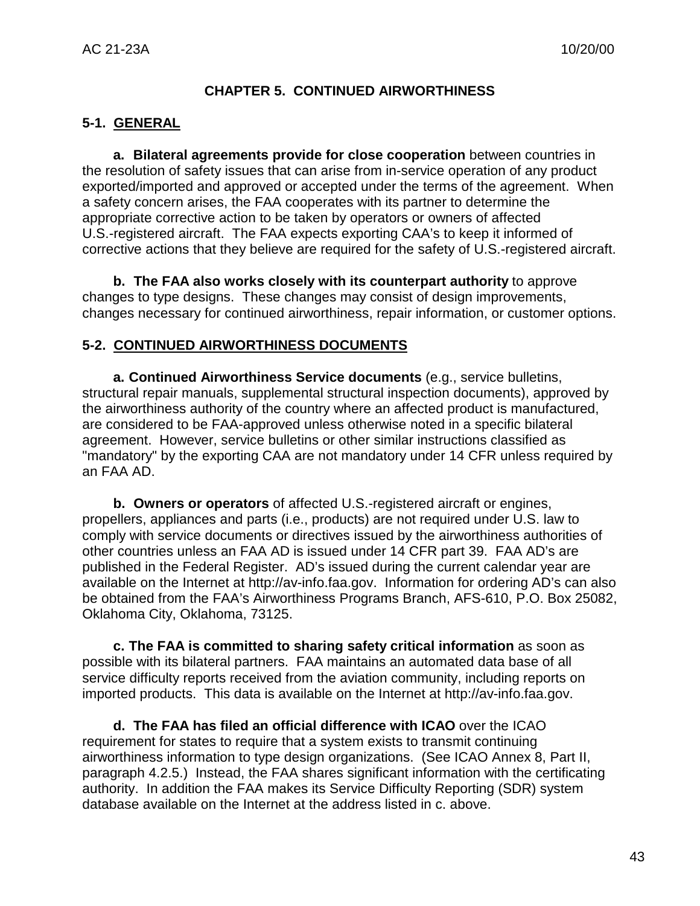#### **CHAPTER 5. CONTINUED AIRWORTHINESS**

#### **5-1. GENERAL**

**a. Bilateral agreements provide for close cooperation** between countries in the resolution of safety issues that can arise from in-service operation of any product exported/imported and approved or accepted under the terms of the agreement. When a safety concern arises, the FAA cooperates with its partner to determine the appropriate corrective action to be taken by operators or owners of affected U.S.-registered aircraft. The FAA expects exporting CAA's to keep it informed of corrective actions that they believe are required for the safety of U.S.-registered aircraft.

**b. The FAA also works closely with its counterpart authority** to approve changes to type designs. These changes may consist of design improvements, changes necessary for continued airworthiness, repair information, or customer options.

#### **5-2. CONTINUED AIRWORTHINESS DOCUMENTS**

**a. Continued Airworthiness Service documents** (e.g., service bulletins, structural repair manuals, supplemental structural inspection documents), approved by the airworthiness authority of the country where an affected product is manufactured, are considered to be FAA-approved unless otherwise noted in a specific bilateral agreement. However, service bulletins or other similar instructions classified as "mandatory" by the exporting CAA are not mandatory under 14 CFR unless required by an FAA AD.

**b. Owners or operators** of affected U.S.-registered aircraft or engines, propellers, appliances and parts (i.e., products) are not required under U.S. law to comply with service documents or directives issued by the airworthiness authorities of other countries unless an FAA AD is issued under 14 CFR part 39. FAA AD's are published in the Federal Register. AD's issued during the current calendar year are available on the Internet at http://av-info.faa.gov. Information for ordering AD's can also be obtained from the FAA's Airworthiness Programs Branch, AFS-610, P.O. Box 25082, Oklahoma City, Oklahoma, 73125.

**c. The FAA is committed to sharing safety critical information** as soon as possible with its bilateral partners. FAA maintains an automated data base of all service difficulty reports received from the aviation community, including reports on imported products. This data is available on the Internet at http://av-info.faa.gov.

**d. The FAA has filed an official difference with ICAO** over the ICAO requirement for states to require that a system exists to transmit continuing airworthiness information to type design organizations. (See ICAO Annex 8, Part II, paragraph 4.2.5.) Instead, the FAA shares significant information with the certificating authority. In addition the FAA makes its Service Difficulty Reporting (SDR) system database available on the Internet at the address listed in c. above.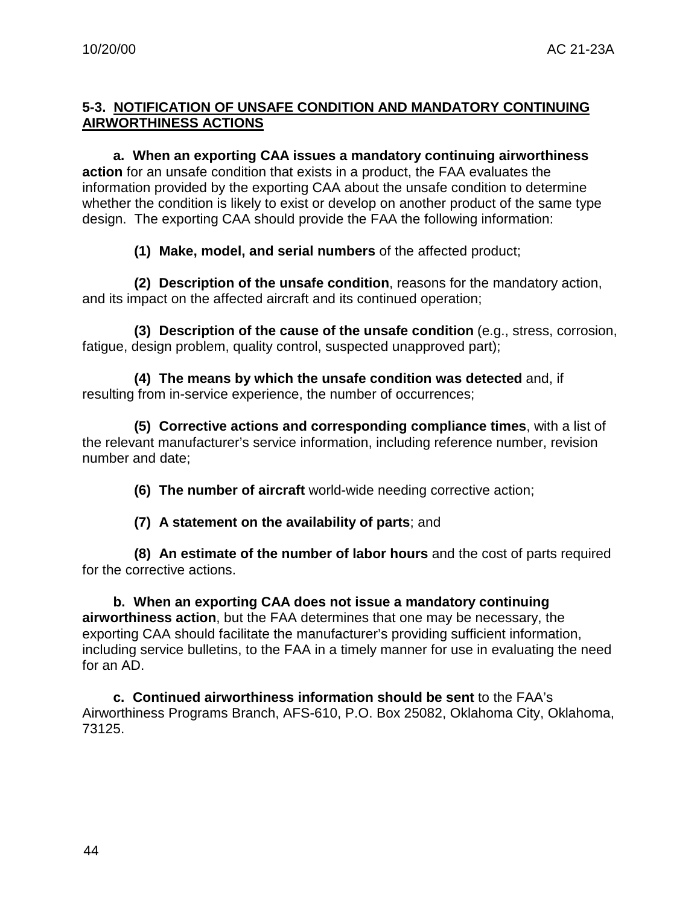# **5-3. NOTIFICATION OF UNSAFE CONDITION AND MANDATORY CONTINUING AIRWORTHINESS ACTIONS**

**a. When an exporting CAA issues a mandatory continuing airworthiness action** for an unsafe condition that exists in a product, the FAA evaluates the information provided by the exporting CAA about the unsafe condition to determine whether the condition is likely to exist or develop on another product of the same type design. The exporting CAA should provide the FAA the following information:

**(1) Make, model, and serial numbers** of the affected product;

**(2) Description of the unsafe condition**, reasons for the mandatory action, and its impact on the affected aircraft and its continued operation;

**(3) Description of the cause of the unsafe condition** (e.g., stress, corrosion, fatigue, design problem, quality control, suspected unapproved part);

**(4) The means by which the unsafe condition was detected** and, if resulting from in-service experience, the number of occurrences;

**(5) Corrective actions and corresponding compliance times**, with a list of the relevant manufacturer's service information, including reference number, revision number and date;

**(6) The number of aircraft** world-wide needing corrective action;

**(7) A statement on the availability of parts**; and

**(8) An estimate of the number of labor hours** and the cost of parts required for the corrective actions.

**b. When an exporting CAA does not issue a mandatory continuing airworthiness action**, but the FAA determines that one may be necessary, the exporting CAA should facilitate the manufacturer's providing sufficient information, including service bulletins, to the FAA in a timely manner for use in evaluating the need for an AD.

**c. Continued airworthiness information should be sent** to the FAA's Airworthiness Programs Branch, AFS-610, P.O. Box 25082, Oklahoma City, Oklahoma, 73125.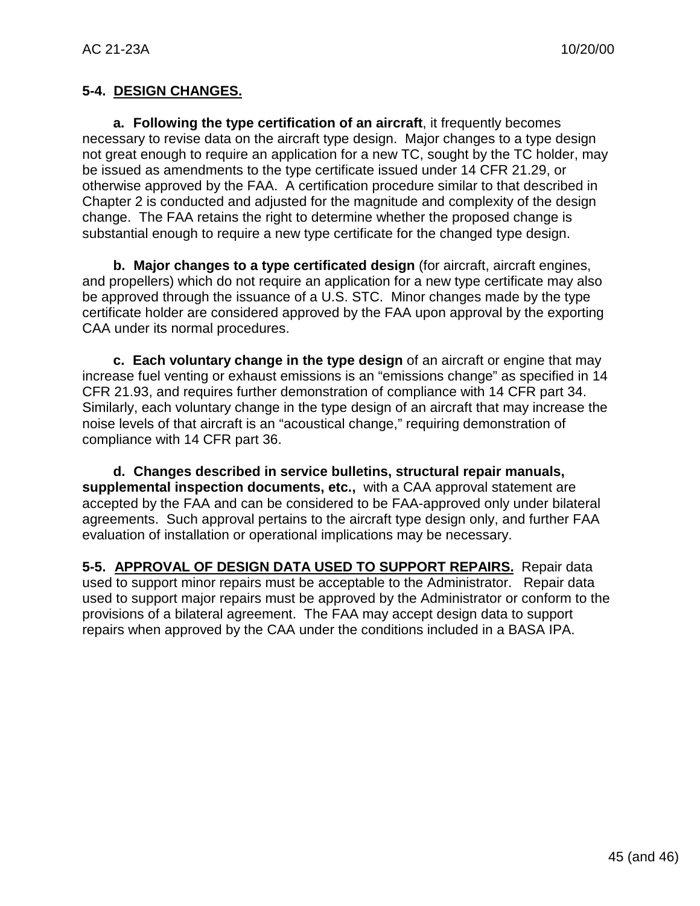# **5-4. DESIGN CHANGES.**

**a. Following the type certification of an aircraft**, it frequently becomes necessary to revise data on the aircraft type design. Major changes to a type design not great enough to require an application for a new TC, sought by the TC holder, may be issued as amendments to the type certificate issued under 14 CFR 21.29, or otherwise approved by the FAA. A certification procedure similar to that described in Chapter 2 is conducted and adjusted for the magnitude and complexity of the design change. The FAA retains the right to determine whether the proposed change is substantial enough to require a new type certificate for the changed type design.

**b. Major changes to a type certificated design** (for aircraft, aircraft engines, and propellers) which do not require an application for a new type certificate may also be approved through the issuance of a U.S. STC. Minor changes made by the type certificate holder are considered approved by the FAA upon approval by the exporting CAA under its normal procedures.

**c. Each voluntary change in the type design** of an aircraft or engine that may increase fuel venting or exhaust emissions is an "emissions change" as specified in 14 CFR 21.93, and requires further demonstration of compliance with 14 CFR part 34. Similarly, each voluntary change in the type design of an aircraft that may increase the noise levels of that aircraft is an "acoustical change," requiring demonstration of compliance with 14 CFR part 36.

**d. Changes described in service bulletins, structural repair manuals, supplemental inspection documents, etc.,** with a CAA approval statement are accepted by the FAA and can be considered to be FAA-approved only under bilateral agreements. Such approval pertains to the aircraft type design only, and further FAA evaluation of installation or operational implications may be necessary.

**5-5. APPROVAL OF DESIGN DATA USED TO SUPPORT REPAIRS.** Repair data used to support minor repairs must be acceptable to the Administrator. Repair data used to support major repairs must be approved by the Administrator or conform to the provisions of a bilateral agreement. The FAA may accept design data to support repairs when approved by the CAA under the conditions included in a BASA IPA.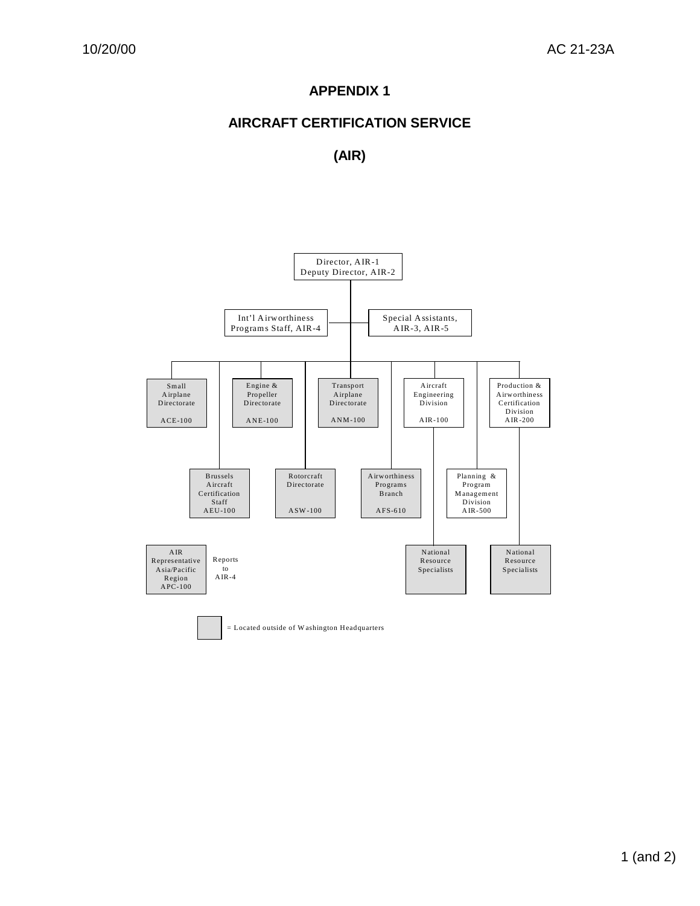# **APPENDIX 1**

# **AIRCRAFT CERTIFICATION SERVICE**

# **(AIR)**



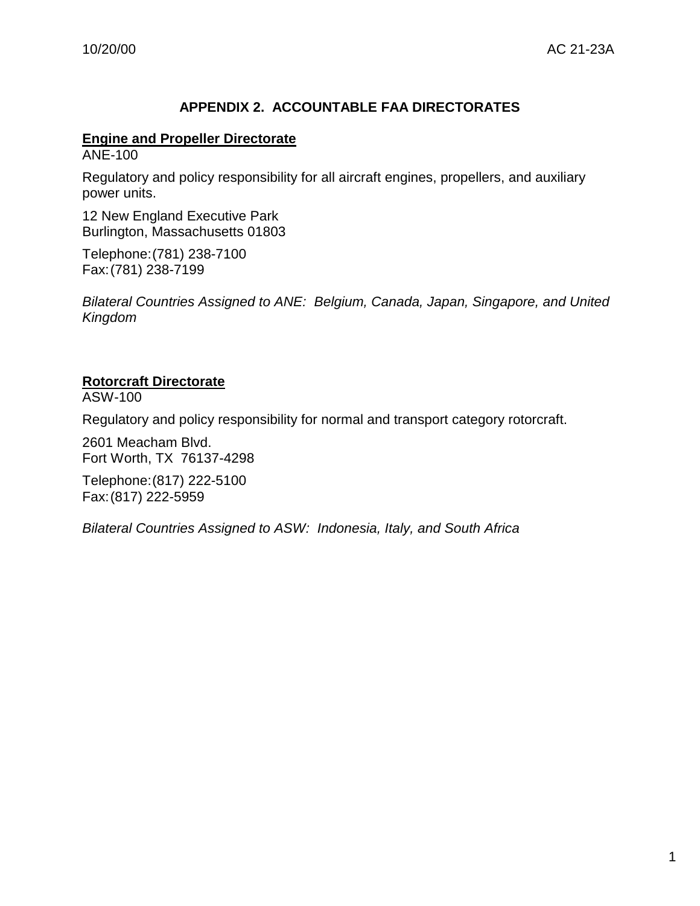# **APPENDIX 2. ACCOUNTABLE FAA DIRECTORATES**

#### **Engine and Propeller Directorate**

ANE-100

Regulatory and policy responsibility for all aircraft engines, propellers, and auxiliary power units.

12 New England Executive Park Burlington, Massachusetts 01803

Telephone:(781) 238-7100 Fax:(781) 238-7199

*Bilateral Countries Assigned to ANE: Belgium, Canada, Japan, Singapore, and United Kingdom*

#### **Rotorcraft Directorate**

ASW-100

Regulatory and policy responsibility for normal and transport category rotorcraft.

2601 Meacham Blvd. Fort Worth, TX 76137-4298

Telephone:(817) 222-5100 Fax:(817) 222-5959

*Bilateral Countries Assigned to ASW: Indonesia, Italy, and South Africa*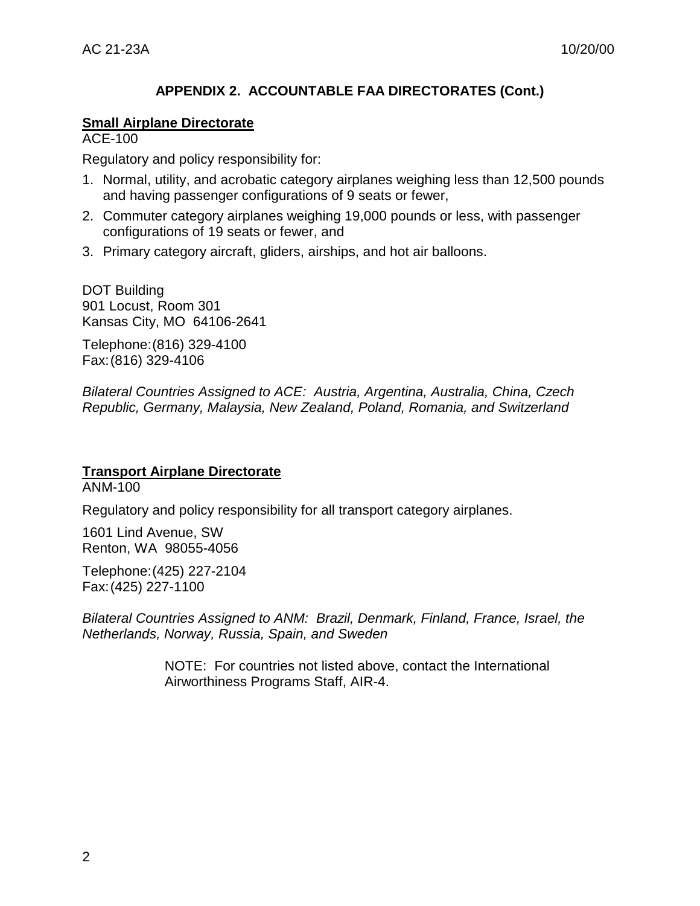# **APPENDIX 2. ACCOUNTABLE FAA DIRECTORATES (Cont.)**

#### **Small Airplane Directorate**

ACE-100

Regulatory and policy responsibility for:

- 1. Normal, utility, and acrobatic category airplanes weighing less than 12,500 pounds and having passenger configurations of 9 seats or fewer,
- 2. Commuter category airplanes weighing 19,000 pounds or less, with passenger configurations of 19 seats or fewer, and
- 3. Primary category aircraft, gliders, airships, and hot air balloons.

DOT Building 901 Locust, Room 301 Kansas City, MO 64106-2641

Telephone:(816) 329-4100 Fax:(816) 329-4106

*Bilateral Countries Assigned to ACE: Austria, Argentina, Australia, China, Czech Republic, Germany, Malaysia, New Zealand, Poland, Romania, and Switzerland*

# **Transport Airplane Directorate**

ANM-100

Regulatory and policy responsibility for all transport category airplanes.

1601 Lind Avenue, SW Renton, WA 98055-4056

Telephone:(425) 227-2104 Fax:(425) 227-1100

*Bilateral Countries Assigned to ANM: Brazil, Denmark, Finland, France, Israel, the Netherlands, Norway, Russia, Spain, and Sweden*

> NOTE: For countries not listed above, contact the International Airworthiness Programs Staff, AIR-4.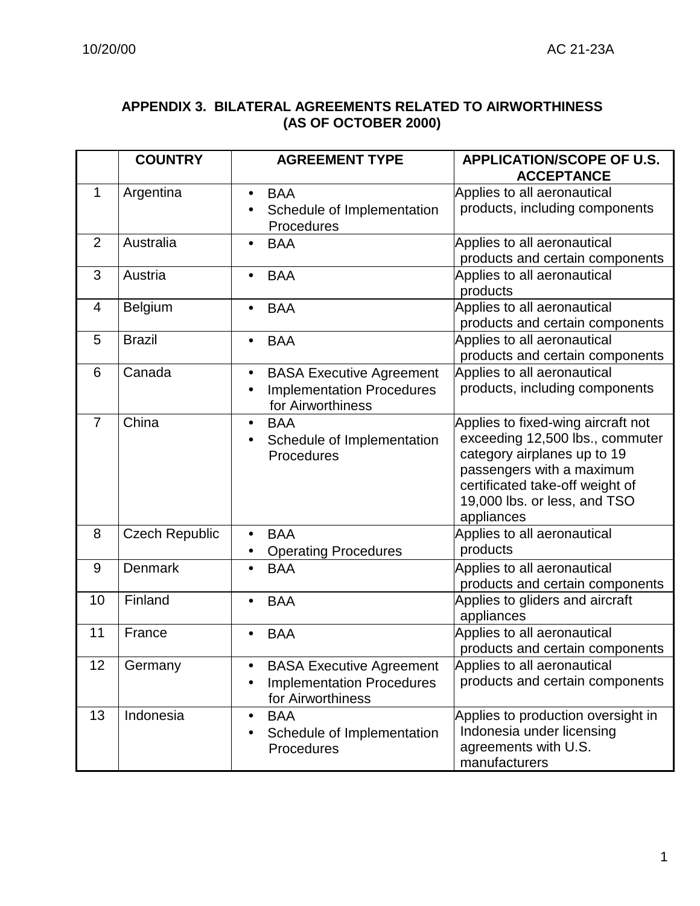# **APPENDIX 3. BILATERAL AGREEMENTS RELATED TO AIRWORTHINESS (AS OF OCTOBER 2000)**

|                | <b>COUNTRY</b>        | <b>AGREEMENT TYPE</b>                                                                    | <b>APPLICATION/SCOPE OF U.S.</b><br><b>ACCEPTANCE</b>                                                                                                                                                              |
|----------------|-----------------------|------------------------------------------------------------------------------------------|--------------------------------------------------------------------------------------------------------------------------------------------------------------------------------------------------------------------|
| 1              | Argentina             | <b>BAA</b><br>Schedule of Implementation<br>Procedures                                   | Applies to all aeronautical<br>products, including components                                                                                                                                                      |
| $\overline{2}$ | Australia             | <b>BAA</b>                                                                               | Applies to all aeronautical<br>products and certain components                                                                                                                                                     |
| 3              | Austria               | <b>BAA</b>                                                                               | Applies to all aeronautical<br>products                                                                                                                                                                            |
| 4              | <b>Belgium</b>        | <b>BAA</b>                                                                               | Applies to all aeronautical<br>products and certain components                                                                                                                                                     |
| 5              | <b>Brazil</b>         | <b>BAA</b>                                                                               | Applies to all aeronautical<br>products and certain components                                                                                                                                                     |
| 6              | Canada                | <b>BASA Executive Agreement</b><br><b>Implementation Procedures</b><br>for Airworthiness | Applies to all aeronautical<br>products, including components                                                                                                                                                      |
| $\overline{7}$ | China                 | <b>BAA</b><br>$\bullet$<br>Schedule of Implementation<br>Procedures                      | Applies to fixed-wing aircraft not<br>exceeding 12,500 lbs., commuter<br>category airplanes up to 19<br>passengers with a maximum<br>certificated take-off weight of<br>19,000 lbs. or less, and TSO<br>appliances |
| 8              | <b>Czech Republic</b> | <b>BAA</b><br><b>Operating Procedures</b>                                                | Applies to all aeronautical<br>products                                                                                                                                                                            |
| 9              | <b>Denmark</b>        | <b>BAA</b>                                                                               | Applies to all aeronautical<br>products and certain components                                                                                                                                                     |
| 10             | Finland               | <b>BAA</b>                                                                               | Applies to gliders and aircraft<br>appliances                                                                                                                                                                      |
| 11             | France                | <b>BAA</b>                                                                               | Applies to all aeronautical<br>products and certain components                                                                                                                                                     |
| 12             | Germany               | <b>BASA Executive Agreement</b><br><b>Implementation Procedures</b><br>for Airworthiness | Applies to all aeronautical<br>products and certain components                                                                                                                                                     |
| 13             | Indonesia             | <b>BAA</b><br>Schedule of Implementation<br>Procedures                                   | Applies to production oversight in<br>Indonesia under licensing<br>agreements with U.S.<br>manufacturers                                                                                                           |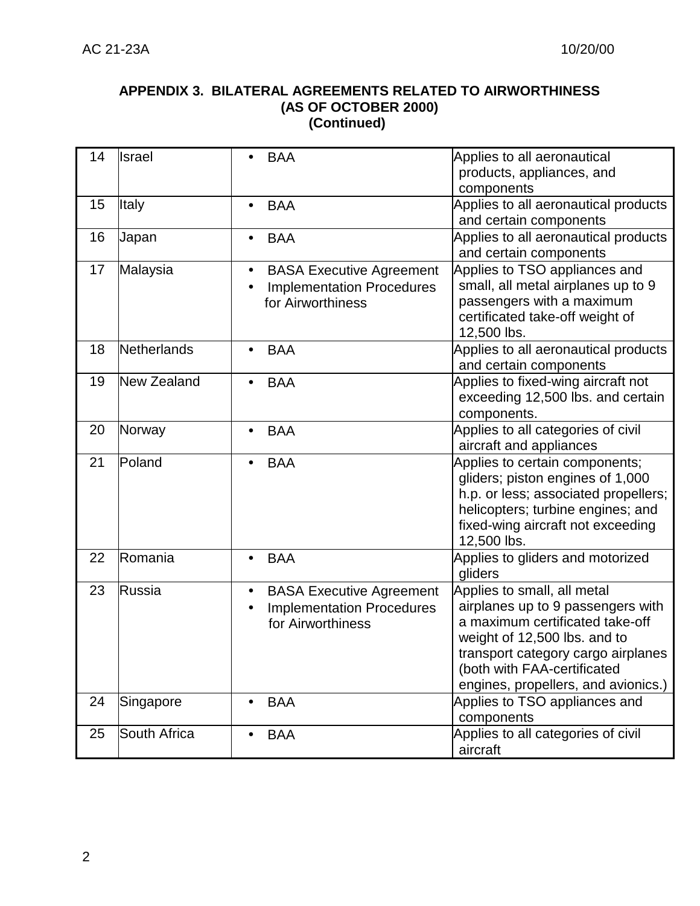#### **APPENDIX 3. BILATERAL AGREEMENTS RELATED TO AIRWORTHINESS (AS OF OCTOBER 2000) (Continued)**

| 14 | <b>Israel</b> |           | <b>BAA</b>                       | Applies to all aeronautical          |
|----|---------------|-----------|----------------------------------|--------------------------------------|
|    |               |           |                                  | products, appliances, and            |
|    |               |           |                                  | components                           |
| 15 | <b>Italy</b>  | $\bullet$ | <b>BAA</b>                       | Applies to all aeronautical products |
|    |               |           |                                  | and certain components               |
| 16 | Japan         |           | <b>BAA</b>                       | Applies to all aeronautical products |
|    |               |           |                                  | and certain components               |
| 17 | Malaysia      | $\bullet$ | <b>BASA Executive Agreement</b>  | Applies to TSO appliances and        |
|    |               |           | <b>Implementation Procedures</b> | small, all metal airplanes up to 9   |
|    |               |           | for Airworthiness                | passengers with a maximum            |
|    |               |           |                                  | certificated take-off weight of      |
|    |               |           |                                  | 12,500 lbs.                          |
| 18 | Netherlands   |           | <b>BAA</b>                       | Applies to all aeronautical products |
|    |               |           |                                  | and certain components               |
| 19 | New Zealand   |           | <b>BAA</b>                       | Applies to fixed-wing aircraft not   |
|    |               |           |                                  | exceeding 12,500 lbs. and certain    |
|    |               |           |                                  | components.                          |
| 20 | Norway        |           | <b>BAA</b>                       | Applies to all categories of civil   |
|    |               |           |                                  | aircraft and appliances              |
| 21 | Poland        |           | <b>BAA</b>                       | Applies to certain components;       |
|    |               |           |                                  | gliders; piston engines of 1,000     |
|    |               |           |                                  | h.p. or less; associated propellers; |
|    |               |           |                                  | helicopters; turbine engines; and    |
|    |               |           |                                  | fixed-wing aircraft not exceeding    |
|    |               |           |                                  | 12,500 lbs.                          |
| 22 | Romania       | $\bullet$ | <b>BAA</b>                       | Applies to gliders and motorized     |
|    |               |           |                                  | gliders                              |
| 23 | Russia        | $\bullet$ | <b>BASA Executive Agreement</b>  | Applies to small, all metal          |
|    |               |           | <b>Implementation Procedures</b> | airplanes up to 9 passengers with    |
|    |               |           | for Airworthiness                | a maximum certificated take-off      |
|    |               |           |                                  | weight of 12,500 lbs. and to         |
|    |               |           |                                  | transport category cargo airplanes   |
|    |               |           |                                  | (both with FAA-certificated          |
|    |               |           |                                  | engines, propellers, and avionics.)  |
| 24 | Singapore     |           | <b>BAA</b>                       | Applies to TSO appliances and        |
|    |               |           |                                  | components                           |
| 25 | South Africa  | $\bullet$ | <b>BAA</b>                       | Applies to all categories of civil   |
|    |               |           |                                  | aircraft                             |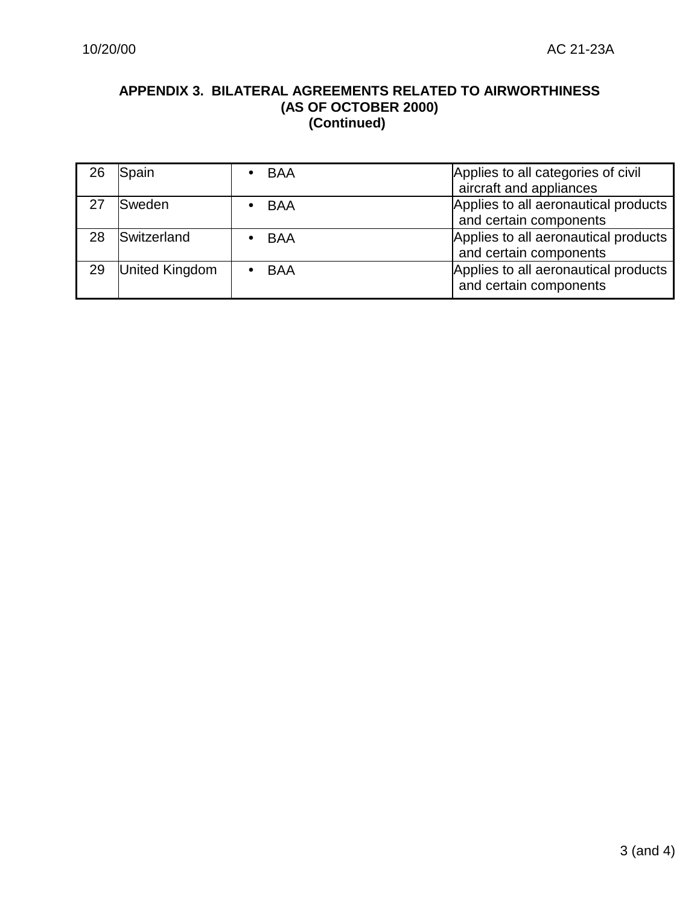#### **APPENDIX 3. BILATERAL AGREEMENTS RELATED TO AIRWORTHINESS (AS OF OCTOBER 2000) (Continued)**

| 26 | Spain          | $\bullet$ BAA | Applies to all categories of civil<br>aircraft and appliances  |
|----|----------------|---------------|----------------------------------------------------------------|
|    | <b>Sweden</b>  | $\bullet$ BAA | Applies to all aeronautical products<br>and certain components |
| 28 | Switzerland    | $\bullet$ BAA | Applies to all aeronautical products<br>and certain components |
| 29 | United Kingdom | , BAA         | Applies to all aeronautical products<br>and certain components |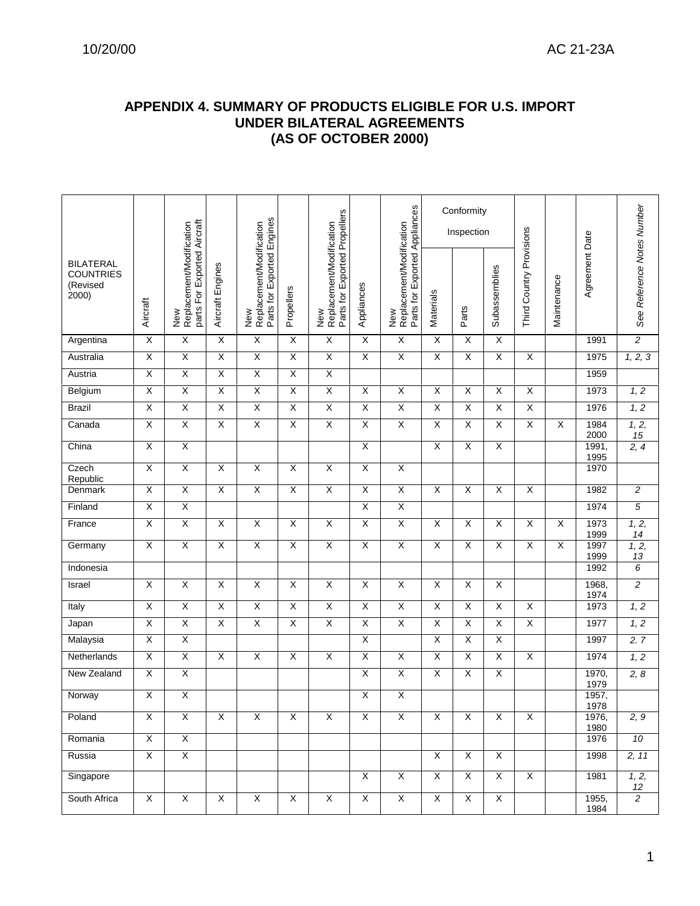#### **APPENDIX 4. SUMMARY OF PRODUCTS ELIGIBLE FOR U.S. IMPORT UNDER BILATERAL AGREEMENTS (AS OF OCTOBER 2000)**

|                                                           |                         |                                                                |                         |                                                               |                         |                                                                  |                         |                                                                  |                         | Conformity<br>Inspection |                         |                          |                         |                |                            |
|-----------------------------------------------------------|-------------------------|----------------------------------------------------------------|-------------------------|---------------------------------------------------------------|-------------------------|------------------------------------------------------------------|-------------------------|------------------------------------------------------------------|-------------------------|--------------------------|-------------------------|--------------------------|-------------------------|----------------|----------------------------|
| <b>BILATERAL</b><br><b>COUNTRIES</b><br>(Revised<br>2000) | Aircraft                | parts For Exported Aircraft<br>Replacement/Modification<br>New | Aircraft Engines        | Parts for Exported Engines<br>New<br>Replacement/Modification | Propellers              | Parts for Exported Propellers<br>Replacement/Modification<br>New | Appliances              | Parts for Exported Appliances<br>Replacement/Modification<br>New | Materials               | Parts                    | Subassemblies           | Third Country Provisions | Maintenance             | Agreement Date | See Reference Notes Number |
| Argentina                                                 | $\overline{X}$          | $\overline{X}$                                                 | $\overline{X}$          | $\overline{X}$                                                | X                       | $\overline{X}$                                                   | $\overline{X}$          | $\overline{\mathsf{X}}$                                          | X                       | $\overline{X}$           | $\overline{\mathsf{x}}$ |                          |                         | 1991           | $\overline{2}$             |
| Australia                                                 | $\overline{\mathsf{x}}$ | $\overline{\mathsf{x}}$                                        | $\overline{X}$          | $\overline{X}$                                                | $\overline{\mathsf{x}}$ | $\overline{X}$                                                   | $\overline{X}$          | $\overline{\mathsf{X}}$                                          | χ                       | $\overline{\mathsf{x}}$  | $\overline{\mathsf{x}}$ | Χ                        |                         | 1975           | 1, 2, 3                    |
| Austria                                                   | $\overline{\mathsf{x}}$ | $\overline{\mathsf{x}}$                                        | $\overline{\mathsf{X}}$ | $\overline{\mathsf{X}}$                                       | $\overline{\mathsf{x}}$ | $\overline{X}$                                                   |                         |                                                                  |                         |                          |                         |                          |                         | 1959           |                            |
| Belgium                                                   | X                       | $\overline{X}$                                                 | $\overline{X}$          | $\overline{\mathsf{X}}$                                       | X                       | $\overline{X}$                                                   | $\overline{X}$          | $\overline{X}$                                                   | $\overline{X}$          | X                        | $\overline{X}$          | $\overline{X}$           |                         | 1973           | 1, 2                       |
| <b>Brazil</b>                                             | $\overline{\mathsf{x}}$ | $\overline{\mathsf{x}}$                                        | $\overline{\mathsf{x}}$ | $\overline{\mathsf{x}}$                                       | $\overline{\mathsf{x}}$ | $\overline{\mathsf{X}}$                                          | X                       | $\overline{\mathsf{x}}$                                          | $\overline{\mathsf{x}}$ | $\overline{\mathsf{x}}$  | $\overline{\mathsf{x}}$ | $\overline{\mathsf{x}}$  |                         | 1976           | 1, 2                       |
| Canada                                                    | $\overline{\mathsf{x}}$ | $\overline{X}$                                                 | χ                       | Χ                                                             | X                       | $\overline{\mathsf{X}}$                                          | χ                       | Χ                                                                | X                       | X                        | $\overline{\mathsf{x}}$ | $\overline{\mathsf{x}}$  | X                       | 1984<br>2000   | 1, 2,<br>15                |
| China                                                     | $\overline{\mathsf{x}}$ | $\overline{X}$                                                 |                         |                                                               |                         |                                                                  | $\overline{X}$          |                                                                  | $\overline{X}$          | X                        | X                       |                          |                         | 1991,<br>1995  | 2, 4                       |
| Czech<br>Republic                                         | $\overline{\mathsf{x}}$ | $\overline{X}$                                                 | X                       | $\overline{\mathsf{x}}$                                       | $\overline{\mathsf{x}}$ | $\overline{\mathsf{x}}$                                          | X                       | $\overline{\mathsf{X}}$                                          |                         |                          |                         |                          |                         | 1970           |                            |
| Denmark                                                   | $\overline{\mathsf{x}}$ | $\overline{\mathsf{x}}$                                        | $\overline{X}$          | $\overline{\mathsf{X}}$                                       | $\overline{X}$          | $\overline{\mathsf{X}}$                                          | $\overline{\mathsf{x}}$ | $\overline{\mathsf{X}}$                                          | $\overline{\mathsf{x}}$ | X                        | $\overline{\mathsf{x}}$ | $\overline{X}$           |                         | 1982           | $\overline{c}$             |
| Finland                                                   | $\overline{\mathsf{x}}$ | Χ                                                              |                         |                                                               |                         |                                                                  | $\overline{\mathsf{X}}$ | Χ                                                                |                         |                          |                         |                          |                         | 1974           | $\overline{5}$             |
| France                                                    | $\overline{\mathsf{x}}$ | $\overline{\mathsf{x}}$                                        | X                       | $\overline{\mathsf{X}}$                                       | $\overline{\mathsf{x}}$ | $\overline{\mathsf{x}}$                                          | χ                       | $\overline{\mathsf{X}}$                                          | X                       | X                        | $\overline{\mathsf{x}}$ | $\overline{\mathsf{x}}$  | $\overline{\mathsf{x}}$ | 1973<br>1999   | 1, 2,<br>14                |
| Germany                                                   | X                       | $\overline{\mathsf{x}}$                                        | $\overline{\mathsf{x}}$ | $\overline{X}$                                                | X                       | $\overline{X}$                                                   | $\overline{X}$          | $\overline{X}$                                                   | X                       | X                        | X                       | X                        | $\times$                | 1997<br>1999   | 1, 2,<br>13                |
| Indonesia                                                 |                         |                                                                |                         |                                                               |                         |                                                                  |                         |                                                                  |                         |                          |                         |                          |                         | 1992           | 6                          |
| Israel                                                    | $\overline{\mathsf{x}}$ | $\overline{X}$                                                 | Χ                       | $\overline{\mathsf{X}}$                                       | $\overline{\mathsf{x}}$ | $\overline{\mathsf{x}}$                                          | $\overline{\mathsf{X}}$ | X                                                                | $\overline{\mathsf{x}}$ | X                        | $\overline{\mathsf{x}}$ |                          |                         | 1968,<br>1974  | $\overline{2}$             |
| Italy                                                     | $\overline{X}$          | $\overline{X}$                                                 | $\overline{\mathsf{x}}$ | $\overline{\mathsf{X}}$                                       | $\overline{\mathsf{x}}$ | $\overline{\mathsf{X}}$                                          | $\overline{\mathsf{x}}$ | $\overline{\mathsf{X}}$                                          | $\overline{\mathsf{X}}$ | X                        | $\overline{X}$          | $\overline{\mathsf{X}}$  |                         | 1973           | $\overline{1,2}$           |
| Japan                                                     | $\overline{\mathsf{x}}$ | Χ                                                              | X                       | Χ                                                             | X                       | $\overline{\mathsf{x}}$                                          | $\overline{\mathsf{X}}$ | Χ                                                                | X                       | X                        | $\overline{\mathsf{x}}$ | χ                        |                         | 1977           | 1, 2                       |
| Malaysia                                                  | $\overline{X}$          | $\overline{\mathsf{x}}$                                        |                         |                                                               |                         |                                                                  | $\overline{\mathsf{x}}$ |                                                                  | $\overline{\mathsf{x}}$ | X                        | $\overline{\mathsf{x}}$ |                          |                         | 1997           | 2.7                        |
| Netherlands                                               | X                       | $\overline{\mathsf{x}}$                                        | $\overline{\mathsf{x}}$ | X                                                             | X                       | $\overline{X}$                                                   | $\overline{X}$          | $\overline{X}$                                                   | X                       | X                        | X                       | X                        |                         | 1974           | 1, 2                       |
| New Zealand                                               | $\overline{\mathsf{x}}$ | $\overline{X}$                                                 |                         |                                                               |                         |                                                                  | $\overline{\mathsf{X}}$ | $\overline{X}$                                                   | X                       | X                        | $\overline{\mathsf{x}}$ |                          |                         | 1970,<br>1979  | 2, 8                       |
| Norway                                                    | X                       | $\overline{X}$                                                 |                         |                                                               |                         |                                                                  | X                       | $\overline{\mathsf{X}}$                                          |                         |                          |                         |                          |                         | 1957,<br>1978  |                            |
| Poland                                                    | $\overline{X}$          | $\overline{\mathsf{x}}$                                        | $\overline{\mathsf{x}}$ | $\overline{\mathsf{x}}$                                       | X                       | X                                                                | $\overline{\mathsf{x}}$ | $\overline{\mathsf{x}}$                                          | $\overline{\mathsf{x}}$ | X                        | X                       | X                        |                         | 1976,<br>1980  | 2, 9                       |
| Romania                                                   | $\overline{X}$          | $\overline{X}$                                                 |                         |                                                               |                         |                                                                  |                         |                                                                  |                         |                          |                         |                          |                         | 1976           | 10                         |
| Russia                                                    | $\overline{X}$          | $\overline{\mathsf{X}}$                                        |                         |                                                               |                         |                                                                  |                         |                                                                  | $\overline{X}$          | $\overline{X}$           | $\overline{X}$          |                          |                         | 1998           | 2, 11                      |
| Singapore                                                 |                         |                                                                |                         |                                                               |                         |                                                                  | $\overline{X}$          | $\overline{X}$                                                   | $\overline{X}$          | $\overline{X}$           | $\overline{X}$          | $\overline{X}$           |                         | 1981           | 1, 2,<br>12                |
| South Africa                                              | $\overline{X}$          | $\overline{X}$                                                 | $\overline{X}$          | $\overline{X}$                                                | $\overline{\mathsf{x}}$ | $\overline{X}$                                                   | $\overline{\mathsf{x}}$ | $\overline{X}$                                                   | $\overline{X}$          | $\overline{X}$           | $\overline{X}$          |                          |                         | 1955,<br>1984  | $\overline{2}$             |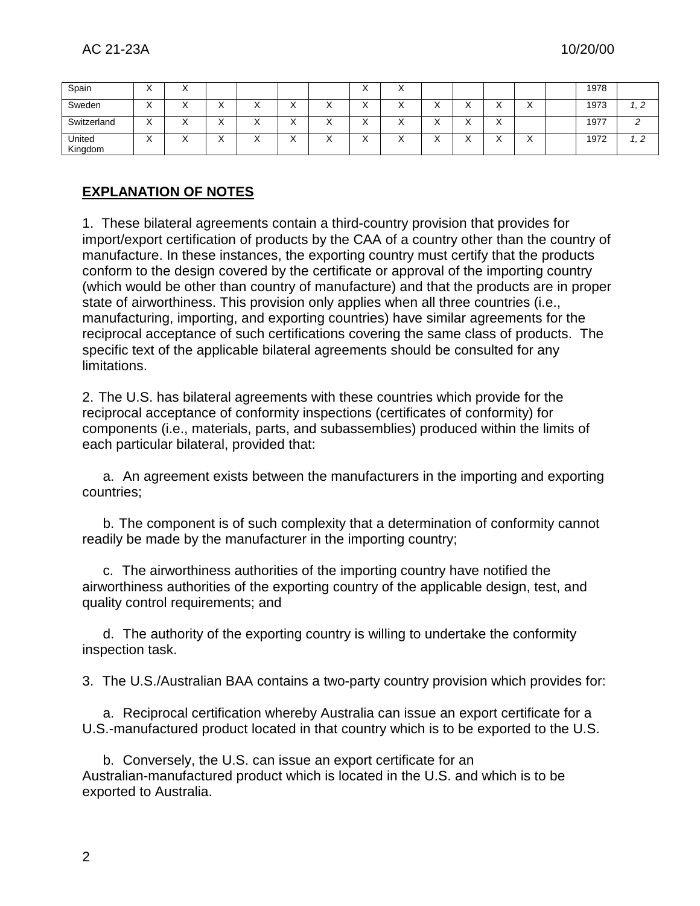| Spain             | ۰.<br>$\lambda$        | $\lambda$ |                          |           |           |    | $\lambda$ | $\lambda$ |           |                          |           |           | 1978 |  |
|-------------------|------------------------|-----------|--------------------------|-----------|-----------|----|-----------|-----------|-----------|--------------------------|-----------|-----------|------|--|
| Sweden            | $\lambda$              |           |                          | $\lambda$ | $\lambda$ |    | ↗         | $\lambda$ | ,         |                          | $\cdot$   | $\lambda$ | 1973 |  |
| Switzerland       | $\lambda$<br>$\lambda$ | $\lambda$ | $\overline{\phantom{a}}$ | $\lambda$ | $\lambda$ | 71 | $\lambda$ | $\lambda$ | $\lambda$ | $\overline{\phantom{a}}$ | $\lambda$ |           | 1977 |  |
| United<br>Kingdom | . .<br>$\lambda$       |           |                          | ,,        | $\lambda$ | ↗  | $\lambda$ | $\lambda$ | $\lambda$ |                          | $\lambda$ | $\lambda$ | 1972 |  |

# **EXPLANATION OF NOTES**

1. These bilateral agreements contain a third-country provision that provides for import/export certification of products by the CAA of a country other than the country of manufacture. In these instances, the exporting country must certify that the products conform to the design covered by the certificate or approval of the importing country (which would be other than country of manufacture) and that the products are in proper state of airworthiness. This provision only applies when all three countries (i.e., manufacturing, importing, and exporting countries) have similar agreements for the reciprocal acceptance of such certifications covering the same class of products. The specific text of the applicable bilateral agreements should be consulted for any limitations.

2. The U.S. has bilateral agreements with these countries which provide for the reciprocal acceptance of conformity inspections (certificates of conformity) for components (i.e., materials, parts, and subassemblies) produced within the limits of each particular bilateral, provided that:

a. An agreement exists between the manufacturers in the importing and exporting countries;

b. The component is of such complexity that a determination of conformity cannot readily be made by the manufacturer in the importing country;

c. The airworthiness authorities of the importing country have notified the airworthiness authorities of the exporting country of the applicable design, test, and quality control requirements; and

d. The authority of the exporting country is willing to undertake the conformity inspection task.

3. The U.S./Australian BAA contains a two-party country provision which provides for:

a. Reciprocal certification whereby Australia can issue an export certificate for a U.S.-manufactured product located in that country which is to be exported to the U.S.

b. Conversely, the U.S. can issue an export certificate for an Australian-manufactured product which is located in the U.S. and which is to be exported to Australia.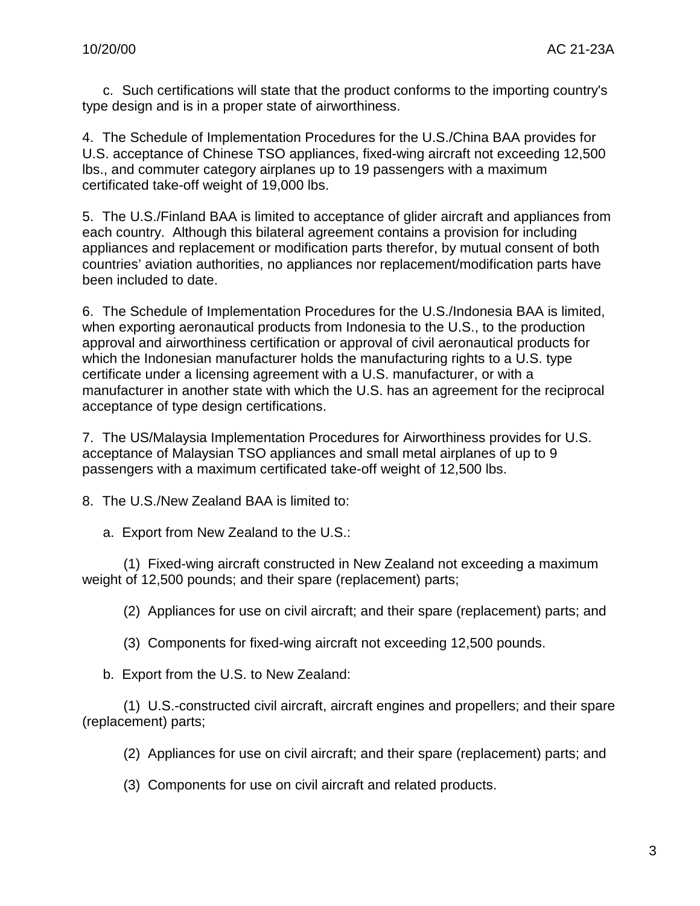c. Such certifications will state that the product conforms to the importing country's type design and is in a proper state of airworthiness.

4. The Schedule of Implementation Procedures for the U.S./China BAA provides for U.S. acceptance of Chinese TSO appliances, fixed-wing aircraft not exceeding 12,500 lbs., and commuter category airplanes up to 19 passengers with a maximum certificated take-off weight of 19,000 lbs.

5. The U.S./Finland BAA is limited to acceptance of glider aircraft and appliances from each country. Although this bilateral agreement contains a provision for including appliances and replacement or modification parts therefor, by mutual consent of both countries' aviation authorities, no appliances nor replacement/modification parts have been included to date.

6. The Schedule of Implementation Procedures for the U.S./Indonesia BAA is limited, when exporting aeronautical products from Indonesia to the U.S., to the production approval and airworthiness certification or approval of civil aeronautical products for which the Indonesian manufacturer holds the manufacturing rights to a U.S. type certificate under a licensing agreement with a U.S. manufacturer, or with a manufacturer in another state with which the U.S. has an agreement for the reciprocal acceptance of type design certifications.

7. The US/Malaysia Implementation Procedures for Airworthiness provides for U.S. acceptance of Malaysian TSO appliances and small metal airplanes of up to 9 passengers with a maximum certificated take-off weight of 12,500 lbs.

8. The U.S./New Zealand BAA is limited to:

a. Export from New Zealand to the U.S.:

(1) Fixed-wing aircraft constructed in New Zealand not exceeding a maximum weight of 12,500 pounds; and their spare (replacement) parts;

(2) Appliances for use on civil aircraft; and their spare (replacement) parts; and

(3) Components for fixed-wing aircraft not exceeding 12,500 pounds.

b. Export from the U.S. to New Zealand:

(1) U.S.-constructed civil aircraft, aircraft engines and propellers; and their spare (replacement) parts;

(2) Appliances for use on civil aircraft; and their spare (replacement) parts; and

(3) Components for use on civil aircraft and related products.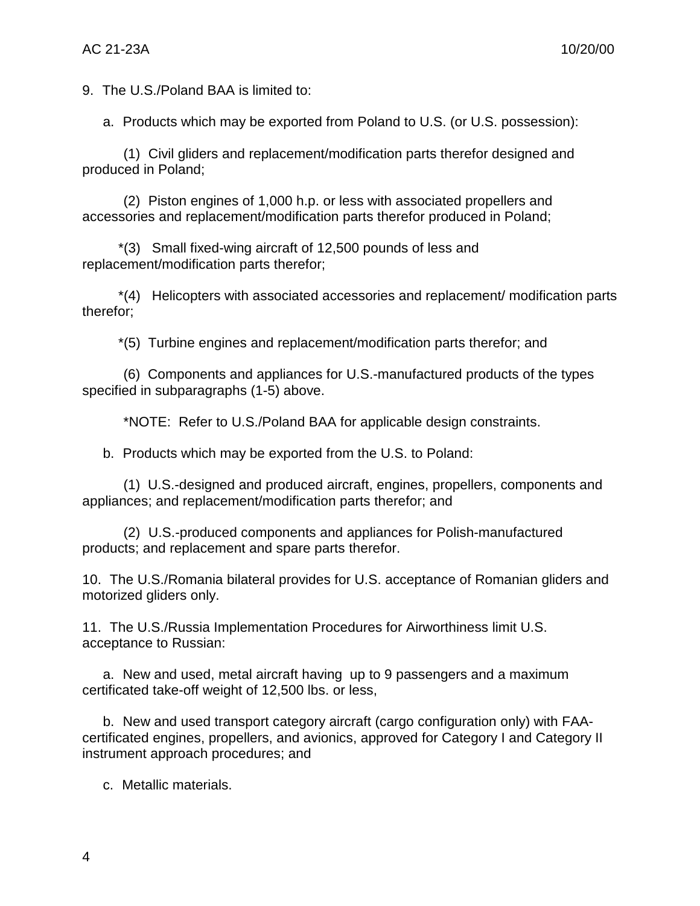9. The U.S./Poland BAA is limited to:

a. Products which may be exported from Poland to U.S. (or U.S. possession):

(1) Civil gliders and replacement/modification parts therefor designed and produced in Poland;

(2) Piston engines of 1,000 h.p. or less with associated propellers and accessories and replacement/modification parts therefor produced in Poland;

\*(3) Small fixed-wing aircraft of 12,500 pounds of less and replacement/modification parts therefor;

\*(4) Helicopters with associated accessories and replacement/ modification parts therefor;

\*(5) Turbine engines and replacement/modification parts therefor; and

(6) Components and appliances for U.S.-manufactured products of the types specified in subparagraphs (1-5) above.

\*NOTE: Refer to U.S./Poland BAA for applicable design constraints.

b. Products which may be exported from the U.S. to Poland:

(1) U.S.-designed and produced aircraft, engines, propellers, components and appliances; and replacement/modification parts therefor; and

(2) U.S.-produced components and appliances for Polish-manufactured products; and replacement and spare parts therefor.

10. The U.S./Romania bilateral provides for U.S. acceptance of Romanian gliders and motorized gliders only.

11. The U.S./Russia Implementation Procedures for Airworthiness limit U.S. acceptance to Russian:

a. New and used, metal aircraft having up to 9 passengers and a maximum certificated take-off weight of 12,500 lbs. or less,

b. New and used transport category aircraft (cargo configuration only) with FAAcertificated engines, propellers, and avionics, approved for Category I and Category II instrument approach procedures; and

c. Metallic materials.